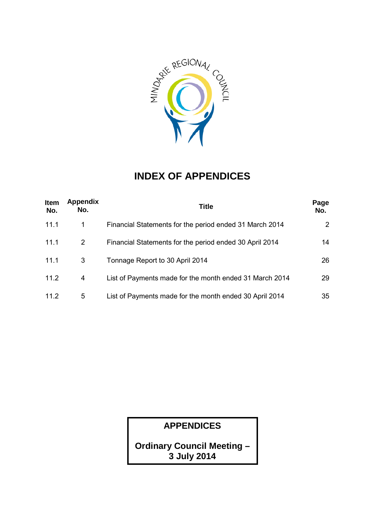

### **INDEX OF APPENDICES**

| <b>Item</b><br>No. | <b>Appendix</b><br>No. | <b>Title</b>                                            | Page<br>No.    |
|--------------------|------------------------|---------------------------------------------------------|----------------|
| 11.1               | 1                      | Financial Statements for the period ended 31 March 2014 | $\overline{2}$ |
| 11.1               | $\overline{2}$         | Financial Statements for the period ended 30 April 2014 | 14             |
| 11.1               | 3                      | Tonnage Report to 30 April 2014                         | 26             |
| 11.2               | 4                      | List of Payments made for the month ended 31 March 2014 | 29             |
| 11.2               | 5                      | List of Payments made for the month ended 30 April 2014 | 35             |

**APPENDICES**

**Ordinary Council Meeting – 3 July 2014**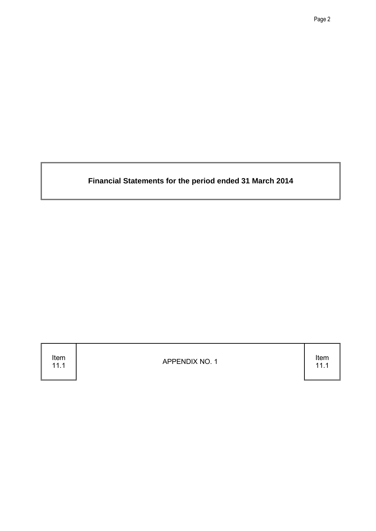**Financial Statements for the period ended 31 March 2014**

Item<br>11.1

APPENDIX NO. 1 Item

11.1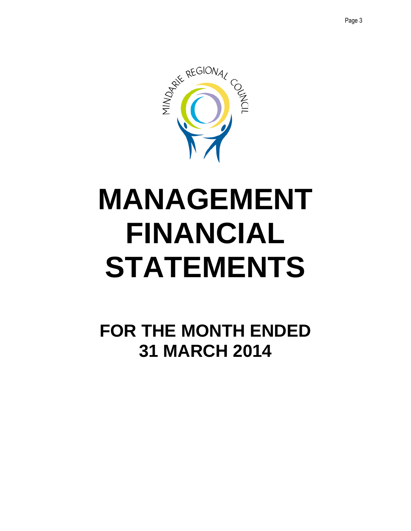

## **MANAGEMENT FINANCIAL STATEMENTS**

**FOR THE MONTH ENDED 31 MARCH 2014**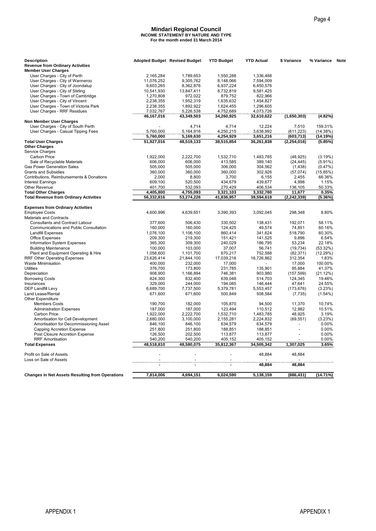#### **Mindari Regional Council INCOME STATEMENT BY NATURE AND TYPE For the month ended 31 March 2014**

|            | <b>Mindari Regional Council</b><br><b>INCOME STATEMENT BY NATURE AND TYPE</b><br>For the month ended 31 March 2014                                                                                                                                                   |                                                                                                                                                                                                                                                                      |                                                                                                                                                                                                                                                                             |                                                                                                                                                                                                                                                                   |                                                                                                                                                                                                                 |
|------------|----------------------------------------------------------------------------------------------------------------------------------------------------------------------------------------------------------------------------------------------------------------------|----------------------------------------------------------------------------------------------------------------------------------------------------------------------------------------------------------------------------------------------------------------------|-----------------------------------------------------------------------------------------------------------------------------------------------------------------------------------------------------------------------------------------------------------------------------|-------------------------------------------------------------------------------------------------------------------------------------------------------------------------------------------------------------------------------------------------------------------|-----------------------------------------------------------------------------------------------------------------------------------------------------------------------------------------------------------------|
|            |                                                                                                                                                                                                                                                                      |                                                                                                                                                                                                                                                                      |                                                                                                                                                                                                                                                                             |                                                                                                                                                                                                                                                                   |                                                                                                                                                                                                                 |
|            |                                                                                                                                                                                                                                                                      |                                                                                                                                                                                                                                                                      |                                                                                                                                                                                                                                                                             |                                                                                                                                                                                                                                                                   |                                                                                                                                                                                                                 |
|            | Adopted Budget Revised Budget                                                                                                                                                                                                                                        | <b>YTD Budget</b>                                                                                                                                                                                                                                                    | <b>YTD Actual</b>                                                                                                                                                                                                                                                           | \$ Variance                                                                                                                                                                                                                                                       | % Variance                                                                                                                                                                                                      |
|            |                                                                                                                                                                                                                                                                      |                                                                                                                                                                                                                                                                      |                                                                                                                                                                                                                                                                             |                                                                                                                                                                                                                                                                   |                                                                                                                                                                                                                 |
| 2,165,284  | 1,789,653                                                                                                                                                                                                                                                            | 1,550,288                                                                                                                                                                                                                                                            | 1,336,488                                                                                                                                                                                                                                                                   |                                                                                                                                                                                                                                                                   |                                                                                                                                                                                                                 |
| 11.076.252 | 9,305,762                                                                                                                                                                                                                                                            | 8,148,066                                                                                                                                                                                                                                                            | 7.594.009                                                                                                                                                                                                                                                                   |                                                                                                                                                                                                                                                                   |                                                                                                                                                                                                                 |
| 10,541,930 | 13,847,411                                                                                                                                                                                                                                                           | 8,732,819                                                                                                                                                                                                                                                            | 9,581,425                                                                                                                                                                                                                                                                   |                                                                                                                                                                                                                                                                   |                                                                                                                                                                                                                 |
| 1,270,808  | 972,022                                                                                                                                                                                                                                                              | 879,752                                                                                                                                                                                                                                                              | 822,966                                                                                                                                                                                                                                                                     |                                                                                                                                                                                                                                                                   |                                                                                                                                                                                                                 |
|            |                                                                                                                                                                                                                                                                      |                                                                                                                                                                                                                                                                      |                                                                                                                                                                                                                                                                             |                                                                                                                                                                                                                                                                   |                                                                                                                                                                                                                 |
| 7,032,767  | 5,226,538                                                                                                                                                                                                                                                            | 4,752,689                                                                                                                                                                                                                                                            | 4,073,726                                                                                                                                                                                                                                                                   |                                                                                                                                                                                                                                                                   |                                                                                                                                                                                                                 |
| 46,167,016 | 43,349,503                                                                                                                                                                                                                                                           | 34,260,925                                                                                                                                                                                                                                                           | 32,610,622                                                                                                                                                                                                                                                                  | (1,650,303)                                                                                                                                                                                                                                                       | (4.82%)                                                                                                                                                                                                         |
|            | 4,714                                                                                                                                                                                                                                                                |                                                                                                                                                                                                                                                                      |                                                                                                                                                                                                                                                                             | 7,510                                                                                                                                                                                                                                                             | 159.31%                                                                                                                                                                                                         |
| 5,760,000  | 5,164,916                                                                                                                                                                                                                                                            | 4,250,215                                                                                                                                                                                                                                                            | 3,638,992                                                                                                                                                                                                                                                                   | (611, 223)                                                                                                                                                                                                                                                        | (14.38%)                                                                                                                                                                                                        |
|            |                                                                                                                                                                                                                                                                      |                                                                                                                                                                                                                                                                      |                                                                                                                                                                                                                                                                             |                                                                                                                                                                                                                                                                   | (14.19%)<br>(5.85%)                                                                                                                                                                                             |
|            |                                                                                                                                                                                                                                                                      |                                                                                                                                                                                                                                                                      |                                                                                                                                                                                                                                                                             |                                                                                                                                                                                                                                                                   |                                                                                                                                                                                                                 |
|            |                                                                                                                                                                                                                                                                      |                                                                                                                                                                                                                                                                      |                                                                                                                                                                                                                                                                             |                                                                                                                                                                                                                                                                   | (3.19%)                                                                                                                                                                                                         |
| 606,000    | 606.000                                                                                                                                                                                                                                                              | 413,585                                                                                                                                                                                                                                                              | 389,140                                                                                                                                                                                                                                                                     |                                                                                                                                                                                                                                                                   | $(5.91\%)$                                                                                                                                                                                                      |
| 505,000    | 505,000                                                                                                                                                                                                                                                              | 306,000                                                                                                                                                                                                                                                              | 304,562                                                                                                                                                                                                                                                                     | (1,438)                                                                                                                                                                                                                                                           | (0.47%)                                                                                                                                                                                                         |
|            |                                                                                                                                                                                                                                                                      |                                                                                                                                                                                                                                                                      |                                                                                                                                                                                                                                                                             |                                                                                                                                                                                                                                                                   | (15.85%)<br>66.36%                                                                                                                                                                                              |
| 609,100    | 520,500                                                                                                                                                                                                                                                              | 434,679                                                                                                                                                                                                                                                              | 439,677                                                                                                                                                                                                                                                                     | 4,998                                                                                                                                                                                                                                                             | 1.15%                                                                                                                                                                                                           |
| 401,700    | 532,093                                                                                                                                                                                                                                                              | 270,429                                                                                                                                                                                                                                                              | 406,534                                                                                                                                                                                                                                                                     | 136,105                                                                                                                                                                                                                                                           | 50.33%<br>0.35%                                                                                                                                                                                                 |
| 56,332,816 | 53,274,226                                                                                                                                                                                                                                                           | 41,836,957                                                                                                                                                                                                                                                           | 39,594,618                                                                                                                                                                                                                                                                  | (2, 242, 339)                                                                                                                                                                                                                                                     | (5.36%)                                                                                                                                                                                                         |
|            |                                                                                                                                                                                                                                                                      |                                                                                                                                                                                                                                                                      |                                                                                                                                                                                                                                                                             |                                                                                                                                                                                                                                                                   |                                                                                                                                                                                                                 |
| 4,600,996  | 4,639,651                                                                                                                                                                                                                                                            | 3,390,393                                                                                                                                                                                                                                                            | 3,092,045                                                                                                                                                                                                                                                                   | 298,348                                                                                                                                                                                                                                                           | 8.80%                                                                                                                                                                                                           |
|            |                                                                                                                                                                                                                                                                      |                                                                                                                                                                                                                                                                      |                                                                                                                                                                                                                                                                             |                                                                                                                                                                                                                                                                   |                                                                                                                                                                                                                 |
|            |                                                                                                                                                                                                                                                                      |                                                                                                                                                                                                                                                                      |                                                                                                                                                                                                                                                                             |                                                                                                                                                                                                                                                                   | 58.11%<br>60.16%                                                                                                                                                                                                |
| 1,076,100  | 1,106,100                                                                                                                                                                                                                                                            | 860,414                                                                                                                                                                                                                                                              | 341,624                                                                                                                                                                                                                                                                     | 518,790                                                                                                                                                                                                                                                           | 60.30%                                                                                                                                                                                                          |
| 209,300    | 219,300                                                                                                                                                                                                                                                              | 151,421                                                                                                                                                                                                                                                              | 141,525                                                                                                                                                                                                                                                                     | 9,896                                                                                                                                                                                                                                                             | 6.54%                                                                                                                                                                                                           |
|            |                                                                                                                                                                                                                                                                      |                                                                                                                                                                                                                                                                      |                                                                                                                                                                                                                                                                             |                                                                                                                                                                                                                                                                   | 22.18%<br>(53.32%)                                                                                                                                                                                              |
| 1,058,600  | 1,101,700                                                                                                                                                                                                                                                            | 670,217                                                                                                                                                                                                                                                              | 752,588                                                                                                                                                                                                                                                                     | (82, 371)                                                                                                                                                                                                                                                         | (12.29%)                                                                                                                                                                                                        |
|            |                                                                                                                                                                                                                                                                      |                                                                                                                                                                                                                                                                      |                                                                                                                                                                                                                                                                             |                                                                                                                                                                                                                                                                   | 1.83%<br>100.00%                                                                                                                                                                                                |
| 376,700    | 173,800                                                                                                                                                                                                                                                              | 231,785                                                                                                                                                                                                                                                              | 135,901                                                                                                                                                                                                                                                                     | 95,884                                                                                                                                                                                                                                                            | 41.37%                                                                                                                                                                                                          |
| 908,900    | 1,166,894                                                                                                                                                                                                                                                            | 746,381                                                                                                                                                                                                                                                              | 903,980                                                                                                                                                                                                                                                                     | (157, 599)                                                                                                                                                                                                                                                        | (21.12%)                                                                                                                                                                                                        |
|            |                                                                                                                                                                                                                                                                      |                                                                                                                                                                                                                                                                      |                                                                                                                                                                                                                                                                             |                                                                                                                                                                                                                                                                   | 19.46%<br>24.55%                                                                                                                                                                                                |
| 6,689,700  | 7,737,500                                                                                                                                                                                                                                                            | 5,379,781                                                                                                                                                                                                                                                            | 5,553,457                                                                                                                                                                                                                                                                   | (173, 676)                                                                                                                                                                                                                                                        | (3.23%)                                                                                                                                                                                                         |
|            |                                                                                                                                                                                                                                                                      |                                                                                                                                                                                                                                                                      |                                                                                                                                                                                                                                                                             | (7, 735)                                                                                                                                                                                                                                                          | $(1.54\%)$                                                                                                                                                                                                      |
| 190,700    | 182,000                                                                                                                                                                                                                                                              | 105,870                                                                                                                                                                                                                                                              | 94,500                                                                                                                                                                                                                                                                      | 11,370                                                                                                                                                                                                                                                            | 10.74%                                                                                                                                                                                                          |
| 187,000    | 187,000                                                                                                                                                                                                                                                              | 123,494                                                                                                                                                                                                                                                              | 110,512                                                                                                                                                                                                                                                                     | 12,982                                                                                                                                                                                                                                                            | 10.51%                                                                                                                                                                                                          |
|            |                                                                                                                                                                                                                                                                      |                                                                                                                                                                                                                                                                      |                                                                                                                                                                                                                                                                             |                                                                                                                                                                                                                                                                   | 3.19%<br>(3.23%)                                                                                                                                                                                                |
| 846,100    | 846,100                                                                                                                                                                                                                                                              | 634,579                                                                                                                                                                                                                                                              | 634,579                                                                                                                                                                                                                                                                     |                                                                                                                                                                                                                                                                   | $0.00\%$                                                                                                                                                                                                        |
| 251,800    | 251,800                                                                                                                                                                                                                                                              | 188,851                                                                                                                                                                                                                                                              | 188,851                                                                                                                                                                                                                                                                     |                                                                                                                                                                                                                                                                   | $0.00\%$<br>$0.00\%$                                                                                                                                                                                            |
| 540,200    | 540,200                                                                                                                                                                                                                                                              | 405,152                                                                                                                                                                                                                                                              | 405,152                                                                                                                                                                                                                                                                     |                                                                                                                                                                                                                                                                   | $0.00\%$                                                                                                                                                                                                        |
| 48,518,810 | 48,580,075                                                                                                                                                                                                                                                           | 35,812,367                                                                                                                                                                                                                                                           | 34,505,342                                                                                                                                                                                                                                                                  | 1,307,025                                                                                                                                                                                                                                                         | 3.65%                                                                                                                                                                                                           |
|            |                                                                                                                                                                                                                                                                      |                                                                                                                                                                                                                                                                      | 48,884                                                                                                                                                                                                                                                                      | 48,884                                                                                                                                                                                                                                                            |                                                                                                                                                                                                                 |
|            |                                                                                                                                                                                                                                                                      |                                                                                                                                                                                                                                                                      | 48,884                                                                                                                                                                                                                                                                      | 48,884                                                                                                                                                                                                                                                            |                                                                                                                                                                                                                 |
|            |                                                                                                                                                                                                                                                                      |                                                                                                                                                                                                                                                                      |                                                                                                                                                                                                                                                                             |                                                                                                                                                                                                                                                                   | (14.71%)                                                                                                                                                                                                        |
|            |                                                                                                                                                                                                                                                                      |                                                                                                                                                                                                                                                                      |                                                                                                                                                                                                                                                                             |                                                                                                                                                                                                                                                                   |                                                                                                                                                                                                                 |
|            | 9,603,265<br>2,238,355<br>2,238,355<br>5,760,000<br>51,927,016<br>1,922,000<br>360,000<br>2,000<br>4,405,800<br>377,600<br>160,000<br>365,300<br>100,000<br>23,626,414<br>400,000<br>824,300<br>329,000<br>671,600<br>1,922,000<br>2,680,000<br>126,500<br>7,814,006 | 8,362,876<br>1,952,319<br>1,892,922<br>5,169,630<br>48,519,133<br>2,222,700<br>360,000<br>8,800<br>4,755,093<br>506,430<br>160,000<br>309,300<br>103,000<br>21,844,100<br>232,000<br>832,400<br>244.000<br>671,600<br>2,222,700<br>3,100,000<br>202,500<br>4,694,151 | 6,937,224<br>1,635,632<br>1,624,455<br>4,714<br>4,254,929<br>38,515,854<br>1,532,710<br>360,000<br>3,700<br>3,321,103<br>330,502<br>124,425<br>240,029<br>37,007<br>17,039,216<br>17,000<br>639,048<br>194,085<br>500,849<br>1,532,710<br>2,155,281<br>113,877<br>6,024,590 | 6,450,576<br>1,454,827<br>1,296,605<br>12,224<br>3,651,216<br>36,261,838<br>1.483.785<br>302,926<br>6,155<br>3,332,780<br>138,431<br>49,574<br>186,795<br>56,741<br>16,726,862<br>514,703<br>146,444<br>508,584<br>1,483,785<br>2,224,832<br>113,877<br>5,138,159 | (603,713)<br>(2, 254, 016)<br>(48, 925)<br>(24, 445)<br>(57, 074)<br>2,455<br>11,677<br>192,071<br>74,851<br>53,234<br>(19, 734)<br>312,354<br>17,000<br>124,345<br>47,641<br>48,925<br>(69, 551)<br>(886, 431) |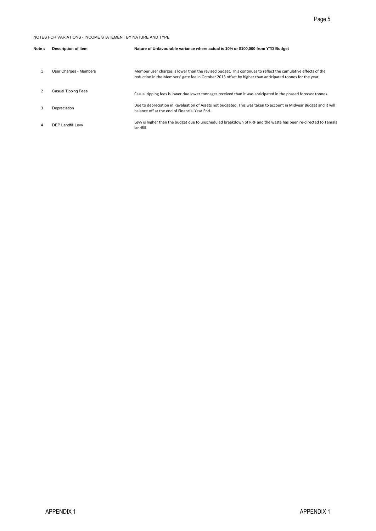|                |                                                            | Page 5                                                                                                                                                                                                                     |
|----------------|------------------------------------------------------------|----------------------------------------------------------------------------------------------------------------------------------------------------------------------------------------------------------------------------|
|                | NOTES FOR VARIATIONS - INCOME STATEMENT BY NATURE AND TYPE |                                                                                                                                                                                                                            |
| Note #         | <b>Description of Item</b>                                 | Nature of Unfavourable variance where actual is 10% or \$100,000 from YTD Budget                                                                                                                                           |
| $\mathbf{1}$   | User Charges - Members                                     | Member user charges is lower than the revised budget. This continues to reflect the cumulative effects of the<br>reduction in the Members' gate fee in October 2013 offset by higher than anticipated tonnes for the year. |
| $\overline{2}$ | Casual Tipping Fees                                        | Casual tipping fees is lower due lower tonnages received than it was anticipated in the phased forecast tonnes.                                                                                                            |
| 3              | Depreciation                                               | Due to depreciation in Revaluation of Assets not budgeted. This was taken to account in Midyear Budget and it will<br>balance off at the end of Financial Year End.                                                        |
| 4              | DEP Landfill Levy                                          | Levy is higher than the budget due to unscheduled breakdown of RRF and the waste has been re-directed to Tamala<br>landfill.                                                                                               |
|                |                                                            |                                                                                                                                                                                                                            |
|                |                                                            |                                                                                                                                                                                                                            |
|                |                                                            |                                                                                                                                                                                                                            |
|                |                                                            |                                                                                                                                                                                                                            |
|                |                                                            |                                                                                                                                                                                                                            |
|                |                                                            |                                                                                                                                                                                                                            |
|                |                                                            |                                                                                                                                                                                                                            |
|                |                                                            |                                                                                                                                                                                                                            |
|                |                                                            |                                                                                                                                                                                                                            |
|                |                                                            |                                                                                                                                                                                                                            |
|                |                                                            |                                                                                                                                                                                                                            |
|                |                                                            |                                                                                                                                                                                                                            |
|                |                                                            |                                                                                                                                                                                                                            |
|                |                                                            |                                                                                                                                                                                                                            |
|                |                                                            |                                                                                                                                                                                                                            |
|                |                                                            |                                                                                                                                                                                                                            |
|                |                                                            |                                                                                                                                                                                                                            |
|                |                                                            |                                                                                                                                                                                                                            |
|                |                                                            |                                                                                                                                                                                                                            |
|                |                                                            |                                                                                                                                                                                                                            |
|                |                                                            |                                                                                                                                                                                                                            |
|                |                                                            |                                                                                                                                                                                                                            |
|                | APPENDIX 1                                                 | <b>APPENDIX1</b>                                                                                                                                                                                                           |
|                |                                                            |                                                                                                                                                                                                                            |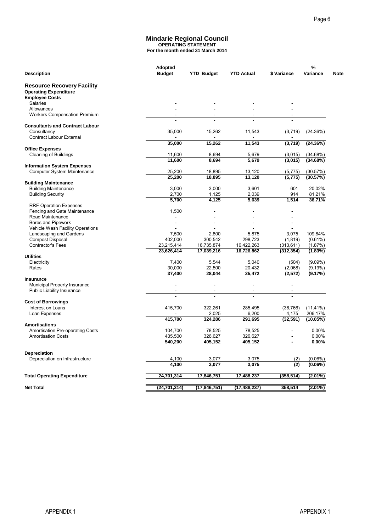#### **Mindarie Regional Council OPERATING STATEMENT For the month ended 31 March 2014**

| Adopted<br><b>Budget</b><br><b>Description</b><br><b>Resource Recovery Facility</b><br><b>Operating Expenditure</b><br><b>Employee Costs</b><br><b>Salaries</b><br>Allowances<br>Workers Compensation Premium<br><b>Consultants and Contract Labour</b><br>Consultancy<br><b>Contract Labour External</b><br><b>Office Expenses</b><br>Cleaning of Buildings<br><b>Information System Expenses</b><br>Computer System Maintenance<br><b>Building Maintenance</b><br><b>Building Maintenance</b><br><b>Building Security</b><br><b>RRF Operation Expenses</b><br>Fencing and Gate Maintenance<br>Road Maintenance<br>Bores and Pipework<br>Vehicle Wash Facility Operations<br>Landscaping and Gardens<br><b>Compost Disposal</b><br>Contractor's Fees<br>23,215,414<br>23,626,414<br><b>Utilities</b><br>Electricity<br>Rates<br>Insurance<br>Municipal Property Insurance<br>Public Liability Insurance<br><b>Cost of Borrowings</b><br>Interest on Loans<br>Loan Expenses | 35,000<br>35,000<br>11,600<br>11,600<br>25,200<br>25,200<br>3,000<br>2,700<br>5,700<br>1,500<br>7,500<br>402,000<br>7,400 | <b>Mindarie Regional Council</b><br><b>OPERATING STATEMENT</b><br>For the month ended 31 March 2014<br><b>YTD Budget</b><br>15,262<br>15,262<br>8,694<br>8,694<br>18,895<br>18,895<br>3,000<br>1,125<br>4,125<br>2,800<br>300,542 | <b>YTD Actual</b><br>11,543<br>11,543<br>5,679<br>5,679<br>13,120<br>13,120<br>3,601<br>2,039<br>5,639 | \$ Variance<br>(3,719)<br>(3,719)<br>(3,015)<br>(3,015)<br>(5, 775)<br>(5, 775)<br>601<br>914<br>1,514 | %<br>Variance<br>(24.36%)<br>(24.36%)<br>(34.68%)<br>(34.68%)<br>(30.57%)<br>(30.57%)<br>20.02%<br>81.21%<br>36.71% |
|-----------------------------------------------------------------------------------------------------------------------------------------------------------------------------------------------------------------------------------------------------------------------------------------------------------------------------------------------------------------------------------------------------------------------------------------------------------------------------------------------------------------------------------------------------------------------------------------------------------------------------------------------------------------------------------------------------------------------------------------------------------------------------------------------------------------------------------------------------------------------------------------------------------------------------------------------------------------------------|---------------------------------------------------------------------------------------------------------------------------|-----------------------------------------------------------------------------------------------------------------------------------------------------------------------------------------------------------------------------------|--------------------------------------------------------------------------------------------------------|--------------------------------------------------------------------------------------------------------|---------------------------------------------------------------------------------------------------------------------|
|                                                                                                                                                                                                                                                                                                                                                                                                                                                                                                                                                                                                                                                                                                                                                                                                                                                                                                                                                                             |                                                                                                                           |                                                                                                                                                                                                                                   |                                                                                                        |                                                                                                        |                                                                                                                     |
|                                                                                                                                                                                                                                                                                                                                                                                                                                                                                                                                                                                                                                                                                                                                                                                                                                                                                                                                                                             |                                                                                                                           |                                                                                                                                                                                                                                   |                                                                                                        |                                                                                                        |                                                                                                                     |
|                                                                                                                                                                                                                                                                                                                                                                                                                                                                                                                                                                                                                                                                                                                                                                                                                                                                                                                                                                             |                                                                                                                           |                                                                                                                                                                                                                                   |                                                                                                        |                                                                                                        |                                                                                                                     |
|                                                                                                                                                                                                                                                                                                                                                                                                                                                                                                                                                                                                                                                                                                                                                                                                                                                                                                                                                                             |                                                                                                                           |                                                                                                                                                                                                                                   |                                                                                                        |                                                                                                        |                                                                                                                     |
|                                                                                                                                                                                                                                                                                                                                                                                                                                                                                                                                                                                                                                                                                                                                                                                                                                                                                                                                                                             |                                                                                                                           |                                                                                                                                                                                                                                   |                                                                                                        |                                                                                                        |                                                                                                                     |
|                                                                                                                                                                                                                                                                                                                                                                                                                                                                                                                                                                                                                                                                                                                                                                                                                                                                                                                                                                             |                                                                                                                           |                                                                                                                                                                                                                                   |                                                                                                        |                                                                                                        |                                                                                                                     |
|                                                                                                                                                                                                                                                                                                                                                                                                                                                                                                                                                                                                                                                                                                                                                                                                                                                                                                                                                                             |                                                                                                                           |                                                                                                                                                                                                                                   |                                                                                                        |                                                                                                        |                                                                                                                     |
|                                                                                                                                                                                                                                                                                                                                                                                                                                                                                                                                                                                                                                                                                                                                                                                                                                                                                                                                                                             |                                                                                                                           |                                                                                                                                                                                                                                   |                                                                                                        |                                                                                                        |                                                                                                                     |
|                                                                                                                                                                                                                                                                                                                                                                                                                                                                                                                                                                                                                                                                                                                                                                                                                                                                                                                                                                             |                                                                                                                           |                                                                                                                                                                                                                                   |                                                                                                        |                                                                                                        |                                                                                                                     |
|                                                                                                                                                                                                                                                                                                                                                                                                                                                                                                                                                                                                                                                                                                                                                                                                                                                                                                                                                                             |                                                                                                                           |                                                                                                                                                                                                                                   |                                                                                                        |                                                                                                        |                                                                                                                     |
|                                                                                                                                                                                                                                                                                                                                                                                                                                                                                                                                                                                                                                                                                                                                                                                                                                                                                                                                                                             |                                                                                                                           |                                                                                                                                                                                                                                   |                                                                                                        |                                                                                                        |                                                                                                                     |
|                                                                                                                                                                                                                                                                                                                                                                                                                                                                                                                                                                                                                                                                                                                                                                                                                                                                                                                                                                             |                                                                                                                           |                                                                                                                                                                                                                                   |                                                                                                        |                                                                                                        |                                                                                                                     |
|                                                                                                                                                                                                                                                                                                                                                                                                                                                                                                                                                                                                                                                                                                                                                                                                                                                                                                                                                                             |                                                                                                                           |                                                                                                                                                                                                                                   |                                                                                                        |                                                                                                        |                                                                                                                     |
|                                                                                                                                                                                                                                                                                                                                                                                                                                                                                                                                                                                                                                                                                                                                                                                                                                                                                                                                                                             |                                                                                                                           |                                                                                                                                                                                                                                   |                                                                                                        |                                                                                                        |                                                                                                                     |
|                                                                                                                                                                                                                                                                                                                                                                                                                                                                                                                                                                                                                                                                                                                                                                                                                                                                                                                                                                             |                                                                                                                           |                                                                                                                                                                                                                                   |                                                                                                        |                                                                                                        |                                                                                                                     |
|                                                                                                                                                                                                                                                                                                                                                                                                                                                                                                                                                                                                                                                                                                                                                                                                                                                                                                                                                                             |                                                                                                                           |                                                                                                                                                                                                                                   |                                                                                                        |                                                                                                        |                                                                                                                     |
|                                                                                                                                                                                                                                                                                                                                                                                                                                                                                                                                                                                                                                                                                                                                                                                                                                                                                                                                                                             |                                                                                                                           |                                                                                                                                                                                                                                   |                                                                                                        |                                                                                                        |                                                                                                                     |
|                                                                                                                                                                                                                                                                                                                                                                                                                                                                                                                                                                                                                                                                                                                                                                                                                                                                                                                                                                             |                                                                                                                           |                                                                                                                                                                                                                                   |                                                                                                        |                                                                                                        |                                                                                                                     |
|                                                                                                                                                                                                                                                                                                                                                                                                                                                                                                                                                                                                                                                                                                                                                                                                                                                                                                                                                                             |                                                                                                                           |                                                                                                                                                                                                                                   |                                                                                                        |                                                                                                        |                                                                                                                     |
|                                                                                                                                                                                                                                                                                                                                                                                                                                                                                                                                                                                                                                                                                                                                                                                                                                                                                                                                                                             |                                                                                                                           |                                                                                                                                                                                                                                   | 5,875                                                                                                  | 3,075                                                                                                  | 109.84%                                                                                                             |
|                                                                                                                                                                                                                                                                                                                                                                                                                                                                                                                                                                                                                                                                                                                                                                                                                                                                                                                                                                             |                                                                                                                           |                                                                                                                                                                                                                                   | 298,723                                                                                                | (1, 819)                                                                                               | $(0.61\%)$                                                                                                          |
|                                                                                                                                                                                                                                                                                                                                                                                                                                                                                                                                                                                                                                                                                                                                                                                                                                                                                                                                                                             |                                                                                                                           | 16,735,874<br>17,039,216                                                                                                                                                                                                          | 16,422,263<br>16,726,862                                                                               | (313, 611)<br>(312, 354)                                                                               | (1.87%)<br>(1.83%)                                                                                                  |
|                                                                                                                                                                                                                                                                                                                                                                                                                                                                                                                                                                                                                                                                                                                                                                                                                                                                                                                                                                             |                                                                                                                           |                                                                                                                                                                                                                                   |                                                                                                        |                                                                                                        |                                                                                                                     |
|                                                                                                                                                                                                                                                                                                                                                                                                                                                                                                                                                                                                                                                                                                                                                                                                                                                                                                                                                                             | 30,000                                                                                                                    | 5,544<br>22,500                                                                                                                                                                                                                   | 5,040<br>20,432                                                                                        | (504)<br>(2,068)                                                                                       | $(9.09\%)$<br>(9.19%)                                                                                               |
|                                                                                                                                                                                                                                                                                                                                                                                                                                                                                                                                                                                                                                                                                                                                                                                                                                                                                                                                                                             | 37,400                                                                                                                    | 28,044                                                                                                                                                                                                                            | 25,472                                                                                                 | (2, 572)                                                                                               | (9.17%)                                                                                                             |
|                                                                                                                                                                                                                                                                                                                                                                                                                                                                                                                                                                                                                                                                                                                                                                                                                                                                                                                                                                             |                                                                                                                           | L,                                                                                                                                                                                                                                |                                                                                                        |                                                                                                        |                                                                                                                     |
|                                                                                                                                                                                                                                                                                                                                                                                                                                                                                                                                                                                                                                                                                                                                                                                                                                                                                                                                                                             |                                                                                                                           | $\overline{\phantom{a}}$                                                                                                                                                                                                          | $\overline{\phantom{a}}$                                                                               | ÷,                                                                                                     |                                                                                                                     |
|                                                                                                                                                                                                                                                                                                                                                                                                                                                                                                                                                                                                                                                                                                                                                                                                                                                                                                                                                                             |                                                                                                                           | ä,                                                                                                                                                                                                                                |                                                                                                        |                                                                                                        |                                                                                                                     |
|                                                                                                                                                                                                                                                                                                                                                                                                                                                                                                                                                                                                                                                                                                                                                                                                                                                                                                                                                                             | 415,700                                                                                                                   | 322,261                                                                                                                                                                                                                           | 285,495                                                                                                | (36, 766)                                                                                              | $(11.41\%)$                                                                                                         |
|                                                                                                                                                                                                                                                                                                                                                                                                                                                                                                                                                                                                                                                                                                                                                                                                                                                                                                                                                                             |                                                                                                                           | 2,025                                                                                                                                                                                                                             | 6,200                                                                                                  | 4,175                                                                                                  | 206.17%                                                                                                             |
| <b>Amortisations</b>                                                                                                                                                                                                                                                                                                                                                                                                                                                                                                                                                                                                                                                                                                                                                                                                                                                                                                                                                        | 415,700                                                                                                                   | 324,286                                                                                                                                                                                                                           | 291,695                                                                                                | (32, 591)                                                                                              | (10.05%)                                                                                                            |
| Amortisation Pre-operating Costs                                                                                                                                                                                                                                                                                                                                                                                                                                                                                                                                                                                                                                                                                                                                                                                                                                                                                                                                            | 104,700                                                                                                                   | 78,525                                                                                                                                                                                                                            | 78,525                                                                                                 |                                                                                                        | 0.00%                                                                                                               |
| <b>Amortisation Costs</b>                                                                                                                                                                                                                                                                                                                                                                                                                                                                                                                                                                                                                                                                                                                                                                                                                                                                                                                                                   | 435,500<br>540,200                                                                                                        | 326,627<br>405,152                                                                                                                                                                                                                | 326,627<br>405,152                                                                                     | $\overline{\phantom{a}}$                                                                               | 0.00%<br>0.00%                                                                                                      |
|                                                                                                                                                                                                                                                                                                                                                                                                                                                                                                                                                                                                                                                                                                                                                                                                                                                                                                                                                                             |                                                                                                                           |                                                                                                                                                                                                                                   |                                                                                                        |                                                                                                        |                                                                                                                     |
| Depreciation<br>Depreciation on Infrastructure                                                                                                                                                                                                                                                                                                                                                                                                                                                                                                                                                                                                                                                                                                                                                                                                                                                                                                                              | 4,100                                                                                                                     | 3,077                                                                                                                                                                                                                             | 3,075                                                                                                  | (2)                                                                                                    | $(0.06\%)$                                                                                                          |
|                                                                                                                                                                                                                                                                                                                                                                                                                                                                                                                                                                                                                                                                                                                                                                                                                                                                                                                                                                             | 4,100                                                                                                                     | 3,077                                                                                                                                                                                                                             | 3,075                                                                                                  | (2)                                                                                                    | (0.06%)                                                                                                             |
| <b>Total Operating Expenditure</b><br>24,701,314                                                                                                                                                                                                                                                                                                                                                                                                                                                                                                                                                                                                                                                                                                                                                                                                                                                                                                                            |                                                                                                                           | 17,846,751                                                                                                                                                                                                                        | 17,488,237                                                                                             | (358, 514)                                                                                             | $(2.01\%)$                                                                                                          |
|                                                                                                                                                                                                                                                                                                                                                                                                                                                                                                                                                                                                                                                                                                                                                                                                                                                                                                                                                                             |                                                                                                                           |                                                                                                                                                                                                                                   |                                                                                                        |                                                                                                        |                                                                                                                     |
| <b>Net Total</b><br>(24, 701, 314)                                                                                                                                                                                                                                                                                                                                                                                                                                                                                                                                                                                                                                                                                                                                                                                                                                                                                                                                          |                                                                                                                           | (17, 846, 751)                                                                                                                                                                                                                    | (17, 488, 237)                                                                                         | 358,514                                                                                                | $(2.01\%)$                                                                                                          |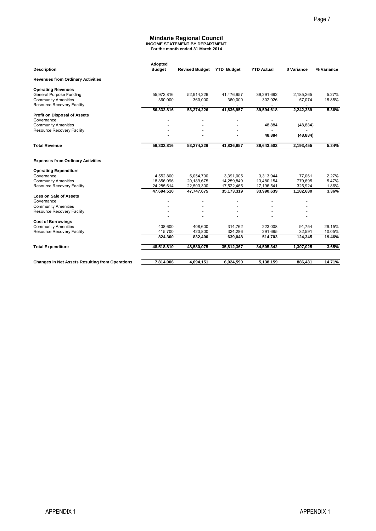#### **Mindarie Regional Council INCOME STATEMENT BY DEPARTMENT For the month ended 31 March 2014**

|                                                                                            |                                            |                                                                                                                |                                                |                                                      |                                            | Page 7           |
|--------------------------------------------------------------------------------------------|--------------------------------------------|----------------------------------------------------------------------------------------------------------------|------------------------------------------------|------------------------------------------------------|--------------------------------------------|------------------|
|                                                                                            |                                            | <b>Mindarie Regional Council</b><br><b>INCOME STATEMENT BY DEPARTMENT</b><br>For the month ended 31 March 2014 |                                                |                                                      |                                            |                  |
| <b>Description</b>                                                                         | Adopted<br><b>Budget</b>                   | Revised Budget YTD Budget                                                                                      |                                                | <b>YTD Actual</b>                                    | \$ Variance                                | % Variance       |
| <b>Revenues from Ordinary Activities</b>                                                   |                                            |                                                                                                                |                                                |                                                      |                                            |                  |
| <b>Operating Revenues</b>                                                                  |                                            |                                                                                                                |                                                |                                                      |                                            |                  |
| <b>General Purpose Funding</b><br><b>Community Amenities</b><br>Resource Recovery Facility | 55,972,816<br>360,000                      | 52,914,226<br>360,000<br>$\overline{a}$                                                                        | 41,476,957<br>360,000<br>$\sim$                | 39,291,692<br>302,926<br>$\mathcal{L}^{\mathcal{A}}$ | 2,185,265<br>57,074<br>$\overline{a}$      | 5.27%<br>15.85%  |
| <b>Profit on Disposal of Assets</b>                                                        | 56,332,816                                 | 53,274,226                                                                                                     | 41,836,957                                     | 39,594,618                                           | 2,242,339                                  | 5.36%            |
| Governance<br><b>Community Amenities</b>                                                   | $\frac{1}{2}$<br>$\overline{\phantom{a}}$  | $\overline{\phantom{a}}$<br>$\qquad \qquad \blacksquare$                                                       | $\overline{a}$<br>$\overline{a}$               | $\blacksquare$<br>48,884                             | $\frac{1}{2}$<br>(48, 884)                 |                  |
| Resource Recovery Facility                                                                 | $\overline{\phantom{a}}$<br>$\blacksquare$ | $\overline{\phantom{a}}$<br>$\blacksquare$                                                                     | $\overline{\phantom{a}}$<br>$\blacksquare$     | 48,884                                               | (48, 884)                                  |                  |
| <b>Total Revenue</b>                                                                       | 56,332,816                                 | 53,274,226                                                                                                     | 41,836,957                                     | 39,643,502                                           | 2,193,455                                  | 5.24%            |
| <b>Expenses from Ordinary Activities</b>                                                   |                                            |                                                                                                                |                                                |                                                      |                                            |                  |
| <b>Operating Expenditure</b>                                                               |                                            |                                                                                                                |                                                |                                                      |                                            |                  |
| Governance<br><b>Community Amenities</b>                                                   | 4,552,800<br>18,856,096                    | 5,054,700<br>20,189,675                                                                                        | 3,391,005<br>14,259,849                        | 3,313,944<br>13,480,154                              | 77,061<br>779,695                          | 2.27%<br>5.47%   |
| Resource Recovery Facility                                                                 | 24,285,614<br>47,694,510                   | 22,503,300<br>47,747,675                                                                                       | 17,522,465<br>35,173,319                       | 17,196,541<br>33,990,639                             | 325,924<br>1,182,680                       | 1.86%<br>3.36%   |
| Loss on Sale of Assets<br>Governance                                                       | $\overline{\phantom{a}}$                   | $\blacksquare$                                                                                                 | $\overline{a}$                                 | $\overline{\phantom{a}}$                             | $\overline{\phantom{a}}$                   |                  |
| <b>Community Amenities</b><br>Resource Recovery Facility                                   | $\overline{a}$                             | $\overline{a}$                                                                                                 | $\blacksquare$                                 | $\overline{a}$<br>$\overline{\phantom{a}}$           | $\overline{\phantom{a}}$                   |                  |
|                                                                                            | $\overline{\phantom{a}}$<br>$\blacksquare$ | $\overline{\phantom{a}}$                                                                                       | $\qquad \qquad \blacksquare$<br>$\blacksquare$ | $\blacksquare$                                       | $\overline{\phantom{a}}$<br>$\blacksquare$ |                  |
| <b>Cost of Borrowings</b><br><b>Community Amenities</b>                                    | 408,600                                    | 408,600                                                                                                        | 314,762                                        | 223,008                                              | 91,754                                     | 29.15%           |
| Resource Recovery Facility                                                                 | 415,700<br>824,300                         | 423,800<br>832,400                                                                                             | 324,286<br>639,048                             | 291,695<br>514,703                                   | 32,591<br>124,345                          | 10.05%<br>19.46% |
| <b>Total Expenditure</b>                                                                   | 48,518,810                                 | 48,580,075                                                                                                     | 35,812,367                                     | 34,505,342                                           | 1,307,025                                  | 3.65%            |
|                                                                                            | 7,814,006                                  | 4,694,151                                                                                                      |                                                |                                                      | 886,431                                    | 14.71%           |
| <b>Changes in Net Assets Resulting from Operations</b>                                     |                                            |                                                                                                                | 6,024,590                                      | 5,138,159                                            |                                            |                  |
|                                                                                            |                                            |                                                                                                                |                                                |                                                      |                                            |                  |
|                                                                                            |                                            |                                                                                                                |                                                |                                                      |                                            |                  |
|                                                                                            |                                            |                                                                                                                |                                                |                                                      |                                            |                  |
|                                                                                            |                                            |                                                                                                                |                                                |                                                      |                                            |                  |
|                                                                                            |                                            |                                                                                                                |                                                |                                                      |                                            |                  |
|                                                                                            |                                            |                                                                                                                |                                                |                                                      |                                            |                  |
|                                                                                            |                                            |                                                                                                                |                                                |                                                      |                                            |                  |
|                                                                                            |                                            |                                                                                                                |                                                |                                                      |                                            |                  |
|                                                                                            |                                            |                                                                                                                |                                                |                                                      |                                            |                  |
|                                                                                            |                                            |                                                                                                                |                                                |                                                      |                                            |                  |
|                                                                                            |                                            |                                                                                                                |                                                |                                                      |                                            |                  |
|                                                                                            |                                            |                                                                                                                |                                                |                                                      |                                            |                  |
|                                                                                            |                                            |                                                                                                                |                                                |                                                      |                                            |                  |
|                                                                                            |                                            |                                                                                                                |                                                |                                                      |                                            |                  |
|                                                                                            |                                            |                                                                                                                |                                                |                                                      |                                            |                  |
|                                                                                            |                                            |                                                                                                                |                                                |                                                      |                                            |                  |
|                                                                                            |                                            |                                                                                                                |                                                |                                                      |                                            |                  |
|                                                                                            |                                            |                                                                                                                |                                                |                                                      |                                            |                  |
|                                                                                            |                                            |                                                                                                                |                                                |                                                      |                                            |                  |
|                                                                                            |                                            |                                                                                                                |                                                |                                                      |                                            |                  |
|                                                                                            |                                            |                                                                                                                |                                                |                                                      |                                            |                  |
|                                                                                            |                                            |                                                                                                                |                                                |                                                      |                                            |                  |
|                                                                                            |                                            |                                                                                                                |                                                |                                                      |                                            |                  |
|                                                                                            |                                            |                                                                                                                |                                                |                                                      |                                            |                  |
|                                                                                            |                                            |                                                                                                                |                                                |                                                      |                                            |                  |
|                                                                                            |                                            |                                                                                                                |                                                |                                                      |                                            |                  |
| <b>APPENDIX1</b>                                                                           |                                            |                                                                                                                |                                                |                                                      |                                            | <b>APPENDIX1</b> |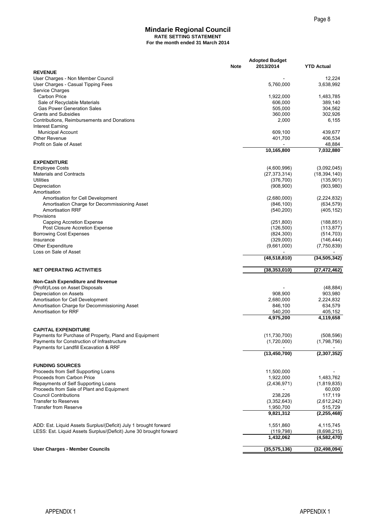#### **Mindarie Regional Council RATE SETTING STATEMENT For the month ended 31 March 2014**

|                                                                          |             |                                    | Page 8                       |
|--------------------------------------------------------------------------|-------------|------------------------------------|------------------------------|
| <b>Mindarie Regional Council</b>                                         |             |                                    |                              |
| <b>RATE SETTING STATEMENT</b>                                            |             |                                    |                              |
| For the month ended 31 March 2014                                        |             |                                    |                              |
|                                                                          |             |                                    |                              |
|                                                                          | <b>Note</b> | <b>Adopted Budget</b><br>2013/2014 | <b>YTD Actual</b>            |
| <b>REVENUE</b><br>User Charges - Non Member Council                      |             |                                    | 12,224                       |
| User Charges - Casual Tipping Fees                                       |             | 5,760,000                          | 3,638,992                    |
| Service Charges                                                          |             |                                    |                              |
| <b>Carbon Price</b><br>Sale of Recyclable Materials                      |             | 1,922,000<br>606,000               | 1,483,785<br>389,140         |
| <b>Gas Power Generation Sales</b>                                        |             | 505,000                            | 304,562                      |
| <b>Grants and Subsidies</b>                                              |             | 360,000                            | 302,926                      |
| Contributions, Reimbursements and Donations                              |             | 2,000                              | 6,155                        |
| Interest Earning<br><b>Municipal Account</b>                             |             | 609,100                            | 439,677                      |
| <b>Other Revenue</b>                                                     |             | 401,700                            | 406,534                      |
| Profit on Sale of Asset                                                  |             |                                    | 48,884                       |
|                                                                          |             | 10,165,800                         | 7,032,880                    |
| <b>EXPENDITURE</b>                                                       |             |                                    |                              |
| <b>Employee Costs</b>                                                    |             | (4,600,996)                        | (3,092,045)                  |
| <b>Materials and Contracts</b><br><b>Utilities</b>                       |             | (27, 373, 314)<br>(376, 700)       | (18, 394, 140)<br>(135, 901) |
| Depreciation                                                             |             | (908, 900)                         | (903, 980)                   |
| Amortisation                                                             |             |                                    |                              |
| Amortisation for Cell Development                                        |             | (2,680,000)                        | (2,224,832)                  |
| Amortisation Charge for Decommissioning Asset<br><b>Amortisation RRF</b> |             | (846, 100)<br>(540, 200)           | (634, 579)<br>(405, 152)     |
| Provisions                                                               |             |                                    |                              |
| Capping Accretion Expense                                                |             | (251, 800)                         | (188, 851)                   |
| Post Closure Accretion Expense                                           |             | (126, 500)<br>(824, 300)           | (113, 877)                   |
| <b>Borrowing Cost Expenses</b><br>Insurance                              |             | (329,000)                          | (514, 703)<br>(146, 444)     |
| <b>Other Expenditure</b>                                                 |             | (9,661,000)                        | (7,750,839)                  |
| Loss on Sale of Asset                                                    |             | (48, 518, 810)                     | (34, 505, 342)               |
|                                                                          |             |                                    |                              |
| <b>NET OPERATING ACTIVITIES</b>                                          |             | (38, 353, 010)                     | (27, 472, 462)               |
| <b>Non-Cash Expenditure and Revenue</b>                                  |             |                                    |                              |
| (Profit)/Loss on Asset Disposals                                         |             |                                    | (48, 884)                    |
| Depreciation on Assets<br>Amortisation for Cell Development              |             | 908,900<br>2,680,000               | 903,980<br>2,224,832         |
| Amortisation Charge for Decommissioning Asset                            |             | 846,100                            | 634,579                      |
| Amortisation for RRF                                                     |             | 540,200                            | 405,152                      |
|                                                                          |             | 4,975,200                          | $\sqrt{4,119,658}$           |
| <b>CAPITAL EXPENDITURE</b>                                               |             |                                    |                              |
| Payments for Purchase of Property, Pland and Equipment                   |             | (11, 730, 700)                     | (508, 596)                   |
| Payments for Construction of Infrastructure                              |             | (1,720,000)                        | (1,798,756)                  |
| Payments for Landfill Excavation & RRF                                   |             | (13, 450, 700)                     | (2,307,352)                  |
|                                                                          |             |                                    |                              |
| <b>FUNDING SOURCES</b>                                                   |             |                                    |                              |
| Proceeds from Self Supporting Loans<br>Proceeds from Carbon Price        |             | 11,500,000<br>1,922,000            | 1,483,762                    |
| Repayments of Self Supporting Loans                                      |             | (2,436,971)                        | (1,819,835)                  |
| Proceeds from Sale of Plant and Equipment                                |             |                                    | 60,000                       |
| <b>Council Contributions</b><br><b>Transfer to Reserves</b>              |             | 238,226                            | 117,119                      |
| <b>Transfer from Reserve</b>                                             |             | (3,352,643)<br>1,950,700           | (2,612,242)<br>515,729       |
|                                                                          |             | 9,821,312                          | (2, 255, 468)                |
| ADD: Est. Liquid Assets Surplus/(Deficit) July 1 brought forward         |             | 1,551,860                          | 4,115,745                    |
| LESS: Est. Liquid Assets Surplus/(Deficit) June 30 brought forward       |             | (119, 798)                         | (8,698,215)                  |
|                                                                          |             | 1,432,062                          | (4,582,470)                  |
| <b>User Charges - Member Councils</b>                                    |             | (35, 575, 136)                     | (32, 498, 094)               |
|                                                                          |             |                                    |                              |
|                                                                          |             |                                    |                              |
|                                                                          |             |                                    |                              |
|                                                                          |             |                                    |                              |
|                                                                          |             |                                    |                              |
| <b>APPENDIX1</b>                                                         |             |                                    | <b>APPENDIX1</b>             |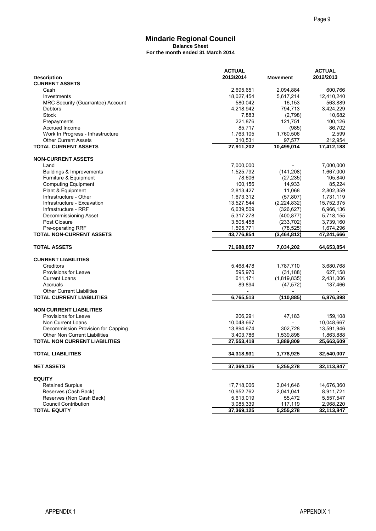#### **Mindarie Regional Council Balance Sheet For the month ended 31 March 2014**

|                                                                              |                                   |                         |                          | Page 9                  |
|------------------------------------------------------------------------------|-----------------------------------|-------------------------|--------------------------|-------------------------|
|                                                                              | <b>Mindarie Regional Council</b>  |                         |                          |                         |
|                                                                              | <b>Balance Sheet</b>              |                         |                          |                         |
|                                                                              | For the month ended 31 March 2014 |                         |                          |                         |
|                                                                              |                                   | <b>ACTUAL</b>           |                          | <b>ACTUAL</b>           |
| <b>Description</b>                                                           |                                   | 2013/2014               | <b>Movement</b>          | 2012/2013               |
| <b>CURRENT ASSETS</b><br>Cash                                                |                                   | 2,695,651               | 2,094,884                | 600,766                 |
| Investments                                                                  |                                   | 18,027,454              | 5,617,214                | 12,410,240              |
| MRC Security (Guarrantee) Account                                            |                                   | 580,042                 | 16,153                   | 563,889                 |
| Debtors<br>Stock                                                             |                                   | 4,218,942<br>7,883      | 794,713<br>(2,798)       | 3,424,229<br>10,682     |
| Prepayments                                                                  |                                   | 221,876                 | 121,751                  | 100,126                 |
| Accrued Income                                                               |                                   | 85,717                  | (985)                    | 86,702                  |
| Work In Progress - Infrastructure<br><b>Other Current Assets</b>             |                                   | 1,763,105<br>310,531    | 1,760,506<br>97,577      | 2,599<br>212,954        |
| <b>TOTAL CURRENT ASSETS</b>                                                  |                                   | $\overline{27,}911,202$ | 10,499,014               | 17,412,188              |
| <b>NON-CURRENT ASSETS</b>                                                    |                                   |                         |                          |                         |
| Land                                                                         |                                   | 7,000,000               |                          | 7,000,000               |
| Buildings & Improvements                                                     |                                   | 1,525,792               | (141, 208)               | 1,667,000               |
| Furniture & Equipment<br><b>Computing Equipment</b>                          |                                   | 78,606<br>100,156       | (27, 235)<br>14,933      | 105,840<br>85,224       |
| Plant & Equipment                                                            |                                   | 2,813,427               | 11,068                   | 2,802,359               |
| Infrastructure - Other                                                       |                                   | 1,673,312               | (57, 807)                | 1,731,119               |
| Infrastructure - Excavation<br>Infrastructure - RRF                          |                                   | 13,527,544<br>6,639,509 | (2,224,832)              | 15,752,375              |
| Decommissioning Asset                                                        |                                   | 5,317,278               | (326, 627)<br>(400, 877) | 6,966,136<br>5,718,155  |
| Post Closure                                                                 |                                   | 3,505,458               | (233, 702)               | 3,739,160               |
| Pre-operating RRF<br><b>TOTAL NON-CURRENT ASSETS</b>                         |                                   | 1,595,771               | (78, 525)                | 1,674,296               |
|                                                                              |                                   | 43,776,854              | (3,464,812)              | 47,241,666              |
| <b>TOTAL ASSETS</b>                                                          |                                   | 71,688,057              | 7,034,202                | 64,653,854              |
| <b>CURRENT LIABILITIES</b>                                                   |                                   |                         |                          |                         |
| Creditors                                                                    |                                   | 5,468,478               | 1,787,710                | 3,680,768               |
| Provisions for Leave<br><b>Current Loans</b>                                 |                                   | 595,970<br>611,171      | (31, 188)<br>(1,819,835) | 627,158<br>2,431,006    |
| Accruals                                                                     |                                   | 89,894                  | (47, 572)                | 137,466                 |
| <b>Other Current Liabilities</b><br><b>TOTAL CURRENT LIABILITIES</b>         |                                   | 6,765,513               | (110, 885)               | 6,876,398               |
|                                                                              |                                   |                         |                          |                         |
| <b>NON CURRENT LIABILITIES</b><br><b>Provisions for Leave</b>                |                                   | 206,291                 | 47,183                   | 159,108                 |
| <b>Non Current Loans</b>                                                     |                                   | 10,048,667              |                          | 10,048,667              |
| Decommission Provision for Capping                                           |                                   | 13,894,674              | 302,728                  | 13,591,946              |
| <b>Other Non Current Liabilities</b><br><b>TOTAL NON CURRENT LIABILITIES</b> |                                   | 3,403,786<br>27,553,418 | 1,539,898<br>1,889,809   | 1,863,888<br>25,663,609 |
|                                                                              |                                   |                         |                          |                         |
| <b>TOTAL LIABILITIES</b>                                                     |                                   | 34,318,931              | 1,778,925                | 32,540,007              |
| <b>NET ASSETS</b>                                                            |                                   | 37,369,125              | 5,255,278                | 32,113,847              |
| <b>EQUITY</b>                                                                |                                   |                         |                          |                         |
| <b>Retained Surplus</b>                                                      |                                   | 17,718,006              | 3,041,646                | 14,676,360              |
| Reserves (Cash Back)<br>Reserves (Non Cash Back)                             |                                   | 10,952,762<br>5,613,019 | 2,041,041<br>55,472      | 8,911,721<br>5,557,547  |
| <b>Council Contribution</b>                                                  |                                   | 3,085,339               | 117,119                  | 2,968,220               |
| <b>TOTAL EQUITY</b>                                                          |                                   | 37,369,125              | 5,255,278                | 32,113,847              |
|                                                                              |                                   |                         |                          |                         |
|                                                                              |                                   |                         |                          |                         |
|                                                                              |                                   |                         |                          |                         |
|                                                                              |                                   |                         |                          |                         |
|                                                                              |                                   |                         |                          |                         |
|                                                                              |                                   |                         |                          |                         |
|                                                                              |                                   |                         |                          |                         |
|                                                                              |                                   |                         |                          |                         |
|                                                                              |                                   |                         |                          |                         |
|                                                                              |                                   |                         |                          |                         |
|                                                                              |                                   |                         |                          |                         |
| <b>APPENDIX1</b>                                                             |                                   |                         |                          | <b>APPENDIX1</b>        |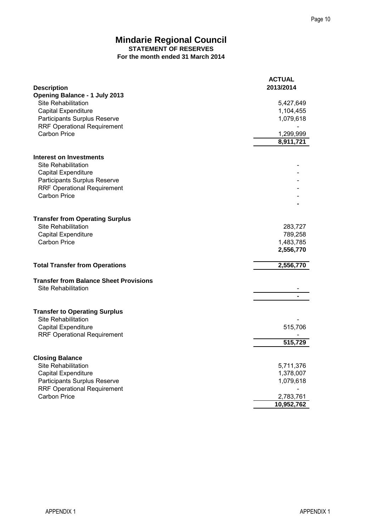#### **Mindarie Regional Council STATEMENT OF RESERVES For the month ended 31 March 2014**

|                                                                                                                                  | Page 10                                      |
|----------------------------------------------------------------------------------------------------------------------------------|----------------------------------------------|
| <b>Mindarie Regional Council</b><br><b>STATEMENT OF RESERVES</b><br>For the month ended 31 March 2014                            |                                              |
| <b>Description</b>                                                                                                               | <b>ACTUAL</b><br>2013/2014                   |
| <b>Opening Balance - 1 July 2013</b><br><b>Site Rehabilitation</b><br><b>Capital Expenditure</b><br>Participants Surplus Reserve | 5,427,649<br>1,104,455<br>1,079,618          |
| <b>RRF Operational Requirement</b><br><b>Carbon Price</b>                                                                        | 1,299,999<br>8,911,721                       |
| <b>Interest on Investments</b><br><b>Site Rehabilitation</b>                                                                     |                                              |
| Capital Expenditure<br>Participants Surplus Reserve<br><b>RRF Operational Requirement</b><br><b>Carbon Price</b>                 |                                              |
| <b>Transfer from Operating Surplus</b>                                                                                           |                                              |
| <b>Site Rehabilitation</b><br>Capital Expenditure<br><b>Carbon Price</b>                                                         | 283,727<br>789,258<br>1,483,785<br>2,556,770 |
| <b>Total Transfer from Operations</b>                                                                                            | 2,556,770                                    |
| <b>Transfer from Balance Sheet Provisions</b><br><b>Site Rehabilitation</b>                                                      |                                              |
| <b>Transfer to Operating Surplus</b><br><b>Site Rehabilitation</b>                                                               |                                              |
| Capital Expenditure<br><b>RRF Operational Requirement</b>                                                                        | 515,706<br>515,729                           |
| <b>Closing Balance</b>                                                                                                           |                                              |
| <b>Site Rehabilitation</b><br><b>Capital Expenditure</b><br>Participants Surplus Reserve<br><b>RRF Operational Requirement</b>   | 5,711,376<br>1,378,007<br>1,079,618          |
| Carbon Price                                                                                                                     | 2,783,761<br>10,952,762                      |
|                                                                                                                                  |                                              |
| <b>APPENDIX1</b>                                                                                                                 | <b>APPENDIX1</b>                             |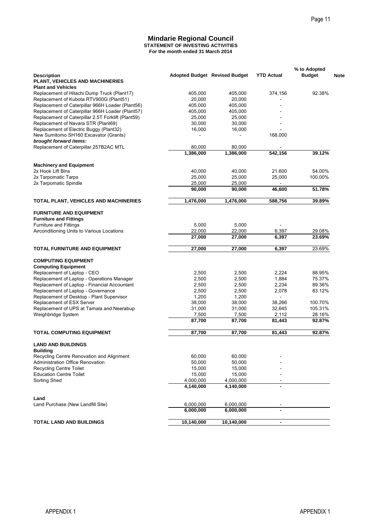#### **For the month ended 31 March 2014 Mindarie Regional Council STATEMENT OF INVESTING ACTIVITIES**

|                                                                                            | <b>Mindarie Regional Council</b><br><b>STATEMENT OF INVESTING ACTIVITIES</b><br>For the month ended 31 March 2014 |                     |                          |                               |
|--------------------------------------------------------------------------------------------|-------------------------------------------------------------------------------------------------------------------|---------------------|--------------------------|-------------------------------|
| <b>Description</b><br>PLANT, VEHICLES AND MACHINERIES                                      | <b>Adopted Budget Revised Budget</b>                                                                              |                     | <b>YTD Actual</b>        | % to Adopted<br><b>Budget</b> |
| <b>Plant and Vehicles</b><br>Replacement of Hitachi Dump Truck (Plant17)                   | 405,000                                                                                                           | 405,000             | 374,156                  | 92.38%                        |
| Replacement of Kubota RTV900G (Plant51)                                                    | 20,000                                                                                                            | 20,000              |                          |                               |
| Replacement of Caterpillar 966H Loader (Plant56)                                           | 405,000                                                                                                           | 405,000             |                          |                               |
| Replacement of Caterpillar 966H Loader (Plant57)                                           | 405,000                                                                                                           | 405,000             |                          |                               |
| Replacement of Caterpillar 2.5T Forklift (Plant59)<br>Replacement of Navara STR (Plant69)  | 25,000<br>30,000                                                                                                  | 25,000<br>30,000    |                          |                               |
| Replacement of Electric Buggy (Plant32)                                                    | 16,000                                                                                                            | 16,000              |                          |                               |
| New Sumitomo SH160 Excavator (Grants)                                                      |                                                                                                                   |                     | 168,000                  |                               |
| brought forward items:                                                                     |                                                                                                                   |                     |                          |                               |
| Replacement of Caterpillar 257B2AC MTL                                                     | 80.000<br>1,386,000                                                                                               | 80,000<br>1,386,000 | 542,156                  | 39.12%                        |
|                                                                                            |                                                                                                                   |                     |                          |                               |
| <b>Machinery and Equipment</b>                                                             |                                                                                                                   |                     |                          |                               |
| 2x Hook Lift Bins<br>2x Tarpomatic Tarps                                                   | 40,000<br>25,000                                                                                                  | 40,000<br>25,000    | 21,600<br>25,000         | 54.00%<br>100.00%             |
| 2x Tarpomatic Spindle                                                                      | 25,000                                                                                                            | 25,000              |                          |                               |
|                                                                                            | 90,000                                                                                                            | 90,000              | 46,600                   | 51.78%                        |
|                                                                                            |                                                                                                                   | 1,476,000           | 588,756                  | 39.89%                        |
| TOTAL PLANT, VEHICLES AND MACHINERIES                                                      | 1,476,000                                                                                                         |                     |                          |                               |
| <b>FURNITURE AND EQUIPMENT</b><br><b>Furniture and Fittings</b>                            |                                                                                                                   |                     |                          |                               |
| <b>Furniture and Fittings</b>                                                              | 5,000                                                                                                             | 5,000               |                          |                               |
| Airconditioning Units to Various Locations                                                 | 22,000                                                                                                            | 22,000              | 6,397                    | 29.08%                        |
|                                                                                            | 27,000                                                                                                            | 27,000              | 6,397                    | 23.69%                        |
| <b>TOTAL FURNITURE AND EQUIPMENT</b>                                                       | 27,000                                                                                                            | 27,000              | 6,397                    | 23.69%                        |
| <b>COMPUTING EQUIPMENT</b>                                                                 |                                                                                                                   |                     |                          |                               |
| <b>Computing Equipment</b>                                                                 |                                                                                                                   |                     |                          |                               |
| Replacement of Laptop - CEO                                                                | 2,500                                                                                                             | 2,500               | 2,224                    | 88.95%                        |
| Replacement of Laptop - Operations Manager<br>Replacement of Laptop - Financial Accountant | 2,500<br>2,500                                                                                                    | 2,500<br>2,500      | 1,884<br>2,234           | 75.37%<br>89.36%              |
| Replacement of Laptop - Governance                                                         | 2,500                                                                                                             | 2,500               | 2,078                    | 83.12%                        |
| Replacement of Desktop - Plant Supervisor                                                  | 1,200                                                                                                             | 1,200               | $\overline{\phantom{a}}$ |                               |
| Replacement of ESX Server                                                                  | 38,000                                                                                                            | 38,000              | 38,266                   | 100.70%                       |
| Replacement of UPS at Tamala and Neerabup<br>Weighbridge System                            | 31,000<br>7,500                                                                                                   | 31,000<br>7,500     | 32,645<br>2,112          | 105.31%<br>28.16%             |
|                                                                                            | 87,700                                                                                                            | 87,700              | 81,443                   | 92.87%                        |
| <b>TOTAL COMPUTING EQUIPMENT</b>                                                           | 87,700                                                                                                            | 87,700              | 81,443                   | 92.87%                        |
|                                                                                            |                                                                                                                   |                     |                          |                               |
| <b>LAND AND BUILDINGS</b><br><b>Building</b>                                               |                                                                                                                   |                     |                          |                               |
| Recycling Centre Renovation and Alignment                                                  | 60,000                                                                                                            | 60,000              |                          |                               |
| <b>Administration Office Renovation</b>                                                    | 50,000                                                                                                            | 50,000              |                          |                               |
| <b>Recycling Centre Toilet</b><br><b>Education Centre Toilet</b>                           | 15,000<br>15,000                                                                                                  | 15,000<br>15,000    |                          |                               |
| Sorting Shed                                                                               | 4,000,000                                                                                                         | 4,000,000           |                          |                               |
|                                                                                            | 4,140,000                                                                                                         | 4,140,000           |                          |                               |
| Land                                                                                       |                                                                                                                   |                     |                          |                               |
| Land Purchase (New Landfill Site)                                                          | 6,000,000                                                                                                         | 6,000,000           |                          |                               |
|                                                                                            | 6,000,000                                                                                                         | 6,000,000           |                          |                               |
|                                                                                            | 10,140,000                                                                                                        | 10,140,000          | $\blacksquare$           |                               |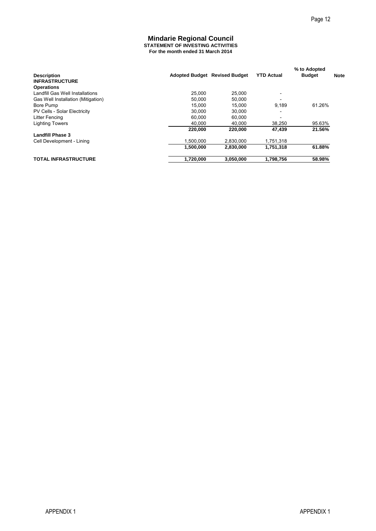#### **For the month ended 31 March 2014 Mindarie Regional Council STATEMENT OF INVESTING ACTIVITIES**

|                                                      |                                                                       |                               |                                | Page 12          |             |
|------------------------------------------------------|-----------------------------------------------------------------------|-------------------------------|--------------------------------|------------------|-------------|
|                                                      |                                                                       |                               |                                |                  |             |
|                                                      | <b>Mindarie Regional Council</b><br>STATEMENT OF INVESTING ACTIVITIES |                               |                                |                  |             |
|                                                      | For the month ended 31 March 2014                                     |                               |                                |                  |             |
|                                                      |                                                                       |                               |                                |                  |             |
|                                                      |                                                                       |                               |                                | % to Adopted     |             |
| <b>Description</b><br><b>INFRASTRUCTURE</b>          |                                                                       | Adopted Budget Revised Budget | <b>YTD Actual</b>              | <b>Budget</b>    | <b>Note</b> |
| <b>Operations</b><br>Landfill Gas Well Installations | 25,000                                                                | 25,000                        |                                |                  |             |
| Gas Well Installation (Mitigation)                   | 50,000                                                                | 50,000                        | $\overline{\phantom{a}}$<br>÷. |                  |             |
| Bore Pump<br>PV Cells - Solar Electricity            | 15,000<br>30,000                                                      | 15,000<br>30,000              | 9,189<br>÷                     | 61.26%           |             |
| Litter Fencing                                       | 60,000                                                                | 60,000                        | $\overline{\phantom{0}}$       |                  |             |
| <b>Lighting Towers</b>                               | 40,000<br>220,000                                                     | 40,000<br>220,000             | 38,250<br>47,439               | 95.63%<br>21.56% |             |
| <b>Landfill Phase 3</b>                              |                                                                       |                               |                                |                  |             |
| Cell Development - Lining                            | 1,500,000                                                             | 2,830,000                     | 1,751,318                      | 61.88%           |             |
|                                                      | 1,500,000                                                             | 2,830,000                     | 1,751,318                      |                  |             |
| <b>TOTAL INFRASTRUCTURE</b>                          | 1,720,000                                                             | 3,050,000                     | 1,798,756                      | 58.98%           |             |
|                                                      |                                                                       |                               |                                |                  |             |
|                                                      |                                                                       |                               |                                |                  |             |
|                                                      |                                                                       |                               |                                |                  |             |
|                                                      |                                                                       |                               |                                |                  |             |
|                                                      |                                                                       |                               |                                |                  |             |
|                                                      |                                                                       |                               |                                |                  |             |
|                                                      |                                                                       |                               |                                |                  |             |
|                                                      |                                                                       |                               |                                |                  |             |
|                                                      |                                                                       |                               |                                |                  |             |
|                                                      |                                                                       |                               |                                |                  |             |
|                                                      |                                                                       |                               |                                |                  |             |
|                                                      |                                                                       |                               |                                |                  |             |
|                                                      |                                                                       |                               |                                |                  |             |
|                                                      |                                                                       |                               |                                |                  |             |
|                                                      |                                                                       |                               |                                |                  |             |
|                                                      |                                                                       |                               |                                |                  |             |
|                                                      |                                                                       |                               |                                |                  |             |
|                                                      |                                                                       |                               |                                |                  |             |
|                                                      |                                                                       |                               |                                |                  |             |
|                                                      |                                                                       |                               |                                |                  |             |
|                                                      |                                                                       |                               |                                |                  |             |
|                                                      |                                                                       |                               |                                |                  |             |
|                                                      |                                                                       |                               |                                |                  |             |
|                                                      |                                                                       |                               |                                |                  |             |
|                                                      |                                                                       |                               |                                |                  |             |
|                                                      |                                                                       |                               |                                |                  |             |
|                                                      |                                                                       |                               |                                |                  |             |
|                                                      |                                                                       |                               |                                |                  |             |
|                                                      |                                                                       |                               |                                |                  |             |
|                                                      |                                                                       |                               |                                |                  |             |
|                                                      |                                                                       |                               |                                |                  |             |
|                                                      |                                                                       |                               |                                |                  |             |
|                                                      |                                                                       |                               |                                |                  |             |
|                                                      |                                                                       |                               |                                |                  |             |
|                                                      |                                                                       |                               |                                |                  |             |
|                                                      |                                                                       |                               |                                |                  |             |
|                                                      |                                                                       |                               |                                |                  |             |
|                                                      |                                                                       |                               |                                |                  |             |
|                                                      |                                                                       |                               |                                |                  |             |
|                                                      |                                                                       |                               |                                |                  |             |
| <b>APPENDIX1</b>                                     |                                                                       |                               |                                | <b>APPENDIX1</b> |             |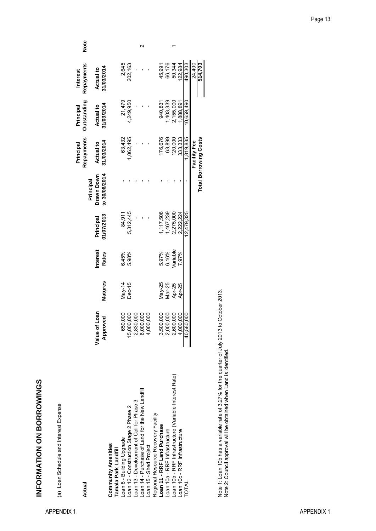INFORMATION ON BORROWINGS **INFORMATION ON BORROWINGS**

(a) Loan Schedule and Interest Expense (a) Loan Schedule and Interest Expense

| Actual                                                 |                                                  |                |                          |                         |                                          | Repayments<br>Principal      | <b>Outstanding</b><br>Principal | Repayments<br><b>Interest</b>  | Note |
|--------------------------------------------------------|--------------------------------------------------|----------------|--------------------------|-------------------------|------------------------------------------|------------------------------|---------------------------------|--------------------------------|------|
|                                                        | Value of Loan<br>Approved                        | <b>Matures</b> | Interest<br><b>Rates</b> | 01/07/2013<br>Principal | to 30/06/2014<br>Drawn Down<br>Principal | 31/03/2014<br>Actual to      | 31/03/2014<br><b>Actual to</b>  | 31/03/2014<br><b>Actual to</b> |      |
| <b>Community Amenities</b><br>Tamala Park Landfill     |                                                  |                |                          |                         |                                          |                              |                                 |                                |      |
| Loan 8 - Building Upgrade                              | 650,000                                          | May-14         | 6.45%                    | 84,911                  |                                          | 63,432                       | 21,479                          | 2,645                          |      |
| -oan 12 - Construction Stage 2 Phase 2                 | 15,000,000                                       | Dec-15         | 5.98%                    | 5,312,445               |                                          | 1,062,495                    | 4,249,950                       | 202,163                        |      |
| oan 13 - Development of Cell for Phase 3               |                                                  |                |                          |                         |                                          |                              |                                 |                                |      |
| -oan 14 - Purchase of Land for the New Landfill        |                                                  |                |                          |                         |                                          |                              |                                 |                                |      |
| -oan 15 - Shed Project                                 | 2,830,000<br>6,000,000<br>4,000,000              |                |                          |                         |                                          |                              |                                 |                                |      |
| Regional Resource Recovery Facility                    |                                                  |                |                          |                         |                                          |                              |                                 |                                |      |
| Loan 11 - RRF Land Purchase                            |                                                  | $May-25$       | 5.97%                    | 1,117,506               |                                          | 176,676                      | 940,831                         | 45,991                         |      |
| -oan 10a - RRF Infrastructure                          | 3,500,000<br>2,000,000<br>2,600,000<br>4,000,000 | Mar-25         | 6.16%                    | 1,467,239               |                                          | 63,899                       | ,403,339                        | 66,176                         |      |
| -oan 10b - RRF Infrastructure (Variable Interest Rate) |                                                  | Apr-25         | Variable                 | 2,275,000               |                                          | 120,000                      | 2,155,000                       | 50,344                         |      |
| -oan 10c - RRF Infrastructure                          |                                                  | Apr-25         | 7.97%                    | 2.222.224               |                                          | 333,333                      | ,888,891                        | 122,984                        |      |
| <b>TOTAL</b>                                           | 40,580,000                                       |                |                          | 12.479.325              |                                          | 1,819,835                    | 10.659.490                      | 490.303                        |      |
|                                                        |                                                  |                |                          |                         |                                          | Facility Fee                 |                                 | 24,400                         |      |
|                                                        |                                                  |                |                          |                         |                                          | <b>Total Borrowing Costs</b> |                                 | 514,703                        |      |
|                                                        |                                                  |                |                          |                         |                                          |                              |                                 |                                |      |

Note 1: Loan 10b has a variable rate of 3.27% for the quarter of July 2013 to October 2013.<br>Note 2: Council approval will be obtained when Land is identified. Note 1: Loan 10b has a variable rate of 3.27% for the quarter of July 2013 to October 2013. Note 2: Council approval will be obtained when Land is identified.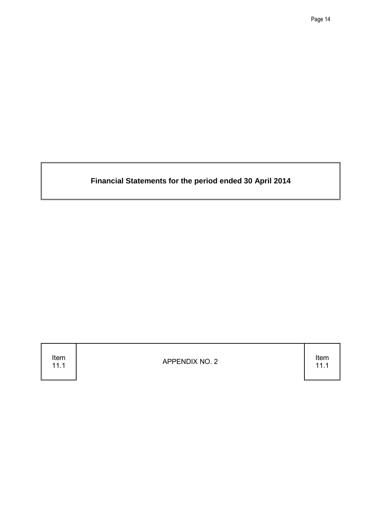**Financial Statements for the period ended 30 April 2014**

Item<br>11.1

11.1 APPENDIX NO. 2 Item

11.1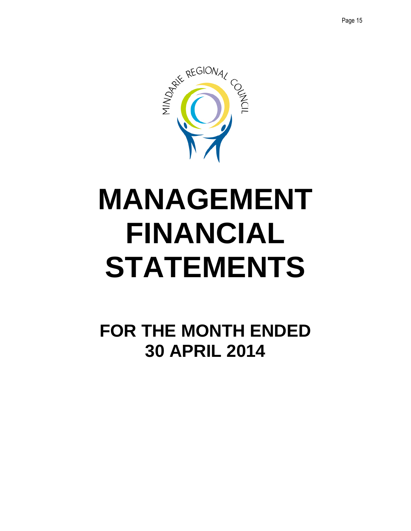

## **MANAGEMENT FINANCIAL STATEMENTS**

**FOR THE MONTH ENDED 30 APRIL 2014**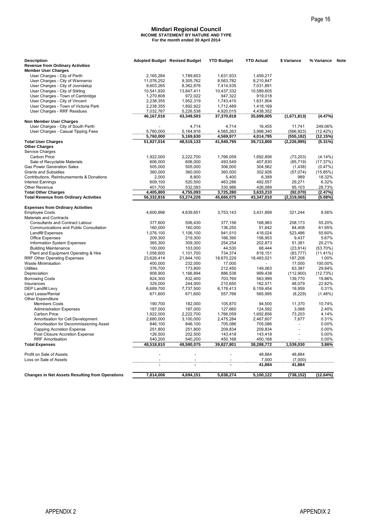#### **Mindari Regional Council INCOME STATEMENT BY NATURE AND TYPE For the month ended 30 April 2014**

|                                                                             |                         |                                                                               |                         |                         |                                   | Page 16                |
|-----------------------------------------------------------------------------|-------------------------|-------------------------------------------------------------------------------|-------------------------|-------------------------|-----------------------------------|------------------------|
|                                                                             |                         | <b>Mindari Regional Council</b><br><b>INCOME STATEMENT BY NATURE AND TYPE</b> |                         |                         |                                   |                        |
|                                                                             |                         | For the month ended 30 April 2014                                             |                         |                         |                                   |                        |
| <b>Description</b><br><b>Revenue from Ordinary Activities</b>               |                         | <b>Adopted Budget Revised Budget</b>                                          | <b>YTD Budget</b>       | <b>YTD Actual</b>       | \$ Variance                       | % Variance             |
| <b>Member User Charges</b>                                                  |                         |                                                                               |                         |                         |                                   |                        |
| User Charges - City of Perth                                                | 2,165,284               | 1,789,653                                                                     | 1,631,933               | 1,459,217               |                                   |                        |
| User Charges - City of Wanneroo<br>User Charges - City of Joondalup         | 11.076.252<br>9,603,265 | 9,305,762<br>8,362,876                                                        | 8,563,782<br>7,414,535  | 8,210,847<br>7,031,891  |                                   |                        |
| User Charges - City of Stirling                                             | 10,541,930              | 13,847,411                                                                    | 10,437,332              | 10,589,605              |                                   |                        |
| User Charges - Town of Cambridge                                            | 1,270,808               | 972,022                                                                       | 947,322                 | 919,018                 |                                   |                        |
| User Charges - City of Vincent<br>User Charges - Town of Victoria Park      | 2,238,355<br>2,238,355  | 1,952,319<br>1,892,922                                                        | 1,743,410<br>1,712,489  | 1,631,904<br>1,418,169  |                                   |                        |
| User Charges - RRF Residues                                                 | 7,032,767               | 5,226,538                                                                     | 4,920,015               | 4,438,352               |                                   |                        |
| <b>Non Member User Charges</b>                                              | 46,167,016              | 43,349,503                                                                    | 37,370,818              | 35,699,005              | (1,671,813)                       | (4.47%)                |
| User Charges - City of South Perth                                          |                         | 4,714                                                                         | 4,714                   | 16,455                  | 11,741                            | 249.06%                |
| User Charges - Casual Tipping Fees                                          | 5,760,000               | 5,164,916                                                                     | 4,565,263               | 3,998,340               | (566, 923)                        | (12.42%)               |
| <b>Total User Charges</b>                                                   | 5,760,000<br>51,927,016 | 5,169,630<br>48,519,133                                                       | 4,569,977<br>41,940,795 | 4,014,795<br>39,713,800 | (555,182)<br>(2, 226, 995)        | (12.15%)<br>$(5.31\%)$ |
| <b>Other Charges</b>                                                        |                         |                                                                               |                         |                         |                                   |                        |
| Service Charges<br><b>Carbon Price</b>                                      | 1,922,000               | 2,222,700                                                                     | 1,766,059               | 1.692.856               | (73, 203)                         | $(4.14\%)$             |
| Sale of Recyclable Materials                                                | 606,000                 | 606.000                                                                       | 493,549                 | 407,830                 | (85, 719)                         | (17.37%)               |
| <b>Gas Power Generation Sales</b>                                           | 505,000                 | 505,000                                                                       | 306,000                 | 304,562                 | (1,438)                           | (0.47%)                |
| <b>Grants and Subsidies</b><br>Contributions, Reimbursements & Donations    | 360,000<br>2,000        | 360,000<br>8,800                                                              | 360,000<br>5,400        | 302,926<br>6,389        | (57, 074)<br>989                  | (15.85%)<br>18.32%     |
| <b>Interest Earnings</b>                                                    | 609,100                 | 520,500                                                                       | 463,286                 | 492,557                 | 29,271                            | 6.32%                  |
| Other Revenue                                                               | 401,700                 | 532,093                                                                       | 330,986                 | 426,089                 | 95,103                            | 28.73%                 |
| <b>Total Other Charges</b><br><b>Total Revenue from Ordinary Activities</b> | 4,405,800<br>56,332,816 | 4,755,093<br>53,274,226                                                       | 3,725,280<br>45,666,075 | 3.633.210<br>43,347,010 | (92,070)<br>(2,319,065)           | (2.47%)<br>(5.08%)     |
|                                                                             |                         |                                                                               |                         |                         |                                   |                        |
| <b>Expenses from Ordinary Activities</b><br><b>Employee Costs</b>           | 4,600,996               | 4,639,651                                                                     | 3,753,143               | 3,431,899               | 321,244                           | 8.56%                  |
| <b>Materials and Contracts</b>                                              |                         |                                                                               |                         |                         |                                   |                        |
| <b>Consultants and Contract Labour</b>                                      | 377,600                 | 506,430                                                                       | 377,156<br>136,250      | 168,983<br>51,842       | 208,173<br>84,408                 | 55.20%<br>61.95%       |
| Communications and Public Consultation<br><b>Landfill Expenses</b>          | 160,000<br>1,076,100    | 160,000<br>1,106,100                                                          | 941,510                 | 418,024                 | 523,486                           | 55.60%                 |
| <b>Office Expenses</b>                                                      | 209,300                 | 219,300                                                                       | 166,390                 | 156,953                 | 9,437                             | 5.67%                  |
| Information System Expenses<br><b>Building Maintenance</b>                  | 365,300<br>100,000      | 309,300<br>103,000                                                            | 254,254<br>44,530       | 202,873<br>68,444       | 51,381<br>(23, 914)               | 20.21%<br>(53.70%)     |
| Plant and Equipment Operating & Hire                                        | 1,058,600               | 1,101,700                                                                     | 734,374                 | 818,151                 | (83, 777)                         | (11.41%)               |
| RRF Other Operating Expenses                                                | 23,626,414              | 21,844,100                                                                    | 18,670,229              | 18,483,021              | 187,208                           | 1.00%                  |
| <b>Waste Minimisation</b><br><b>Utilities</b>                               | 400,000<br>376,700      | 232,000<br>173,800                                                            | 17,000<br>212,450       | 149.063                 | 17,000<br>63,387                  | 100.00%<br>29.84%      |
| Depreciation                                                                | 908,900                 | 1,166,894                                                                     | 886,538                 | 999,438                 | (112,900)                         | (12.73%)               |
| <b>Borrowing Costs</b>                                                      | 824,300                 | 832,400<br>244.000                                                            | 703,769                 | 563,999                 | 139,770                           | 19.86%                 |
| Insurances<br><b>DEP Landfill Levy</b>                                      | 329,000<br>6,689,700    | 7,737,500                                                                     | 210,650<br>6,178,413    | 162,571<br>6,159,454    | 48,079<br>18,959                  | 22.82%<br>0.31%        |
| Land Lease/Rental                                                           | 671,600                 | 671,600                                                                       | 557,766                 | 565,995                 | (8, 229)                          | (1.48%)                |
| <b>Other Expenditure</b><br><b>Members Costs</b>                            | 190,700                 | 182,000                                                                       | 105,870                 | 94,500                  | 11,370                            | 10.74%                 |
| <b>Administration Expenses</b>                                              | 187,000                 | 187,000                                                                       | 127,660                 | 124,592                 | 3,068                             | 2.40%                  |
| Carbon Price                                                                | 1,922,000               | 2,222,700                                                                     | 1,766,059               | 1,692,856               | 73,203                            | 4.14%                  |
| Amortisation for Cell Development<br>Amortisation for Decommissioning Asset | 2,680,000<br>846,100    | 3,100,000<br>846,100                                                          | 2,475,284<br>705,086    | 2,467,607<br>705,086    | 7,677<br>$\overline{\phantom{a}}$ | 0.31%<br>$0.00\%$      |
| <b>Capping Accretion Expense</b>                                            | 251,800                 | 251,800                                                                       | 209,834                 | 209,834                 | ÷                                 | $0.00\%$               |
| Post Closure Accretion Expense                                              | 126,500                 | 202,500                                                                       | 143,418                 | 143,418                 |                                   | $0.00\%$               |
| <b>RRF Amortisation</b><br><b>Total Expenses</b>                            | 540,200<br>48,518,810   | 540,200<br>48,580,075                                                         | 450,168<br>39,827,801   | 450,168<br>38,288,772   | 1,539,030                         | $0.00\%$<br>3.86%      |
|                                                                             |                         |                                                                               |                         |                         |                                   |                        |
| Profit on Sale of Assets<br>Loss on Sale of Assets                          |                         |                                                                               |                         | 48,884<br>7,000         | 48,884<br>(7,000)                 |                        |
|                                                                             |                         |                                                                               |                         | 41,884                  | 41,884                            |                        |
| <b>Changes in Net Assets Resulting from Operations</b>                      | 7,814,006               | 4,694,151                                                                     | 5,838,274               | 5,100,122               | (738,152)                         | (12.64%)               |
|                                                                             |                         |                                                                               |                         |                         |                                   |                        |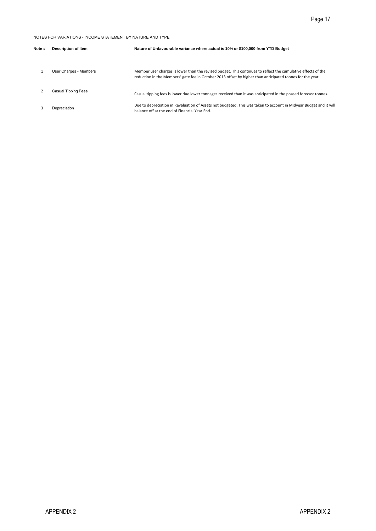|                |                                                            | Page 17                                                                                                                                                                                                                    |
|----------------|------------------------------------------------------------|----------------------------------------------------------------------------------------------------------------------------------------------------------------------------------------------------------------------------|
|                | NOTES FOR VARIATIONS - INCOME STATEMENT BY NATURE AND TYPE |                                                                                                                                                                                                                            |
| Note #         | Description of Item                                        | Nature of Unfavourable variance where actual is 10% or \$100,000 from YTD Budget                                                                                                                                           |
| $\mathbf{1}$   | User Charges - Members                                     | Member user charges is lower than the revised budget. This continues to reflect the cumulative effects of the<br>reduction in the Members' gate fee in October 2013 offset by higher than anticipated tonnes for the year. |
| $\overline{2}$ | Casual Tipping Fees                                        | Casual tipping fees is lower due lower tonnages received than it was anticipated in the phased forecast tonnes.                                                                                                            |
| 3              | Depreciation                                               | Due to depreciation in Revaluation of Assets not budgeted. This was taken to account in Midyear Budget and it will<br>balance off at the end of Financial Year End.                                                        |
|                |                                                            |                                                                                                                                                                                                                            |
|                |                                                            |                                                                                                                                                                                                                            |
|                |                                                            |                                                                                                                                                                                                                            |
|                |                                                            |                                                                                                                                                                                                                            |
|                |                                                            |                                                                                                                                                                                                                            |
|                |                                                            |                                                                                                                                                                                                                            |
|                |                                                            |                                                                                                                                                                                                                            |
|                |                                                            |                                                                                                                                                                                                                            |
|                |                                                            |                                                                                                                                                                                                                            |
|                |                                                            |                                                                                                                                                                                                                            |
|                |                                                            |                                                                                                                                                                                                                            |
|                |                                                            |                                                                                                                                                                                                                            |
|                |                                                            |                                                                                                                                                                                                                            |
|                |                                                            |                                                                                                                                                                                                                            |
|                |                                                            |                                                                                                                                                                                                                            |
|                |                                                            |                                                                                                                                                                                                                            |
|                |                                                            |                                                                                                                                                                                                                            |
|                |                                                            |                                                                                                                                                                                                                            |
|                |                                                            |                                                                                                                                                                                                                            |
|                |                                                            |                                                                                                                                                                                                                            |
|                |                                                            |                                                                                                                                                                                                                            |
|                |                                                            |                                                                                                                                                                                                                            |
|                |                                                            |                                                                                                                                                                                                                            |
|                | <b>APPENDIX 2</b>                                          | APPENDIX 2                                                                                                                                                                                                                 |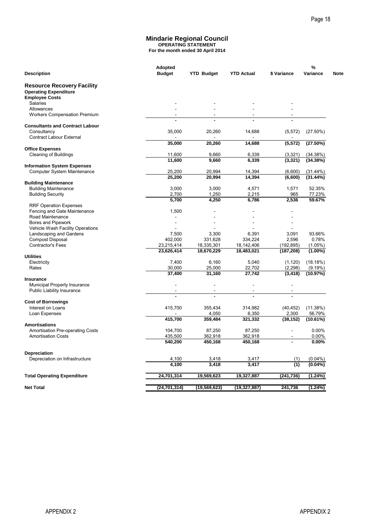#### **Mindarie Regional Council OPERATING STATEMENT**

| <b>Description</b><br><b>Resource Recovery Facility</b><br><b>Operating Expenditure</b><br>Salaries<br>Allowances<br>Workers Compensation Premium<br>Consultancy<br><b>Contract Labour External</b><br><b>Office Expenses</b><br><b>Cleaning of Buildings</b><br>Computer System Maintenance<br><b>Building Maintenance</b><br><b>Building Security</b><br><b>RRF Operation Expenses</b><br>Fencing and Gate Maintenance<br>Road Maintenance<br>Bores and Pipework<br>Vehicle Wash Facility Operations<br>Landscaping and Gardens<br><b>Compost Disposal</b><br>Contractor's Fees<br>Electricity<br>Rates<br>Municipal Property Insurance | Adopted<br><b>Budget</b><br>35,000<br>35,000<br>11.600<br>11,600<br>25,200<br>25,200<br>3,000<br>2,700<br>5,700<br>1,500<br>$\sim$<br>7,500<br>402,000<br>23,215,414<br>23,626,414 | <b>YTD Budget</b><br>20,260<br>20,260<br>9,660<br>9,660<br>20,994<br>20,994<br>3,000<br>1,250<br>4,250<br>$\overline{a}$<br>3,300 | <b>YTD Actual</b><br>14,688<br>14,688<br>6,339<br>6,339<br>14,394<br>14,394<br>4,571<br>2,215<br>6,786 | \$ Variance<br>(5, 572)<br>(5, 572)<br>(3,321)<br>(3, 321)<br>(6.600)<br>(6,600)<br>1,571<br>965<br>2,536 | %<br>Variance<br>$(27.50\%)$<br>(27.50%)<br>(34.38%)<br>(34.38%)<br>(31.44%)<br>(31.44%)<br>52.35%<br>77.23%<br>59.67% |
|-------------------------------------------------------------------------------------------------------------------------------------------------------------------------------------------------------------------------------------------------------------------------------------------------------------------------------------------------------------------------------------------------------------------------------------------------------------------------------------------------------------------------------------------------------------------------------------------------------------------------------------------|------------------------------------------------------------------------------------------------------------------------------------------------------------------------------------|-----------------------------------------------------------------------------------------------------------------------------------|--------------------------------------------------------------------------------------------------------|-----------------------------------------------------------------------------------------------------------|------------------------------------------------------------------------------------------------------------------------|
| <b>Employee Costs</b><br><b>Consultants and Contract Labour</b><br><b>Information System Expenses</b><br><b>Building Maintenance</b><br><b>Utilities</b><br><b>Insurance</b>                                                                                                                                                                                                                                                                                                                                                                                                                                                              |                                                                                                                                                                                    |                                                                                                                                   |                                                                                                        |                                                                                                           |                                                                                                                        |
|                                                                                                                                                                                                                                                                                                                                                                                                                                                                                                                                                                                                                                           |                                                                                                                                                                                    |                                                                                                                                   |                                                                                                        |                                                                                                           |                                                                                                                        |
|                                                                                                                                                                                                                                                                                                                                                                                                                                                                                                                                                                                                                                           |                                                                                                                                                                                    |                                                                                                                                   |                                                                                                        |                                                                                                           |                                                                                                                        |
|                                                                                                                                                                                                                                                                                                                                                                                                                                                                                                                                                                                                                                           |                                                                                                                                                                                    |                                                                                                                                   |                                                                                                        |                                                                                                           |                                                                                                                        |
|                                                                                                                                                                                                                                                                                                                                                                                                                                                                                                                                                                                                                                           |                                                                                                                                                                                    |                                                                                                                                   |                                                                                                        |                                                                                                           |                                                                                                                        |
|                                                                                                                                                                                                                                                                                                                                                                                                                                                                                                                                                                                                                                           |                                                                                                                                                                                    |                                                                                                                                   |                                                                                                        |                                                                                                           |                                                                                                                        |
|                                                                                                                                                                                                                                                                                                                                                                                                                                                                                                                                                                                                                                           |                                                                                                                                                                                    |                                                                                                                                   |                                                                                                        |                                                                                                           |                                                                                                                        |
|                                                                                                                                                                                                                                                                                                                                                                                                                                                                                                                                                                                                                                           |                                                                                                                                                                                    |                                                                                                                                   |                                                                                                        |                                                                                                           |                                                                                                                        |
|                                                                                                                                                                                                                                                                                                                                                                                                                                                                                                                                                                                                                                           |                                                                                                                                                                                    |                                                                                                                                   |                                                                                                        |                                                                                                           |                                                                                                                        |
|                                                                                                                                                                                                                                                                                                                                                                                                                                                                                                                                                                                                                                           |                                                                                                                                                                                    |                                                                                                                                   |                                                                                                        |                                                                                                           |                                                                                                                        |
|                                                                                                                                                                                                                                                                                                                                                                                                                                                                                                                                                                                                                                           |                                                                                                                                                                                    |                                                                                                                                   |                                                                                                        |                                                                                                           |                                                                                                                        |
|                                                                                                                                                                                                                                                                                                                                                                                                                                                                                                                                                                                                                                           |                                                                                                                                                                                    |                                                                                                                                   |                                                                                                        |                                                                                                           |                                                                                                                        |
|                                                                                                                                                                                                                                                                                                                                                                                                                                                                                                                                                                                                                                           |                                                                                                                                                                                    |                                                                                                                                   |                                                                                                        |                                                                                                           |                                                                                                                        |
|                                                                                                                                                                                                                                                                                                                                                                                                                                                                                                                                                                                                                                           |                                                                                                                                                                                    |                                                                                                                                   |                                                                                                        |                                                                                                           |                                                                                                                        |
|                                                                                                                                                                                                                                                                                                                                                                                                                                                                                                                                                                                                                                           |                                                                                                                                                                                    |                                                                                                                                   |                                                                                                        |                                                                                                           |                                                                                                                        |
|                                                                                                                                                                                                                                                                                                                                                                                                                                                                                                                                                                                                                                           |                                                                                                                                                                                    |                                                                                                                                   |                                                                                                        |                                                                                                           |                                                                                                                        |
|                                                                                                                                                                                                                                                                                                                                                                                                                                                                                                                                                                                                                                           |                                                                                                                                                                                    |                                                                                                                                   |                                                                                                        |                                                                                                           |                                                                                                                        |
|                                                                                                                                                                                                                                                                                                                                                                                                                                                                                                                                                                                                                                           |                                                                                                                                                                                    |                                                                                                                                   |                                                                                                        |                                                                                                           |                                                                                                                        |
|                                                                                                                                                                                                                                                                                                                                                                                                                                                                                                                                                                                                                                           |                                                                                                                                                                                    | 331,628                                                                                                                           | 6,391<br>334,224                                                                                       | 3,091<br>2,596                                                                                            | 93.66%<br>0.78%                                                                                                        |
|                                                                                                                                                                                                                                                                                                                                                                                                                                                                                                                                                                                                                                           |                                                                                                                                                                                    | 18,335,301                                                                                                                        | 18,142,406                                                                                             | (192, 895)                                                                                                | $(1.05\%)$                                                                                                             |
|                                                                                                                                                                                                                                                                                                                                                                                                                                                                                                                                                                                                                                           |                                                                                                                                                                                    | 18,670,229                                                                                                                        | 18,483,021                                                                                             | (187, 208)                                                                                                | $(1.00\%)$                                                                                                             |
|                                                                                                                                                                                                                                                                                                                                                                                                                                                                                                                                                                                                                                           | 7,400                                                                                                                                                                              | 6,160                                                                                                                             | 5,040                                                                                                  | (1, 120)                                                                                                  | (18.18%)                                                                                                               |
|                                                                                                                                                                                                                                                                                                                                                                                                                                                                                                                                                                                                                                           | 30,000                                                                                                                                                                             | 25,000                                                                                                                            | 22,702                                                                                                 | (2, 298)                                                                                                  | (9.19%)                                                                                                                |
|                                                                                                                                                                                                                                                                                                                                                                                                                                                                                                                                                                                                                                           | 37,400                                                                                                                                                                             | 31,160                                                                                                                            | 27,742                                                                                                 | (3, 418)                                                                                                  | (10.97%)                                                                                                               |
|                                                                                                                                                                                                                                                                                                                                                                                                                                                                                                                                                                                                                                           |                                                                                                                                                                                    | $\overline{a}$                                                                                                                    |                                                                                                        |                                                                                                           |                                                                                                                        |
| <b>Public Liability Insurance</b>                                                                                                                                                                                                                                                                                                                                                                                                                                                                                                                                                                                                         |                                                                                                                                                                                    | $\overline{\phantom{a}}$<br>ä,                                                                                                    | $\overline{\phantom{a}}$<br>٠                                                                          | $\sim$                                                                                                    |                                                                                                                        |
| <b>Cost of Borrowings</b>                                                                                                                                                                                                                                                                                                                                                                                                                                                                                                                                                                                                                 |                                                                                                                                                                                    |                                                                                                                                   |                                                                                                        |                                                                                                           |                                                                                                                        |
| Interest on Loans                                                                                                                                                                                                                                                                                                                                                                                                                                                                                                                                                                                                                         | 415,700                                                                                                                                                                            | 355,434                                                                                                                           | 314,982                                                                                                | (40, 452)<br>2,300                                                                                        | (11.38%)                                                                                                               |
| Loan Expenses                                                                                                                                                                                                                                                                                                                                                                                                                                                                                                                                                                                                                             | 415,700                                                                                                                                                                            | 4,050<br>359,484                                                                                                                  | 6,350<br>321,332                                                                                       | (38, 152)                                                                                                 | 56.79%<br>(10.61%)                                                                                                     |
| <b>Amortisations</b>                                                                                                                                                                                                                                                                                                                                                                                                                                                                                                                                                                                                                      |                                                                                                                                                                                    |                                                                                                                                   |                                                                                                        |                                                                                                           |                                                                                                                        |
| Amortisation Pre-operating Costs<br><b>Amortisation Costs</b>                                                                                                                                                                                                                                                                                                                                                                                                                                                                                                                                                                             | 104,700<br>435,500                                                                                                                                                                 | 87,250<br>362,918                                                                                                                 | 87,250<br>362,918                                                                                      | $\overline{\phantom{a}}$                                                                                  | 0.00%<br>0.00%                                                                                                         |
|                                                                                                                                                                                                                                                                                                                                                                                                                                                                                                                                                                                                                                           | 540,200                                                                                                                                                                            | 450,168                                                                                                                           | 450,168                                                                                                |                                                                                                           | 0.00%                                                                                                                  |
| Depreciation                                                                                                                                                                                                                                                                                                                                                                                                                                                                                                                                                                                                                              |                                                                                                                                                                                    |                                                                                                                                   |                                                                                                        |                                                                                                           |                                                                                                                        |
| Depreciation on Infrastructure                                                                                                                                                                                                                                                                                                                                                                                                                                                                                                                                                                                                            | 4,100                                                                                                                                                                              | 3,418                                                                                                                             | 3,417                                                                                                  | (1)                                                                                                       | $(0.04\%)$                                                                                                             |
|                                                                                                                                                                                                                                                                                                                                                                                                                                                                                                                                                                                                                                           | 4,100                                                                                                                                                                              | 3,418                                                                                                                             | 3,417                                                                                                  | $\overline{(1)}$                                                                                          | $(0.04\%)$                                                                                                             |
| <b>Total Operating Expenditure</b>                                                                                                                                                                                                                                                                                                                                                                                                                                                                                                                                                                                                        | 24,701,314                                                                                                                                                                         | 19,569,623                                                                                                                        | 19,327,887                                                                                             | (241, 736)                                                                                                | (1.24%)                                                                                                                |
| <b>Net Total</b>                                                                                                                                                                                                                                                                                                                                                                                                                                                                                                                                                                                                                          | (24, 701, 314)                                                                                                                                                                     | (19, 569, 623)                                                                                                                    | (19, 327, 887)                                                                                         | 241,736                                                                                                   | (1.24%)                                                                                                                |
|                                                                                                                                                                                                                                                                                                                                                                                                                                                                                                                                                                                                                                           |                                                                                                                                                                                    |                                                                                                                                   |                                                                                                        |                                                                                                           |                                                                                                                        |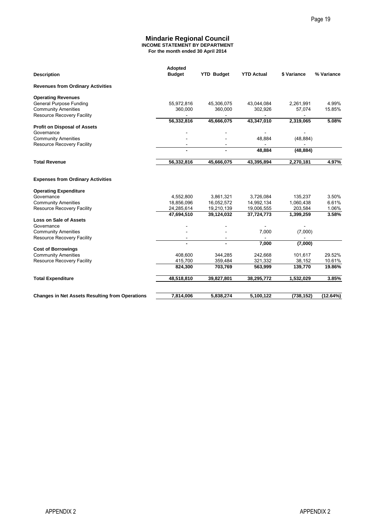#### **Mindarie Regional Council INCOME STATEMENT BY DEPARTMENT For the month ended 30 April 2014**

|                                                                                                                         |                                                                                                                |                         |                         |                      | Page 19           |
|-------------------------------------------------------------------------------------------------------------------------|----------------------------------------------------------------------------------------------------------------|-------------------------|-------------------------|----------------------|-------------------|
|                                                                                                                         | <b>Mindarie Regional Council</b><br><b>INCOME STATEMENT BY DEPARTMENT</b><br>For the month ended 30 April 2014 |                         |                         |                      |                   |
| <b>Description</b>                                                                                                      | Adopted<br><b>Budget</b>                                                                                       | <b>YTD Budget</b>       | <b>YTD Actual</b>       | \$ Variance          | % Variance        |
| <b>Revenues from Ordinary Activities</b>                                                                                |                                                                                                                |                         |                         |                      |                   |
|                                                                                                                         |                                                                                                                |                         |                         |                      |                   |
| <b>Operating Revenues</b><br><b>General Purpose Funding</b><br><b>Community Amenities</b><br>Resource Recovery Facility | 55,972,816<br>360,000                                                                                          | 45,306,075<br>360,000   | 43,044,084<br>302,926   | 2,261,991<br>57,074  | 4.99%<br>15.85%   |
|                                                                                                                         | 56,332,816                                                                                                     | 45,666,075              | 43,347,010              | 2,319,065            | 5.08%             |
| <b>Profit on Disposal of Assets</b><br>Governance                                                                       |                                                                                                                |                         |                         |                      |                   |
| <b>Community Amenities</b><br>Resource Recovery Facility                                                                | $\overline{a}$                                                                                                 |                         | 48,884                  | (48, 884)            |                   |
|                                                                                                                         |                                                                                                                |                         | 48,884                  | (48, 884)            |                   |
| <b>Total Revenue</b>                                                                                                    | 56,332,816                                                                                                     | 45,666,075              | 43,395,894              | 2,270,181            | 4.97%             |
| <b>Expenses from Ordinary Activities</b>                                                                                |                                                                                                                |                         |                         |                      |                   |
| <b>Operating Expenditure</b>                                                                                            |                                                                                                                |                         |                         |                      |                   |
| Governance<br><b>Community Amenities</b>                                                                                | 4,552,800<br>18,856,096                                                                                        | 3,861,321<br>16,052,572 | 3,726,084<br>14,992,134 | 135,237<br>1,060,438 | 3.50%<br>6.61%    |
| Resource Recovery Facility                                                                                              | 24,285,614                                                                                                     | 19,210,139              | 19,006,555              | 203,584              | 1.06%             |
| Loss on Sale of Assets                                                                                                  | 47,694,510                                                                                                     | 39,124,032              | 37,724,773              | 1,399,259            | 3.58%             |
| Governance                                                                                                              |                                                                                                                |                         |                         |                      |                   |
| <b>Community Amenities</b><br>Resource Recovery Facility                                                                | $\qquad \qquad \blacksquare$                                                                                   |                         | 7,000<br>÷,             | (7,000)<br>ä,        |                   |
|                                                                                                                         |                                                                                                                |                         | 7,000                   | (7,000)              |                   |
| <b>Cost of Borrowings</b><br><b>Community Amenities</b>                                                                 | 408,600                                                                                                        | 344,285                 | 242,668                 | 101,617              | 29.52%            |
| Resource Recovery Facility                                                                                              | 415,700                                                                                                        | 359,484                 | 321,332                 | 38,152               | 10.61%            |
|                                                                                                                         | 824,300                                                                                                        | 703,769                 | 563,999                 | 139,770              | 19.86%            |
| <b>Total Expenditure</b>                                                                                                | 48,518,810                                                                                                     | 39,827,801              | 38,295,772              | 1,532,029            | 3.85%             |
| <b>Changes in Net Assets Resulting from Operations</b>                                                                  | 7,814,006                                                                                                      | 5,838,274               | 5,100,122               | (738, 152)           | (12.64%)          |
|                                                                                                                         |                                                                                                                |                         |                         |                      |                   |
|                                                                                                                         |                                                                                                                |                         |                         |                      |                   |
| <b>APPENDIX 2</b>                                                                                                       |                                                                                                                |                         |                         |                      | <b>APPENDIX 2</b> |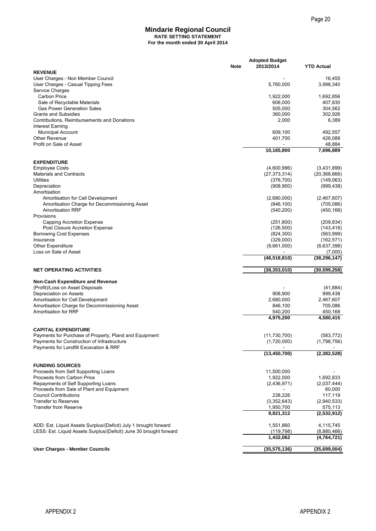#### **Mindarie Regional Council RATE SETTING STATEMENT For the month ended 30 April 2014**

|                                                                                                                                        |             |                                    | Page 20                  |
|----------------------------------------------------------------------------------------------------------------------------------------|-------------|------------------------------------|--------------------------|
| <b>Mindarie Regional Council</b><br><b>RATE SETTING STATEMENT</b>                                                                      |             |                                    |                          |
| For the month ended 30 April 2014                                                                                                      |             |                                    |                          |
|                                                                                                                                        | <b>Note</b> | <b>Adopted Budget</b><br>2013/2014 | <b>YTD Actual</b>        |
| <b>REVENUE</b>                                                                                                                         |             |                                    |                          |
| User Charges - Non Member Council<br>User Charges - Casual Tipping Fees                                                                |             | 5,760,000                          | 16,455<br>3,998,340      |
| Service Charges                                                                                                                        |             |                                    |                          |
| <b>Carbon Price</b>                                                                                                                    |             | 1,922,000                          | 1,692,856                |
| Sale of Recyclable Materials<br><b>Gas Power Generation Sales</b>                                                                      |             | 606,000<br>505,000                 | 407,830<br>304,562       |
| <b>Grants and Subsidies</b>                                                                                                            |             | 360,000                            | 302,926                  |
| Contributions, Reimbursements and Donations                                                                                            |             | 2,000                              | 6,389                    |
| Interest Earning<br><b>Municipal Account</b>                                                                                           |             | 609,100                            | 492,557                  |
| <b>Other Revenue</b>                                                                                                                   |             | 401,700                            | 426,089                  |
| Profit on Sale of Asset                                                                                                                |             | 10,165,800                         | 48,884<br>7,696,889      |
|                                                                                                                                        |             |                                    |                          |
| <b>EXPENDITURE</b><br><b>Employee Costs</b>                                                                                            |             | (4,600,996)                        | (3,431,899)              |
| <b>Materials and Contracts</b>                                                                                                         |             | (27, 373, 314)                     | (20, 368, 666)           |
| Utilities                                                                                                                              |             | (376, 700)                         | (149,063)                |
| Depreciation                                                                                                                           |             | (908, 900)                         | (999, 438)               |
| Amortisation<br>Amortisation for Cell Development                                                                                      |             | (2,680,000)                        | (2,467,607)              |
| Amortisation Charge for Decommissioning Asset                                                                                          |             | (846, 100)                         | (705,086)                |
| <b>Amortisation RRF</b>                                                                                                                |             | (540, 200)                         | (450, 168)               |
| Provisions<br>Capping Accretion Expense                                                                                                |             | (251, 800)                         | (209, 834)               |
| Post Closure Accretion Expense                                                                                                         |             | (126, 500)                         | (143, 418)               |
| <b>Borrowing Cost Expenses</b>                                                                                                         |             | (824, 300)                         | (563,999)                |
| Insurance                                                                                                                              |             | (329,000)                          | (162, 571)               |
| <b>Other Expenditure</b><br>Loss on Sale of Asset                                                                                      |             | (9,661,000)                        | (8,637,398)<br>(7,000)   |
|                                                                                                                                        |             | (48, 518, 810)                     | (38, 296, 147)           |
| <b>NET OPERATING ACTIVITIES</b>                                                                                                        |             | (38, 353, 010)                     | (30, 599, 258)           |
| <b>Non-Cash Expenditure and Revenue</b>                                                                                                |             |                                    |                          |
| (Profit)/Loss on Asset Disposals                                                                                                       |             |                                    | (41, 884)                |
| Depreciation on Assets<br>Amortisation for Cell Development                                                                            |             | 908,900<br>2,680,000               | 999,438<br>2,467,607     |
| Amortisation Charge for Decommissioning Asset                                                                                          |             | 846,100                            | 705,086                  |
| Amortisation for RRF                                                                                                                   |             | 540,200                            | 450,168                  |
|                                                                                                                                        |             | 4,975,200                          | 4,580,415                |
| <b>CAPITAL EXPENDITURE</b>                                                                                                             |             |                                    |                          |
| Payments for Purchase of Property, Pland and Equipment                                                                                 |             | (11, 730, 700)                     | (583, 772)               |
| Payments for Construction of Infrastructure<br>Payments for Landfill Excavation & RRF                                                  |             | (1,720,000)                        | (1,798,756)              |
|                                                                                                                                        |             | (13, 450, 700)                     | (2, 382, 528)            |
| <b>FUNDING SOURCES</b>                                                                                                                 |             |                                    |                          |
| Proceeds from Self Supporting Loans                                                                                                    |             | 11,500,000                         |                          |
| Proceeds from Carbon Price                                                                                                             |             | 1,922,000                          | 1,692,833                |
| Repayments of Self Supporting Loans<br>Proceeds from Sale of Plant and Equipment                                                       |             | (2,436,971)                        | (2,037,444)<br>60,000    |
| <b>Council Contributions</b>                                                                                                           |             | 238,226                            | 117,119                  |
| <b>Transfer to Reserves</b>                                                                                                            |             | (3,352,643)                        | (2,940,533)              |
| <b>Transfer from Reserve</b>                                                                                                           |             | 1,950,700<br>9,821,312             | 575,113<br>(2,532,912)   |
|                                                                                                                                        |             |                                    |                          |
| ADD: Est. Liquid Assets Surplus/(Deficit) July 1 brought forward<br>LESS: Est. Liquid Assets Surplus/(Deficit) June 30 brought forward |             | 1,551,860<br>(119, 798)            | 4,115,745<br>(8,880,466) |
|                                                                                                                                        |             | 1,432,062                          | (4,764,721)              |
| <b>User Charges - Member Councils</b>                                                                                                  |             | (35, 575, 136)                     | (35,699,004)             |
|                                                                                                                                        |             |                                    |                          |
|                                                                                                                                        |             |                                    |                          |
| <b>APPENDIX 2</b>                                                                                                                      |             |                                    | <b>APPENDIX 2</b>        |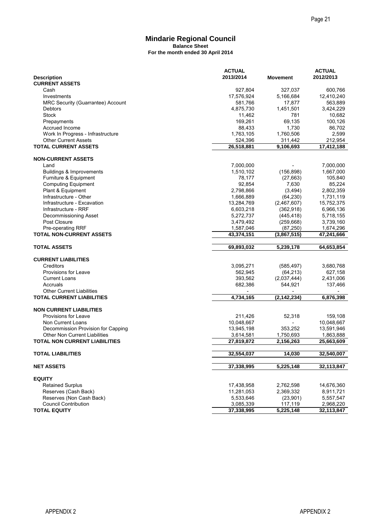#### **Mindarie Regional Council Balance Sheet For the month ended 30 April 2014**

|                                                                            |                                                           |                          | Page 21                               |
|----------------------------------------------------------------------------|-----------------------------------------------------------|--------------------------|---------------------------------------|
|                                                                            | <b>Mindarie Regional Council</b>                          |                          |                                       |
|                                                                            | <b>Balance Sheet</b><br>For the month ended 30 April 2014 |                          |                                       |
|                                                                            |                                                           |                          |                                       |
| <b>Description</b><br><b>CURRENT ASSETS</b>                                | <b>ACTUAL</b><br>2013/2014                                | <b>Movement</b>          | <b>ACTUAL</b><br>2012/2013            |
| Cash                                                                       | 927,804                                                   | 327,037                  | 600,766                               |
| Investments                                                                | 17,576,924                                                | 5,166,684                | 12,410,240                            |
| MRC Security (Guarrantee) Account<br>Debtors                               | 581,766<br>4,875,730                                      | 17,877<br>1,451,501      | 563,889<br>3,424,229                  |
| Stock                                                                      | 11,462                                                    | 781                      | 10,682                                |
| Prepayments                                                                | 169,261                                                   | 69,135                   | 100,126                               |
| Accrued Income<br>Work In Progress - Infrastructure                        | 88,433<br>1,763,105                                       | 1,730<br>1,760,506       | 86,702<br>2,599                       |
| <b>Other Current Assets</b>                                                | 524,396                                                   | 311,442                  | 212,954                               |
| <b>TOTAL CURRENT ASSETS</b>                                                | 26,518,881                                                | 9,106,693                | 17,412,188                            |
| <b>NON-CURRENT ASSETS</b>                                                  |                                                           |                          |                                       |
| Land<br>Buildings & Improvements                                           | 7,000,000<br>1,510,102                                    | (156, 898)               | 7,000,000<br>1,667,000                |
| Furniture & Equipment                                                      | 78,177                                                    | (27, 663)                | 105,840                               |
| <b>Computing Equipment</b>                                                 | 92,854                                                    | 7,630                    | 85,224                                |
| Plant & Equipment<br>Infrastructure - Other                                | 2,798,866<br>1,666,889                                    | (3, 494)<br>(64, 230)    | 2,802,359<br>1,731,119                |
| Infrastructure - Excavation                                                | 13,284,769                                                | (2,467,607)              | 15,752,375                            |
| Infrastructure - RRF                                                       | 6,603,218                                                 | (362, 918)               | 6,966,136                             |
| Decommissioning Asset<br>Post Closure                                      | 5,272,737<br>3,479,492                                    | (445, 418)<br>(259, 668) | 5,718,155<br>3,739,160                |
| Pre-operating RRF                                                          | 1,587,046                                                 | (87, 250)                | 1,674,296                             |
| <b>TOTAL NON-CURRENT ASSETS</b>                                            | 43,374,151                                                | (3,867,515)              | 47,241,666                            |
| <b>TOTAL ASSETS</b>                                                        | 69,893,032                                                | 5,239,178                | 64,653,854                            |
| <b>CURRENT LIABILITIES</b>                                                 |                                                           |                          |                                       |
| Creditors<br>Provisions for Leave                                          | 3,095,271<br>562,945                                      | (585, 497)               | 3,680,768<br>627,158                  |
| <b>Current Loans</b>                                                       | 393,562                                                   | (64, 213)<br>(2,037,444) | 2,431,006                             |
| Accruals                                                                   | 682,386                                                   | 544,921                  | 137,466                               |
| <b>Other Current Liabilities</b><br><b>TOTAL CURRENT LIABILITIES</b>       | 4,734,165                                                 | (2, 142, 234)            | $\overline{\phantom{a}}$<br>6.876.398 |
| <b>NON CURRENT LIABILITIES</b>                                             |                                                           |                          |                                       |
| <b>Provisions for Leave</b>                                                | 211,426                                                   | 52,318                   | 159,108                               |
| Non Current Loans                                                          | 10,048,667                                                |                          | 10,048,667                            |
| Decommission Provision for Capping<br><b>Other Non Current Liabilities</b> | 13,945,198<br>3,614,581                                   | 353,252<br>1,750,693     | 13,591,946<br>1,863,888               |
| <b>TOTAL NON CURRENT LIABILITIES</b>                                       | 27.819.872                                                | 2,156,263                | 25,663,609                            |
| <b>TOTAL LIABILITIES</b>                                                   | 32,554,037                                                | 14,030                   | 32,540,007                            |
| <b>NET ASSETS</b>                                                          | 37,338,995                                                | 5,225,148                | 32,113,847                            |
| <b>EQUITY</b>                                                              |                                                           |                          |                                       |
| <b>Retained Surplus</b>                                                    | 17,438,958                                                | 2,762,598                | 14,676,360                            |
| Reserves (Cash Back)                                                       | 11,281,053                                                | 2,369,332                | 8,911,721                             |
| Reserves (Non Cash Back)<br><b>Council Contribution</b>                    | 5,533,646<br>3,085,339                                    | (23,901)<br>117,119      | 5,557,547<br>2,968,220                |
| <b>TOTAL EQUITY</b>                                                        | 37,338,995                                                | 5,225,148                | 32,113,847                            |
|                                                                            |                                                           |                          |                                       |
|                                                                            |                                                           |                          |                                       |
|                                                                            |                                                           |                          |                                       |
|                                                                            |                                                           |                          |                                       |
|                                                                            |                                                           |                          |                                       |
|                                                                            |                                                           |                          |                                       |
|                                                                            |                                                           |                          |                                       |
|                                                                            |                                                           |                          |                                       |
|                                                                            |                                                           |                          |                                       |
|                                                                            |                                                           |                          |                                       |
| <b>APPENDIX 2</b>                                                          |                                                           |                          | <b>APPENDIX 2</b>                     |
|                                                                            |                                                           |                          |                                       |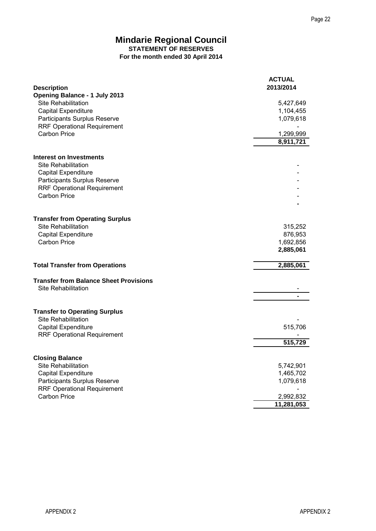|                                                                                                                                                                        | Page 22                              |
|------------------------------------------------------------------------------------------------------------------------------------------------------------------------|--------------------------------------|
| <b>Mindarie Regional Council</b><br><b>STATEMENT OF RESERVES</b><br>For the month ended 30 April 2014                                                                  |                                      |
| <b>Description</b>                                                                                                                                                     | <b>ACTUAL</b><br>2013/2014           |
| <b>Opening Balance - 1 July 2013</b><br><b>Site Rehabilitation</b><br><b>Capital Expenditure</b><br>Participants Surplus Reserve<br><b>RRF Operational Requirement</b> | 5,427,649<br>1,104,455<br>1,079,618  |
| <b>Carbon Price</b>                                                                                                                                                    | 1,299,999<br>8,911,721               |
| <b>Interest on Investments</b><br>Site Rehabilitation<br><b>Capital Expenditure</b><br>Participants Surplus Reserve                                                    |                                      |
| <b>RRF Operational Requirement</b><br><b>Carbon Price</b>                                                                                                              |                                      |
| <b>Transfer from Operating Surplus</b><br>Site Rehabilitation<br>Capital Expenditure                                                                                   | 315,252<br>876,953                   |
| <b>Carbon Price</b>                                                                                                                                                    | 1,692,856<br>2,885,061               |
| <b>Total Transfer from Operations</b>                                                                                                                                  | 2,885,061                            |
| <b>Transfer from Balance Sheet Provisions</b><br>Site Rehabilitation                                                                                                   |                                      |
| <b>Transfer to Operating Surplus</b><br><b>Site Rehabilitation</b>                                                                                                     |                                      |
| Capital Expenditure<br><b>RRF Operational Requirement</b>                                                                                                              | 515,706<br>515,729                   |
| <b>Closing Balance</b><br><b>Site Rehabilitation</b><br><b>Capital Expenditure</b>                                                                                     | 5,742,901<br>1,465,702               |
| Participants Surplus Reserve<br><b>RRF Operational Requirement</b><br>Carbon Price                                                                                     | 1,079,618<br>2,992,832<br>11,281,053 |
|                                                                                                                                                                        |                                      |
| <b>APPENDIX 2</b>                                                                                                                                                      | <b>APPENDIX2</b>                     |
|                                                                                                                                                                        |                                      |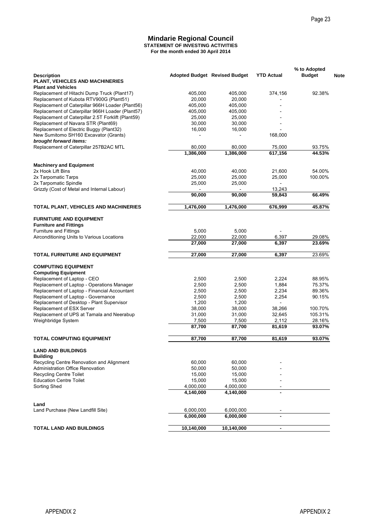#### **For the month ended 30 April 2014 Mindarie Regional Council STATEMENT OF INVESTING ACTIVITIES**

|                                  |                                                                                                                                                                                                                                                                                                                                                                                         |                                                                                                                                                                                                                                                                                                           | Page 23                                                                                                |
|----------------------------------|-----------------------------------------------------------------------------------------------------------------------------------------------------------------------------------------------------------------------------------------------------------------------------------------------------------------------------------------------------------------------------------------|-----------------------------------------------------------------------------------------------------------------------------------------------------------------------------------------------------------------------------------------------------------------------------------------------------------|--------------------------------------------------------------------------------------------------------|
|                                  |                                                                                                                                                                                                                                                                                                                                                                                         |                                                                                                                                                                                                                                                                                                           |                                                                                                        |
| <b>Mindarie Regional Council</b> |                                                                                                                                                                                                                                                                                                                                                                                         |                                                                                                                                                                                                                                                                                                           |                                                                                                        |
|                                  |                                                                                                                                                                                                                                                                                                                                                                                         |                                                                                                                                                                                                                                                                                                           | % to Adopted<br><b>Budget</b>                                                                          |
|                                  |                                                                                                                                                                                                                                                                                                                                                                                         |                                                                                                                                                                                                                                                                                                           |                                                                                                        |
| 405,000                          | 405,000                                                                                                                                                                                                                                                                                                                                                                                 | 374,156                                                                                                                                                                                                                                                                                                   | 92.38%                                                                                                 |
|                                  |                                                                                                                                                                                                                                                                                                                                                                                         |                                                                                                                                                                                                                                                                                                           |                                                                                                        |
|                                  |                                                                                                                                                                                                                                                                                                                                                                                         |                                                                                                                                                                                                                                                                                                           |                                                                                                        |
| 25,000                           | 25,000                                                                                                                                                                                                                                                                                                                                                                                  |                                                                                                                                                                                                                                                                                                           |                                                                                                        |
| 30,000                           | 30,000                                                                                                                                                                                                                                                                                                                                                                                  |                                                                                                                                                                                                                                                                                                           |                                                                                                        |
|                                  |                                                                                                                                                                                                                                                                                                                                                                                         | 168,000                                                                                                                                                                                                                                                                                                   |                                                                                                        |
|                                  |                                                                                                                                                                                                                                                                                                                                                                                         |                                                                                                                                                                                                                                                                                                           | 93.75%                                                                                                 |
| 1,386,000                        | 1,386,000                                                                                                                                                                                                                                                                                                                                                                               | 617,156                                                                                                                                                                                                                                                                                                   | 44.53%                                                                                                 |
|                                  |                                                                                                                                                                                                                                                                                                                                                                                         |                                                                                                                                                                                                                                                                                                           |                                                                                                        |
| 40,000                           | 40,000                                                                                                                                                                                                                                                                                                                                                                                  | 21,600                                                                                                                                                                                                                                                                                                    | 54.00%                                                                                                 |
| 25,000                           | 25,000                                                                                                                                                                                                                                                                                                                                                                                  | 25,000                                                                                                                                                                                                                                                                                                    | 100.00%                                                                                                |
|                                  |                                                                                                                                                                                                                                                                                                                                                                                         |                                                                                                                                                                                                                                                                                                           |                                                                                                        |
| 90,000                           | 90,000                                                                                                                                                                                                                                                                                                                                                                                  | 59,843                                                                                                                                                                                                                                                                                                    | 66.49%                                                                                                 |
| 1,476,000                        | 1,476,000                                                                                                                                                                                                                                                                                                                                                                               | 676,999                                                                                                                                                                                                                                                                                                   | 45.87%                                                                                                 |
|                                  |                                                                                                                                                                                                                                                                                                                                                                                         |                                                                                                                                                                                                                                                                                                           |                                                                                                        |
|                                  |                                                                                                                                                                                                                                                                                                                                                                                         |                                                                                                                                                                                                                                                                                                           |                                                                                                        |
|                                  |                                                                                                                                                                                                                                                                                                                                                                                         |                                                                                                                                                                                                                                                                                                           | 29.08%                                                                                                 |
| 27,000                           | 27,000                                                                                                                                                                                                                                                                                                                                                                                  | 6,397                                                                                                                                                                                                                                                                                                     | 23.69%                                                                                                 |
| 27,000                           | 27,000                                                                                                                                                                                                                                                                                                                                                                                  | 6,397                                                                                                                                                                                                                                                                                                     | 23.69%                                                                                                 |
|                                  |                                                                                                                                                                                                                                                                                                                                                                                         |                                                                                                                                                                                                                                                                                                           |                                                                                                        |
|                                  |                                                                                                                                                                                                                                                                                                                                                                                         |                                                                                                                                                                                                                                                                                                           |                                                                                                        |
|                                  |                                                                                                                                                                                                                                                                                                                                                                                         |                                                                                                                                                                                                                                                                                                           | 88.95%                                                                                                 |
|                                  |                                                                                                                                                                                                                                                                                                                                                                                         |                                                                                                                                                                                                                                                                                                           | 75.37%<br>89.36%                                                                                       |
| 2,500                            | 2,500                                                                                                                                                                                                                                                                                                                                                                                   | 2,254                                                                                                                                                                                                                                                                                                     | 90.15%                                                                                                 |
| 1,200                            | 1,200                                                                                                                                                                                                                                                                                                                                                                                   |                                                                                                                                                                                                                                                                                                           |                                                                                                        |
|                                  |                                                                                                                                                                                                                                                                                                                                                                                         |                                                                                                                                                                                                                                                                                                           | 100.70%<br>105.31%                                                                                     |
|                                  |                                                                                                                                                                                                                                                                                                                                                                                         |                                                                                                                                                                                                                                                                                                           | 28.16%                                                                                                 |
| 87,700                           | 87,700                                                                                                                                                                                                                                                                                                                                                                                  | 81,619                                                                                                                                                                                                                                                                                                    | 93.07%                                                                                                 |
| 87,700                           | 87,700                                                                                                                                                                                                                                                                                                                                                                                  | 81,619                                                                                                                                                                                                                                                                                                    | 93.07%                                                                                                 |
|                                  |                                                                                                                                                                                                                                                                                                                                                                                         |                                                                                                                                                                                                                                                                                                           |                                                                                                        |
|                                  |                                                                                                                                                                                                                                                                                                                                                                                         |                                                                                                                                                                                                                                                                                                           |                                                                                                        |
|                                  |                                                                                                                                                                                                                                                                                                                                                                                         |                                                                                                                                                                                                                                                                                                           |                                                                                                        |
|                                  |                                                                                                                                                                                                                                                                                                                                                                                         |                                                                                                                                                                                                                                                                                                           |                                                                                                        |
| 15,000                           | 15,000                                                                                                                                                                                                                                                                                                                                                                                  |                                                                                                                                                                                                                                                                                                           |                                                                                                        |
| 4,000,000                        | 4,000,000                                                                                                                                                                                                                                                                                                                                                                               |                                                                                                                                                                                                                                                                                                           |                                                                                                        |
|                                  |                                                                                                                                                                                                                                                                                                                                                                                         |                                                                                                                                                                                                                                                                                                           |                                                                                                        |
|                                  | 6,000,000                                                                                                                                                                                                                                                                                                                                                                               |                                                                                                                                                                                                                                                                                                           |                                                                                                        |
|                                  |                                                                                                                                                                                                                                                                                                                                                                                         |                                                                                                                                                                                                                                                                                                           |                                                                                                        |
| 6,000,000<br>6,000,000           | 6,000,000                                                                                                                                                                                                                                                                                                                                                                               | $\blacksquare$                                                                                                                                                                                                                                                                                            |                                                                                                        |
|                                  | 20,000<br>Replacement of Caterpillar 966H Loader (Plant56)<br>405,000<br>Replacement of Caterpillar 966H Loader (Plant57)<br>405,000<br>Replacement of Caterpillar 2.5T Forklift (Plant59)<br>16,000<br>80,000<br>25,000<br>TOTAL PLANT, VEHICLES AND MACHINERIES<br>5,000<br>22,000<br>2,500<br>2,500<br>2,500<br>38,000<br>31,000<br>7,500<br>60,000<br>50,000<br>15,000<br>4,140,000 | <b>STATEMENT OF INVESTING ACTIVITIES</b><br>For the month ended 30 April 2014<br><b>Adopted Budget Revised Budget</b><br>20,000<br>405,000<br>405,000<br>16,000<br>80,000<br>25,000<br>5,000<br>22,000<br>2,500<br>2,500<br>2,500<br>38,000<br>31,000<br>7,500<br>60,000<br>50,000<br>15,000<br>4,140,000 | <b>YTD Actual</b><br>75,000<br>13,243<br>6,397<br>2,224<br>1,884<br>2,234<br>38,266<br>32,645<br>2,112 |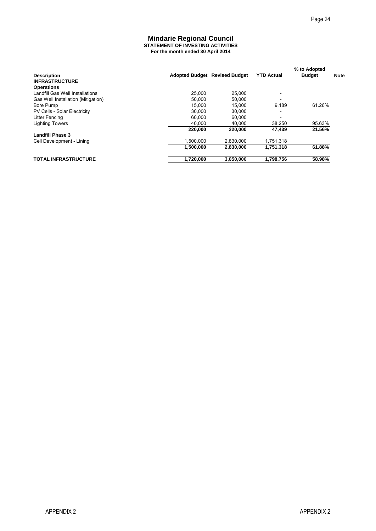#### **For the month ended 30 April 2014 Mindarie Regional Council STATEMENT OF INVESTING ACTIVITIES**

|                                                      |                                                                        |                                        |                          | Page 24                       |             |
|------------------------------------------------------|------------------------------------------------------------------------|----------------------------------------|--------------------------|-------------------------------|-------------|
|                                                      |                                                                        |                                        |                          |                               |             |
|                                                      | <b>Mindarie Regional Council</b>                                       |                                        |                          |                               |             |
|                                                      | STATEMENT OF INVESTING ACTIVITIES<br>For the month ended 30 April 2014 |                                        |                          |                               |             |
|                                                      |                                                                        |                                        |                          |                               |             |
| <b>Description</b>                                   |                                                                        | Adopted Budget Revised Budget          | <b>YTD Actual</b>        | % to Adopted<br><b>Budget</b> | <b>Note</b> |
| <b>INFRASTRUCTURE</b>                                |                                                                        |                                        |                          |                               |             |
| <b>Operations</b><br>Landfill Gas Well Installations |                                                                        | 25,000<br>25,000                       | $\overline{\phantom{a}}$ |                               |             |
| Gas Well Installation (Mitigation)                   |                                                                        | 50,000<br>50,000                       |                          |                               |             |
| Bore Pump<br>PV Cells - Solar Electricity            |                                                                        | 15,000<br>15,000<br>30,000<br>30,000   | 9,189<br>÷               | 61.26%                        |             |
| Litter Fencing                                       |                                                                        | 60,000<br>60,000                       | $\overline{\phantom{0}}$ |                               |             |
| <b>Lighting Towers</b>                               |                                                                        | 40,000<br>40,000<br>220,000<br>220,000 | 38,250<br>47,439         | 95.63%<br>21.56%              |             |
| <b>Landfill Phase 3</b>                              |                                                                        |                                        |                          |                               |             |
| Cell Development - Lining                            |                                                                        | 1,500,000<br>2,830,000                 | 1,751,318                |                               |             |
|                                                      |                                                                        | 1,500,000<br>2,830,000                 | 1,751,318                | 61.88%                        |             |
| <b>TOTAL INFRASTRUCTURE</b>                          |                                                                        | 1,720,000<br>3,050,000                 | 1,798,756                | 58.98%                        |             |
|                                                      |                                                                        |                                        |                          |                               |             |
|                                                      |                                                                        |                                        |                          |                               |             |
|                                                      |                                                                        |                                        |                          |                               |             |
|                                                      |                                                                        |                                        |                          |                               |             |
|                                                      |                                                                        |                                        |                          |                               |             |
|                                                      |                                                                        |                                        |                          |                               |             |
|                                                      |                                                                        |                                        |                          |                               |             |
|                                                      |                                                                        |                                        |                          |                               |             |
|                                                      |                                                                        |                                        |                          |                               |             |
|                                                      |                                                                        |                                        |                          |                               |             |
|                                                      |                                                                        |                                        |                          |                               |             |
|                                                      |                                                                        |                                        |                          |                               |             |
|                                                      |                                                                        |                                        |                          |                               |             |
|                                                      |                                                                        |                                        |                          |                               |             |
|                                                      |                                                                        |                                        |                          |                               |             |
|                                                      |                                                                        |                                        |                          |                               |             |
|                                                      |                                                                        |                                        |                          |                               |             |
|                                                      |                                                                        |                                        |                          |                               |             |
|                                                      |                                                                        |                                        |                          |                               |             |
|                                                      |                                                                        |                                        |                          |                               |             |
|                                                      |                                                                        |                                        |                          |                               |             |
|                                                      |                                                                        |                                        |                          |                               |             |
|                                                      |                                                                        |                                        |                          |                               |             |
|                                                      |                                                                        |                                        |                          |                               |             |
|                                                      |                                                                        |                                        |                          |                               |             |
|                                                      |                                                                        |                                        |                          |                               |             |
|                                                      |                                                                        |                                        |                          |                               |             |
|                                                      |                                                                        |                                        |                          |                               |             |
|                                                      |                                                                        |                                        |                          |                               |             |
|                                                      |                                                                        |                                        |                          |                               |             |
|                                                      |                                                                        |                                        |                          |                               |             |
|                                                      |                                                                        |                                        |                          |                               |             |
|                                                      |                                                                        |                                        |                          |                               |             |
|                                                      |                                                                        |                                        |                          |                               |             |
|                                                      |                                                                        |                                        |                          |                               |             |
|                                                      |                                                                        |                                        |                          |                               |             |
|                                                      |                                                                        |                                        |                          |                               |             |
|                                                      |                                                                        |                                        |                          |                               |             |
|                                                      |                                                                        |                                        |                          |                               |             |
|                                                      |                                                                        |                                        |                          |                               |             |
|                                                      |                                                                        |                                        |                          |                               |             |
| <b>APPENDIX 2</b>                                    |                                                                        |                                        |                          | <b>APPENDIX 2</b>             |             |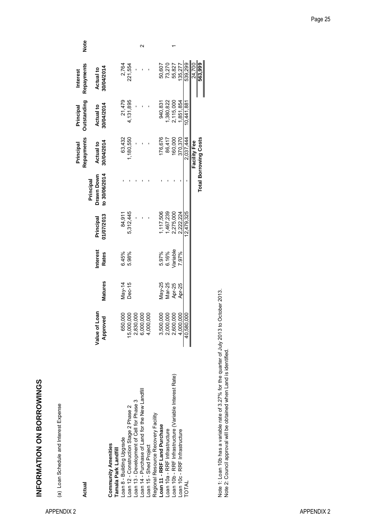INFORMATION ON BORROWINGS **INFORMATION ON BORROWINGS**

(a) Loan Schedule and Interest Expense (a) Loan Schedule and Interest Expense

| Actual                                                 |                                                  |                |                          |                         |                                          | Repayments<br>Principal      | <b>Outstanding</b><br>Principal | Repayments<br>Interest         | Note |
|--------------------------------------------------------|--------------------------------------------------|----------------|--------------------------|-------------------------|------------------------------------------|------------------------------|---------------------------------|--------------------------------|------|
|                                                        | Value of Loan<br>Approved                        | <b>Matures</b> | Interest<br><b>Rates</b> | 01/07/2013<br>Principal | to 30/06/2014<br>Drawn Down<br>Principal | 30/04/2014<br>Actual to      | 30/04/2014<br><b>Actual to</b>  | 30/04/2014<br><b>Actual to</b> |      |
| <b>Community Amenities</b><br>Tamala Park Landfill     |                                                  |                |                          |                         |                                          |                              |                                 |                                |      |
| Loan 8 - Building Upgrade                              | 650,000                                          | May-14         | 6.45%                    | 84,911                  |                                          | 63,432                       | 21,479                          | 2,764                          |      |
| Loan 12 - Construction Stage 2 Phase 2                 | 15,000,000                                       | Dec-15         | 5.98%                    | 5,312,445               |                                          | 1,180,550                    | 4,131,895                       | 221,554                        |      |
| -oan 13 - Development of Cell for Phase 3              |                                                  |                |                          |                         |                                          |                              |                                 |                                |      |
| -oan 14 - Purchase of Land for the New Landfill        | 2,830,000<br>6,000,000                           |                |                          |                         |                                          |                              |                                 |                                |      |
| Loan 15 - Shed Project                                 | 000<br>4,000                                     |                |                          |                         |                                          |                              |                                 |                                |      |
| Regional Resource Recovery Facility                    |                                                  |                |                          |                         |                                          |                              |                                 |                                |      |
| Loan 11 - RRF Land Purchase                            |                                                  | $May-25$       | 5.97%                    | 1,117,506               |                                          | 176,676                      | 940,831                         | 50,607                         |      |
| -oan 10a - RRF Infrastructure                          | 3,500,000<br>2,000,000<br>2,600,000<br>4,000,000 | Mar-25         | 6.16%                    | 467,239                 |                                          | 86,417                       | 380,822                         | 73,270                         |      |
| -oan 10b - RRF Infrastructure (Variable Interest Rate) |                                                  | Apr-25         | Variable                 | 2,275,000               |                                          | 160,000                      | 2,115,000                       | 55,827                         |      |
| Loan 10c - RRF Infrastructure                          |                                                  | Apr-25         | 7.97%                    | 2.222.224               |                                          | 370,370                      | 851.854                         | 135.277                        |      |
| <b>TOTAL</b>                                           | 40,580,000                                       |                |                          | 12.479.325              |                                          | 2,037,444                    | 10.441.881                      | 539.299                        |      |
|                                                        |                                                  |                |                          |                         |                                          | Facility Fee                 |                                 | 24,700                         |      |
|                                                        |                                                  |                |                          |                         |                                          | <b>Total Borrowing Costs</b> |                                 | 563,999                        |      |
|                                                        |                                                  |                |                          |                         |                                          |                              |                                 |                                |      |

Note 1: Loan 10b has a variable rate of 3.27% for the quarter of July 2013 to October 2013.<br>Note 2: Council approval will be obtained when Land is identified. Note 1: Loan 10b has a variable rate of 3.27% for the quarter of July 2013 to October 2013. Note 2: Council approval will be obtained when Land is identified.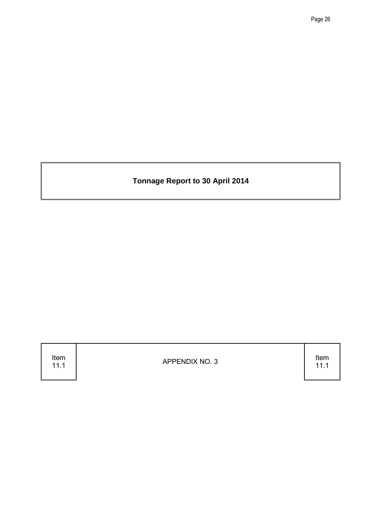**Tonnage Report to 30 April 2014**

Item<br>11.1

11.1 APPENDIX NO. 3

11.1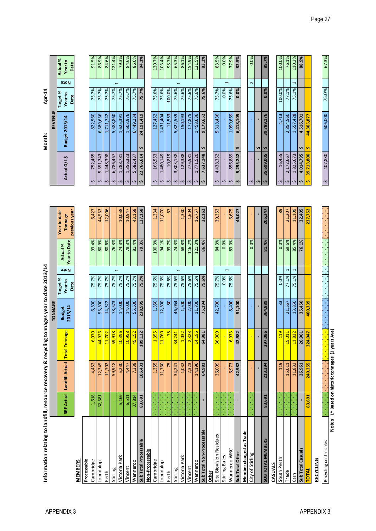| $\frac{1}{7}$        | にんこう こうしょう |
|----------------------|------------|
| I<br>ara d<br>١<br>Ï |            |

**TONNAGE REVENUE**

Apr-14

|                           |        |         |                                          | <b>Budget</b> | Target%                 | Actual %            | Year to date                    |                    |              |                       | Target%                        | Actual %        |
|---------------------------|--------|---------|------------------------------------------|---------------|-------------------------|---------------------|---------------------------------|--------------------|--------------|-----------------------|--------------------------------|-----------------|
|                           |        |         | RRF Actual Landfill Actual Total Tonnage | 2013/14       | Note<br>Year to<br>Date | <b>Year to Date</b> | previous year<br><b>Tonnage</b> |                    | Actual G/L\$ | <b>Budget 2013/14</b> | <b>910N</b><br>Year to<br>Date | Year to<br>Date |
| <b>MEMBERS</b>            |        |         |                                          |               |                         |                     |                                 |                    |              |                       |                                |                 |
| Processable               |        |         |                                          |               |                         |                     |                                 |                    |              |                       |                                |                 |
| Cambridge                 | 1,618  | 4,452   | 070                                      | 6,500         | 75.7%                   | 93.4%               | 6,427                           |                    | 752,465      | 822,560               | 75.7%                          | 91.5%           |
| loondalup                 | 32,581 | 12,345  | 926<br>$\frac{4}{3}$                     | 55,500        | 75.7%                   | 80.9%               | 44,553                          | Ş                  | 5,551,743    | 6,389,656             | 75.7%                          | 86.9%           |
| Perth                     |        | 11,702  | 11,702                                   | 14,522        | 75.7%                   | 80.6%               | 12,006                          | \$                 | 1,448,398    | 1,711,742             | 75.7%                          | 84.6%           |
| Stirling                  |        | 59,918  | 918<br>$\overline{59}$                   | 78,573        | $\overline{ }$<br>75.7% | 76.3%               |                                 | \$                 | 6,786,467    | 5,588,860             | $\overline{ }$<br>75.7%        | 121.4%          |
| Victoria Park             | 5,166  | 5,230   | <b>396</b><br>$\overline{5}$             | 14,000        | 75.7%                   | 74.3%               | 10,058                          | \$                 | 1,288,781    | 1,625,391             | 75.7%                          | 79.3%           |
| Vincent                   | 6,511  | 4,447   | 958<br>$\overline{5}$                    | 14,000        | 75.7%                   | 78.3%               | 10,947                          | \$                 | 1,356,323    | 1,603,976             | 75.7%                          | 84.6%           |
| Wanneroo                  | 37,814 | 7,338   | 45,152                                   | 55,500        | 75.7%                   | 81.4%               | 43,168                          | \$                 | 5,582,437    | 6,449,234             | 75.7%                          | 86.6%           |
| Sub Total Processable     | 83,691 | 105,431 | ,122<br>189                              | 238,595       | 75.7%                   | 79.3%               | 127,158                         | S                  | 22,766,614   | 24,191,419<br>s       | 75.7%                          | 94.1%           |
| Non-Processable           |        |         |                                          |               |                         |                     |                                 |                    |              |                       |                                |                 |
| Cambridge                 |        | 1,355   | ,355                                     | 1,350         | 75.6%                   | 100.3%              | 1,334                           | \$                 | 166,553      | 127,452               | 75.6%                          | 130.7%          |
| Joondalup                 |        | 11,760  | 11,760                                   | 12,500        | 75.6%                   | 94.1%               | 11,070                          | Ş                  | 1,480,149    | 1,431,404             | 75.6%                          | 103.4%          |
| Perth                     |        | 75      | $\overline{25}$                          | $80$          | 75.6%                   | 93.7%               | 57                              | \$                 | 10,819       | 11,553                | 100.0%                         | 93.7%           |
| Stirling                  |        | 34,241  | , 241<br>$\mathbf{z}$                    | 46,064        | $\overline{ }$<br>75.6% | 74.3%               |                                 | Ş                  | 3,803,138    | 5,822,539             | $\overline{ }$<br>75.6%        | 65.3%           |
| Victoria Park             |        | 1,032   | .032                                     | 1,500         | 75.6%                   | 68.8%               | 1,330                           | \$                 | 129,388      | 150,193               | 75.6%                          | 86.1%           |
| Vincent                   |        | 2,323   | ,323                                     | 2,000         | 75.6%                   | 116.2%              | 1,604                           | s                  | 275,581      | 177,875               | 75.6%                          | 154.9%          |
| Wanneroo                  |        | 14,196  | 196<br>$\overline{a}$                    | 11,700        | 75.6%                   | 121.3%              | 16,757                          | \$                 | 1,771,520    | 1,458,636             | 75.6%                          | 121.5%          |
| Sub Total Non-Processable |        | 64,981  | ,981<br>64                               | 75,194        | 75.6%                   | 86.4%               | 32,162                          | s                  | 7,637,148    | 9,179,652             | 75.6%                          | 83.2%           |
| <b>Other</b>              |        |         |                                          |               |                         |                     |                                 |                    |              |                       |                                |                 |
| Sita Biovision Residues   |        | 36,009  | 36,009                                   | 42,700        | 75.7%                   | 84.3%               | 39,353                          | \$                 | 4,438,352    | 5,318,436             | 75.7%                          | 83.5%           |
| Stirling Bales            |        |         | $\mathbf{r}$                             |               | $\overline{ }$<br>0.0%  | 0.0%                |                                 | $\mathfrak{c}$     |              |                       | $\overline{ }$<br>0.0%         | 0.0%            |
| Wanneroo WRC              |        | 6,973   | 973                                      | 8,400         | 75.6%                   | 83.0%               | 6,675                           | Ş                  | 856,889      | 1,099,669             | 75.6%                          | 77.9%           |
| Sub Total Other           |        | 42,982  | ,982<br>42                               | 51,100        |                         |                     | 46,027                          | Ş                  | 5,295,242    | 6,418,105<br>s        | 0.0%                           | 82.5%           |
| Member charged as Trade   |        |         |                                          |               |                         |                     |                                 |                    |              |                       |                                |                 |
| City of Stirling          |        |         | $\mathbf{r}$                             | à,            |                         | 0.0%                |                                 | \$                 |              |                       | 2                              | 0.0%            |
|                           |        |         | $\blacksquare$                           |               |                         |                     |                                 | S                  |              | Ş                     |                                |                 |
| SUB TOTAL MEMBERS         | 83,691 | 213,394 | ,086<br>297                              | 364,889       |                         | 81.4%               | 205,347                         | Ş                  | 35,699,005   | 39,789,176<br>S       | 0.0%                           | 89.7%           |
| CASUALS                   |        |         |                                          |               |                         |                     |                                 |                    |              |                       |                                |                 |
| South Perth               |        | 119     | <b>119</b>                               | 33            | 0.0%                    | 0.0%                | 89                              | \$                 | 16,455       | 4,713                 | 100.0%                         | 100.0%          |
| <b>Trade</b>              |        | 15,011  | 011<br>$\frac{15}{2}$                    | 21,567        | 1<br>77.1%              | 69.6%               | 21,207                          | Ş                  | 2,172,667    | 2,854,560             | 77.1%                          | 76.1%           |
| Cash                      |        | 11,832  | 832<br>$\mathbf{H}$                      | 13,850        | 1<br>75.1%              | 85.4%               | 11,109                          | \$                 | 1,825,673    | 1,657,428             | 3<br>75.1%                     | 110.2%          |
| Sub Total Casuals         |        | 26,961  | ,961<br>26                               | 35,450        |                         | 76.1%               | 32,405                          | s                  | 4,014,795    | 4,516,701<br>s        |                                | 88.9%           |
| <b>TOTAL</b>              | 83,691 | 240,355 | 547<br>324                               | 400,339       |                         |                     | 237,752                         | s,                 | 39,713,800   | 44,305,877<br>s       |                                |                 |
| RECYCLING                 |        |         |                                          |               |                         |                     |                                 |                    |              |                       |                                |                 |
| Recycling centre sales    |        |         |                                          |               |                         |                     |                                 | $\hat{\mathbf{v}}$ | 407,830      | 606,000               | 75.0%                          | 67.3%           |

| š            |
|--------------|
| ă            |
| ١            |
| j            |
| ---------    |
|              |
|              |
|              |
| j            |
| acod on<br>5 |
| ÷<br>i       |
|              |

Ī

| 13.370 | <b>OCT' / 7T</b> | $2\,$ $2\,$ $2\,$ $2\,$ $2\,$ $2\,$ $2\,$ $2\,$ $2\,$ $2\,$ $2\,$ $2\,$ $2\,$ $2\,$ $2\,$ $2\,$ $2\,$ $2\,$ $2\,$ $2\,$ $2\,$ $2\,$ $2\,$ $2\,$ $2\,$ $2\,$ $2\,$ $2\,$ $2\,$ $2\,$ $2\,$ $2\,$ $2\,$ $2\,$ $2\,$ $2\,$ $2\,$ | <b>ETH'TET'H7</b> | 73.770 | 34.170 |
|--------|------------------|-------------------------------------------------------------------------------------------------------------------------------------------------------------------------------------------------------------------------------|-------------------|--------|--------|
|        |                  |                                                                                                                                                                                                                               |                   |        |        |
| 100.3% | 1,334            | 166,553                                                                                                                                                                                                                       | 127,452           | 75.6%  | 130.7% |
| 94.1%  | 11,070           | 1,480,149                                                                                                                                                                                                                     | 1,431,404         | 75.6%  | 103.4% |
| 93.7%  | 67               | 10,819                                                                                                                                                                                                                        | 11,553            | 100.0% | 93.7%  |
| 74.3%  |                  | 3,803,138                                                                                                                                                                                                                     | 5,822,539         | 75.6%  | 65.3%  |
| 68.8%  | 1,330            | 129,388                                                                                                                                                                                                                       | 150,193           | 75.6%  | 86.1%  |
| 116.2% | 1,604            | 275,581                                                                                                                                                                                                                       | 177,875           | 75.6%  | 154.9% |
| 121.3% | 16,757           | 1,771,520                                                                                                                                                                                                                     | 1,458,636         | 75.6%  | 121.5% |
| 86.4%  | 32,162           | 7,637,148                                                                                                                                                                                                                     | 9,179,652<br>v    | 75.6%  | 83.2%  |
|        |                  |                                                                                                                                                                                                                               |                   |        |        |
| 84.3%  | 39,353           | 4,438,352                                                                                                                                                                                                                     | 5,318,436         | 75.7%  | 83.5%  |
| 0.0%   |                  |                                                                                                                                                                                                                               |                   | 0.0%   | 0.0%   |
| 83.0%  | 6.675            | 856.889                                                                                                                                                                                                                       | 1.099.669         | 75.6%  | 77.9%  |

| 83.5%     | 0.0% | 77.9%     | 82.5%     | 0.0%                    | 89.7%      |  |
|-----------|------|-----------|-----------|-------------------------|------------|--|
|           |      |           |           | $\overline{\mathsf{N}}$ |            |  |
| 75.7%     | 0.0% | 75.6%     | 0.0%      |                         | 0.0%       |  |
| 5,318,436 |      | 1,099,669 | 6,418,105 |                         | 39,789,176 |  |
| 4,438,352 |      | 856,889   | 5,295,242 |                         | 35,699,005 |  |
|           |      |           |           |                         |            |  |

| 67.3%  |                | 75.0% | 606,000    | 407,830    |  |
|--------|----------------|-------|------------|------------|--|
|        |                |       |            |            |  |
|        |                |       | 44,305,877 | 39,713,800 |  |
| 88.9%  |                |       | 4,516,701  | 4,014,795  |  |
| 110.2% | $\mathfrak{m}$ | 75.1% | 1,657,428  | 1,825,673  |  |
| $1\%$  |                | 11%   | 2,854,560  | 2,172,557  |  |

100.0%

APPENDIX 3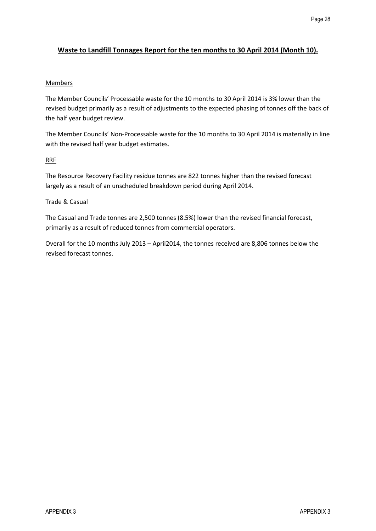#### **Waste to Landfill Tonnages Report for the ten months to 30 April 2014 (Month 10).**

#### Members

The Member Councils' Processable waste for the 10 months to 30 April 2014 is 3% lower than the revised budget primarily as a result of adjustments to the expected phasing of tonnes off the back of the half year budget review. Page 28<br>
Waste to Landfill Toomages Report for the ten months to 30 April 2014 (Month 10).<br>
Members<br>
The Monter Council: Processible waste for the 10 months to 30 April 2014 124 AB lower than the<br>
three hospy primarily as

The Member Councils' Non-Processable waste for the 10 months to 30 April 2014 is materially in line with the revised half year budget estimates.

#### RRF

The Resource Recovery Facility residue tonnes are 822 tonnes higher than the revised forecast largely as a result of an unscheduled breakdown period during April 2014.

#### Trade & Casual

The Casual and Trade tonnes are 2,500 tonnes (8.5%) lower than the revised financial forecast, primarily as a result of reduced tonnes from commercial operators.

Overall for the 10 months July 2013 – April2014, the tonnes received are 8,806 tonnes below the revised forecast tonnes.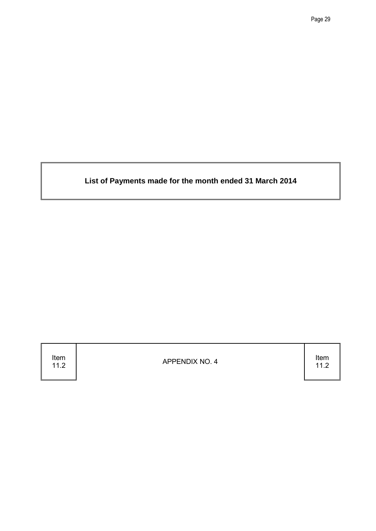**List of Payments made for the month ended 31 March 2014**

Item<br> $11.2$ 

11.2 APPENDIX NO. 4

11.2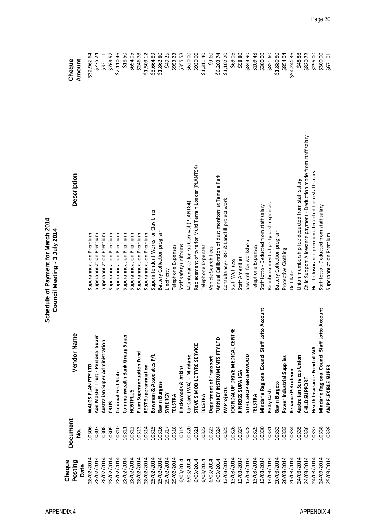| č<br>narc<br>Ξ<br>Ĕ<br>men<br>rav)<br>Ξ<br>$\frac{1}{2}$ | È<br>ミ<br>leetin<br>;<br>ל |
|----------------------------------------------------------|----------------------------|
| らこう<br>وم                                                |                            |

| Cheque<br>Posting<br>Date | Document<br>ż | Vendor Name                                       | <b>Description</b>                                                 | Cheque<br>Amount |
|---------------------------|---------------|---------------------------------------------------|--------------------------------------------------------------------|------------------|
| 28/02/2014                | 10306         | WALGS PLAN PTY LTD                                | Superannuation Premium                                             | \$32,962.64      |
| 28/02/2014                | 10307         | Aon Master Trust - Personal Super                 | Superannuation Premium                                             | \$775.24         |
| 28/02/2014                | 10308         | Australian Super Administration                   | Superannuation Premium                                             | \$331.11         |
| 28/02/2014                | 10309         | CBUS                                              | Superannuation Premium                                             | \$769.57         |
| 28/02/2014                | 10310         | <b>Colonial First State</b>                       | Superannuation Premium                                             | \$2,110.46       |
| 28/02/2014                | 10311         | Commonwealth Bank Group Super                     | Superannuation Premium                                             | \$18.50          |
| 28/02/2014                | 10312         | <b>HOSTPLUS</b>                                   | Superannuation Premium                                             | \$694.05         |
| 28/02/2014                | 10313         | Plum Superannuation Fund                          | Superannuation Premium                                             | \$246.78         |
| 28/02/2014                | 10314         | REST Superannuation                               | Superannuation Premium                                             | \$1,503.12       |
| 25/02/2014                | 10315         | Bowman & Associates P/L                           | Superintendent Works for Clay Liner                                | \$3,664.89       |
| 25/02/2014                | 10316         | Gavin Burgess                                     | Battery Collection program                                         | \$1,862.80       |
| 25/02/2014                | 10317         | <b>SYNERGY</b>                                    | Electricity                                                        | \$49.25          |
| 25/02/2014                | 10318         | <b>TELSTRA</b>                                    | <b>Telephone Expenses</b>                                          | \$953.23         |
| 6/03/2014                 | 10319         | <b>Blackwoods &amp; Atkins</b>                    | Staff safety uniforms                                              | \$355.58         |
| 6/03/2014                 | 10320         | Car Care (WA) - Mindarie                          | Maintenance for Kia Carnival (PLANT84)                             | \$620.00         |
| 6/03/2014                 | 10321         | STEVE'S MOBILE TYRE SERVICE                       | Replacement of tyre for Multi Terrain Loader (PLANT54)             | \$930.00         |
| 6/03/2014                 | 10322         | <b>TELSTRA</b>                                    | Telephone Expenses                                                 | \$1,311.40       |
| 6/03/2014                 | 10323         | Department of Transport                           | Vehicle Search Fees                                                | \$9.60           |
| 6/03/2014                 | 10324         | TURNKEY INSTRUMENTS PTY LTD                       | Annual Callibration of dust monitors at Tamala Park                | \$6,203.74       |
| 13/03/2014                | 10325         | <b>IW Projects</b>                                | Consultancy - RRF & Landfill project work                          | \$1,102.20       |
| 13/03/2014                | 10326         | <b>OONDALUP DRIVE MEDICAL CENTRE</b>              | Staff Wellness                                                     | \$69.06          |
| 13/03/2014                | 10327         | KINROSS SUPA IGA                                  | Staff Amenities                                                    | \$58.80          |
| 13/03/2014                | 10328         | STIHL SHOP GREENWOOD                              | Saw drill for workshop                                             | \$843.90         |
| 3/03/2014                 | 10329         | <b>TELSTRA</b>                                    | Telephone Expenses                                                 | \$209.48         |
| 13/03/2014                | 10330         | o Account<br>Mindarie Regional Council Staff Lott | Staff lotto - Deducted from staff salary                           | \$300.00         |
| 14/03/2014                | 10331         | Petty Cash                                        | Reimbursement of petty cash expenses                               | \$851.60         |
| 20/03/2014                | 10332         | Gavin Burgess                                     | Battery Collection program                                         | \$1,880.80       |
| 20/03/2014                | 10333         | Power Industrial Supplies                         | Protective Clothing                                                | \$854.04         |
| 20/03/2014                | 10334         | Reliance Petroleum                                | Distillate                                                         | \$54,244.36      |
| 24/03/2014                | 10335         | Australian Services Union                         | Union membership fee deducted from staff salary                    | \$48.88          |
| 24/03/2014                | 10336         | <b>CHILD SUPPORT</b>                              | Child Support Allowance payment - Deduction made from staff salary | \$820.72         |
| 24/03/2014                | 10337         | Health Insurance Fund of WA                       | Health Insurance premium deducted from staff salary                | \$295.00         |
| 24/03/2014                | 10338         | o Account<br>Mindarie Regional Council Staff Lott | Staff lotto - Deducted from staff salary                           | \$300.00         |
| 25/03/2014                | 10339         | AMP FLEXIBLE SUPER                                | Superannuation Premium                                             | \$671.01         |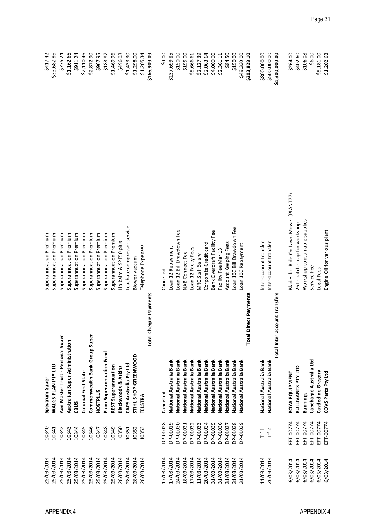| 25/03/2014 | 10340     | Spectrum Super                    | Superannuation Premium                  | \$417.42       |
|------------|-----------|-----------------------------------|-----------------------------------------|----------------|
| 25/03/2014 | 10341     | WALGS PLAN PTY LTD                | Superannuation Premium                  | \$33,682.86    |
| 25/03/2014 | 10342     | Aon Master Trust - Personal Super | Superannuation Premium                  | \$775.24       |
| 25/03/2014 | 10343     | Australian Super Administration   | Superannuation Premium                  | \$1,162.66     |
| 25/03/2014 | 10344     | CBUS                              | Superannuation Premium                  | \$911.24       |
| 25/03/2014 | 10345     | <b>Colonial First State</b>       | Superannuation Premium                  | \$2,110.46     |
| 25/03/2014 | 10346     | Commonwealth Bank Group Super     | Superannuation Premium                  | \$2,872.90     |
| 25/03/2014 | 10347     | HOSTPLUS                          | Superannuation Premium                  | \$967.95       |
| 25/03/2014 | 10348     | Plum Superannuation Fund          | Superannuation Premium                  | \$183.87       |
| 25/03/2014 | 10349     | REST Superannuation               | Superannuation Premium                  | \$1,469.96     |
| 28/03/2014 | 10350     | <b>Blackwoods &amp; Atkins</b>    | Lip balm & SPF50 plus                   | \$496.08       |
| 28/03/2014 | 10351     | CAPS Australia Pty Ltd            | eachate compressor service              | \$1,433.30     |
| 28/03/2014 | 10352     | STIHL SHOP GREENWOOD              | <b>Blower vaccum</b>                    | \$1,298.00     |
| 28/03/2014 | 10353     | TELSTRA                           | Telephone Expenses                      | \$1,205.34     |
|            |           | <b>Total Cheque Payments</b>      |                                         | \$166,909.09   |
| 17/03/2014 | DP-01028  | Cancelled                         | Cancelled                               | \$0.00         |
| 17/03/2014 | DP-01029  | National Australia Bank           | Loan 12 Repayment                       | \$137,699.85   |
| 24/03/2014 | DP-01030  | National Australia Bank           | Loan 12 Bill Drawdown Fee               | \$150.00       |
| 18/03/2014 | DP-01031  | National Australia Bank           | NAB Connect Fee                         | \$195.00       |
|            |           |                                   |                                         |                |
| 17/03/2014 | DP-01032  | National Australia Bank           | Loan 12 Facity Fees                     | \$5,666.61     |
| 11/03/2014 | DP-01033  | National Australia Bank           | MRC Staff Salary                        | \$2,127.39     |
| 20/03/2014 | DP-01034  | National Australia Bank           | Corporate Credit card                   | \$2,063.64     |
| 31/03/2014 | DP-01035  | National Australia Bank           | Bank Overdraft Facility Fee             | \$4,000.00     |
| 31/03/2014 | DP-01036  | National Australia Bank           | Facility Fee Mar 13                     | \$2,361.11     |
| 31/03/2014 | DP-01037  | National Australia Bank           | Account Keeping Fees                    | \$84.50        |
| 31/03/2014 | DP-01038  | National Australia Bank           | Loan 10C Bill Drawdown Fee              | \$150.00       |
| 31/03/2014 | DP-01039  | National Australia Bank           | Loan 10C Repayment                      | \$49,330.00    |
|            |           | Direct Payments<br><b>Total</b>   |                                         | \$203,828.10   |
| 11/03/2014 | Trf1      | National Australia Bank           | Inter-account transfer                  | \$800,000.00   |
| 26/03/2014 | Trf2      | National Australia Bank           | Inter-account transfer                  | \$500,000.00   |
|            |           | Total Inter account Transfers     |                                         | \$1,300,000.00 |
| 6/03/2014  | EFT-00774 | BOYA EQUIPMENT                    | Blades for Ride-On Lawn Mower (PLANT77) | \$264.00       |
| 6/03/2014  | EFT-00774 | <b>BULLIVANTS PTY LTD</b>         | 26T snatch strap for workshop           | \$402.60       |
| 6/03/2014  | EFT-00774 | <b>Bunnings</b>                   | Workshop consumable supplies            | \$106.08       |
| 6/03/2014  | EFT-00774 | Cabcharge Australia Ltd           | Service Fee                             | \$6.00         |
| 6/03/2014  | EFT-00774 | Castledine Gregory                | Legal Fees                              | \$5,181.00     |
| 6/03/2014  | EFT-00774 | COVS Parts Pty Ltd                | Engine Oil for various plant            | \$1,202.68     |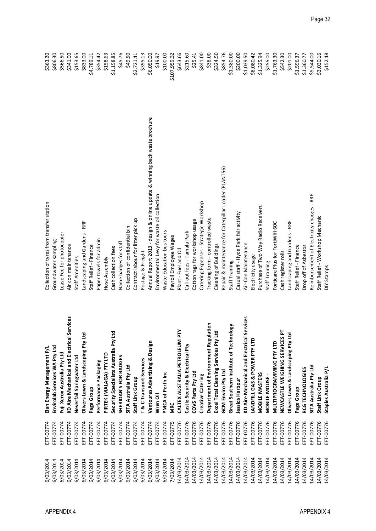| 6/03/2014  | EFT-00774 | Elan Energy Management P/L                           | Collection of tyres from transfer station                                 | \$363.20     |
|------------|-----------|------------------------------------------------------|---------------------------------------------------------------------------|--------------|
| 6/03/2014  | EFT-00774 | Envirolab Services WA Pty Ltd                        | Groundwater sampling                                                      | \$806.30     |
| 6/03/2014  | EFT-00774 | Fuji Xerox Australia Pty Ltd                         | Lease Fee for photocopier                                                 | \$566.50     |
| 6/03/2014  | EFT-00774 | Services<br><b>KD Aire Mechanical and Electrical</b> | Air con maintenance                                                       | \$341.00     |
| 6/03/2014  | EFT-00774 | Neverfail Springwater Ltd                            | Staff Amenities                                                           | \$153.65     |
| 6/03/2014  | EFT-00774 | p<br>Olivers Lawn & Landscaping Pty Lt               | Landscaping and Gardens - RRF                                             | \$833.00     |
| 6/03/2014  | EFT-00774 | Page Group                                           | Staff Relief - Finance                                                    | \$4,789.11   |
| 6/03/2014  | EFT-00774 | Performance Packaging                                | Paper towels for admin                                                    | \$354.42     |
| 6/03/2014  | EFT-00774 | PIRTEK (MALAGA) PTY LTD                              | Hose Assembly                                                             | \$158.63     |
| 6/03/2014  | EFT-00774 | 速<br>Security Specialists Australia Pty L            | Cash collection fees                                                      | \$1,158.85   |
| 6/03/2014  | EFT-00774 | SHERIDAN'S FOR BADGES                                | Name badges for staff                                                     | \$45.76      |
| 6/03/2014  | EFT-00774 | SITA Australia Pty Ltd                               | Collection of confidential bin                                            | \$49.50      |
| 6/03/2014  | EFT-00774 | Staff Link Group                                     | Contract labour for litter pick up                                        | \$2,721.41   |
| 6/03/2014  | EFT-00774 | T & C Transport Services                             | Postage & Freight                                                         | \$395.13     |
| 6/03/2014  | EFT-00774 | Ventouras Advertising & Design                       | Annual Report 2013 - design & online update & winning back waste brochure | \$6,050.00   |
| 6/03/2014  | EFT-00774 | Wren Oil                                             | Environmental Levy for waste oil collection                               | \$19.97      |
| 6/03/2014  | EFT-00774 | YMCA of Perth Inc                                    | Waste Education bus tours                                                 | \$100.00     |
| 7/03/2014  | EFT-00775 | <b>MRC</b>                                           | Payroll Employee Wages                                                    | \$107,959.32 |
| 14/03/2014 | EFT-00776 | CALTEX AUSTRALIA PETROLEUM PTY                       | Plant - Fuel and Oil                                                      | \$643.66     |
| 14/03/2014 | EFT-00776 | Castle Security & Electrical Pty                     | Call out fees - Tamala Park                                               | \$215.60     |
| 14/03/2014 | EFT-00776 | COVS Parts Pty Ltd                                   | Cotton rags for workshop usage                                            | \$25.41      |
| 14/03/2014 | EFT-00776 | <b>Creative Catering</b>                             | Catering Expenses - Strategic Workshop                                    | \$841.00     |
| 14/03/2014 | EFT-00776 | Department of Environment Regulation                 | Tracking form - controlled waste                                          | \$38.00      |
| 14/03/2014 | EFT-00776 | Excel Total Cleaning Services Pty Ltd                | Cleaning of Buildings                                                     | \$324.50     |
| 14/03/2014 | EFT-00776 | <b>GCM Enviro Pty Ltd</b>                            | Repair & maintenance for Caterpillar Loader (PLANT56)                     | \$854.76     |
| 14/03/2014 | EFT-00776 | Great Southern Institute of Technology               | Staff Training                                                            | \$1,380.00   |
| 14/03/2014 | EFT-00776 | Jessica Harbour                                      | Casual staff - Hyde Park fair activity                                    | \$200.00     |
| 14/03/2014 | EFT-00776 | Services<br>KD Aire Mechanical and Electrical        | Air-Con Maintenance                                                       | \$1,039.50   |
| 14/03/2014 | EFT-00776 | LANDFILL GAS & POWER PTY LTD                         | Electricity usage                                                         | \$8,080.42   |
| 14/03/2014 | EFT-00776 | <b>MOBILE MASTERS</b>                                | Purchase of Two Way Radio Receivers                                       | \$1,325.94   |
| 14/03/2014 | EFT-00776 | MOBILE MOUSE -                                       | Staff Training                                                            | \$255.00     |
| 14/03/2014 | EFT-00776 | MULTIPROGRAMMING PTY LTD                             | Forticare Plus for FortiWifi 60C                                          | \$1,763.30   |
| 14/03/2014 | EFT-00776 | Z,<br>NEWCASTLE WEIGHING SERVICES                    | Cash register rolls                                                       | \$542.30     |
| 14/03/2014 | EFT-00776 | $\overline{P}$<br>Olivers Lawn & Landscaping Pty Lt  | Landscaping and Gardens - RRF                                             | \$201.00     |
| 14/03/2014 | EFT-00776 | Page Group                                           | Staff Relief - Finance                                                    | \$1,596.37   |
| 14/03/2014 | EFT-00776 | RCG TECHNOLOGIES                                     | Drop off of Asbestos                                                      | \$1,360.77   |
| 14/03/2014 | EFT-00776 | SITA Australia Pty Ltd                               | Reimbursement of Electricity charges - RRF                                | \$5,544.00   |
| 14/03/2014 | EFT-00776 | Staff Link Group                                     | Staff Relief - Workshop Mechanic                                          | \$3,030.16   |
| 14/03/2014 | EFT-00776 | Staples Australia P/L                                | DIY Stamps                                                                | \$152.48     |

| ction of tyres from transfer station                                  | \$363.20     |
|-----------------------------------------------------------------------|--------------|
| ndwater sampling                                                      | \$806.30     |
| e Fee for photocopier                                                 | \$566.50     |
| on maintenance                                                        | \$341.00     |
| Amenities                                                             | \$153.65     |
| scaping and Gardens - RRF                                             | \$833.00     |
| Relief - Finance                                                      | \$4,789.11   |
| r towels for admin                                                    | \$354.42     |
| Assembly                                                              | \$158.63     |
| collection fees                                                       | \$1,158.85   |
| e badges for staff                                                    | \$45.76      |
| ction of confidential bin                                             | \$49.50      |
| ract labour for litter pick up                                        | \$2,721.41   |
| age & Freight                                                         | \$395.13     |
| al Report 2013 - design & online update & winning back waste brochure | \$6,050.00   |
| onmental Levy for waste oil collection                                | \$19.97      |
| e Education bus tours                                                 | \$100.00     |
| oll Employee Wages                                                    | \$107,959.32 |
| - Fuel and Oil                                                        | \$643.66     |
| out fees - Tamala Park                                                | \$215.60     |
| on rags for workshop usage                                            | \$25.41      |
| ing Expenses - Strategic Workshop                                     | \$841.00     |
| ing form - controlled waste                                           | \$38.00      |
| hing of Buildings                                                     | \$324.50     |
| ir & maintenance for Caterpillar Loader (PLANT56)                     | \$854.76     |
| Training                                                              | \$1,380.00   |
| al staff - Hyde Park fair activity                                    | \$200.00     |
| on Maintenance                                                        | \$1,039.50   |
| ricity usage                                                          | \$8,080.42   |
| hase of Two Way Radio Receivers                                       | \$1,325.94   |
| Training                                                              | \$255.00     |
| care Plus for FortiWifi 60C                                           | \$1,763.30   |
| register rolls                                                        | \$542.30     |
| scaping and Gardens - RRF                                             | \$201.00     |
| Relief - Finance                                                      | \$1,596.37   |
| off of Asbestos                                                       | \$1,360.77   |
| bursement of Electricity charges - RRF                                | \$5,544.00   |
| Relief - Workshop Mechanic                                            | \$3,030.16   |
| tamps                                                                 | \$152.48     |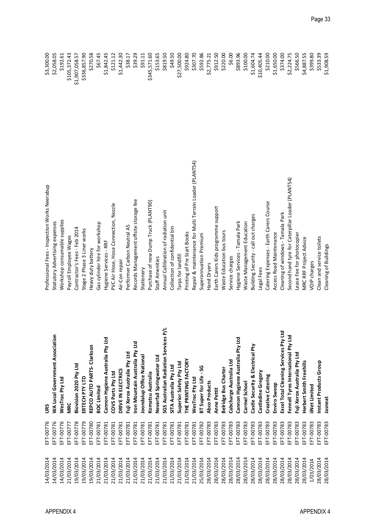| 14/03/2014 | EFT-00776 | <b>San</b>                               | Professional Fees - Inspection Works Neerabup           | \$3,300.00     |
|------------|-----------|------------------------------------------|---------------------------------------------------------|----------------|
| 14/03/2014 | EFT-00776 | <b>WA Local Government Association</b>   | Statutory Advertising expenses                          | \$2,058.05     |
| 14/03/2014 | EFT-00776 | WesTrac Pty Ltd                          | Workshop consumable supplies                            | \$192.61       |
| 21/03/2014 | EFT-00777 | <b>MRC</b>                               | Payroll Employee Wages                                  | \$105,372.43   |
| 19/03/2014 | EFT-00778 | Biovision 2020 Pty Ltd                   | Contractor's Fees - Feb 2014                            | \$1,907,058.57 |
| 19/03/2014 | EFT-00779 | ERTECH PTY LTD                           | Stage 2 Phase 3 Liner works                             | \$336,857.90   |
| 19/03/2014 | EFT-00780 | REPCO AUTO PARTS- Clarkson               | Heavy duty battery                                      | \$270.58       |
| 21/03/2014 | EFT-00781 | <b>BOC Limited</b>                       | Gas cylinder hire for workshop                          | \$67.45        |
| 21/03/2014 | EFT-00781 | Cannon Hygiene Australia Pty Ltd         | Hygiene Services - RRF                                  | \$1,842.45     |
| 21/03/2014 | EFT-00781 | COVS Parts Pty Ltd                       | PVC Air Hose, Hose Connection, Nozzle                   | \$121.12       |
| 21/03/2014 | EFT-00781 | DRIVE IN ELECTRICS                       | Air-Con repair                                          | \$1,442.30     |
| 21/03/2014 | EFT-00781 | Fuji Xerox Australia Pty Ltd             | Performer Carbon Neutral A5                             | \$38.17        |
| 21/03/2014 | EFT-00781 | Iron Mountain Australia Pty Ltd          | Records Management offsite storage fee                  | \$39.29        |
| 21/03/2014 | EFT-00781 | Joondalup Office National                | Stationery                                              | \$91.11        |
| 21/03/2014 | EFT-00781 | Komatsu Australia                        | Purchase of new Dump Truck (PLANT90)                    | \$345,571.60   |
| 21/03/2014 | EFT-00781 | Neverfail Springwater Ltd                | Staff Amenities                                         | \$153.65       |
| 21/03/2014 | EFT-00781 | 计<br>SGS Australian Radiation Services   | Annual Callibration of radiation unit                   | \$819.50       |
| 21/03/2014 | EFT-00781 | SITA Australia Pty Ltd                   | Collection of confidential bin                          | \$49.50        |
| 21/03/2014 | EFT-00781 | Superior Safety Pty Ltd                  | Tarps for landfill                                      | \$27,500.00    |
| 21/03/2014 | EFT-00781 | THE PRINTING FACTORY                     | Printing of Pre Start Books                             | \$924.80       |
| 21/03/2014 | EFT-00781 | WesTrac Pty Ltd                          | Repair & maintenance for Multi Terrain Loader (PLANT54) | \$307.70       |
| 25/03/2014 | EFT-00782 | BT Super for Life - SG                   | Superannuation Premium                                  | \$592.86       |
| 28/03/2014 | EFT-00783 | <b>Abco Products</b>                     | Hand Dryers                                             | \$2,775.21     |
| 28/03/2014 | EFT-00783 | <b>Anne Pettit</b>                       | Earth Carers Kids programme support                     | \$912.50       |
| 28/03/2014 | EFT-00783 | Belridge Bus Charter                     | Waste Education bus tours                               | \$220.00       |
| 28/03/2014 | EFT-00783 | Cabcharge Australia Ltd                  | Service charges                                         | \$6.00         |
| 28/03/2014 | EFT-00783 | Cannon Hygiene Australia Pty Ltd         | Hygiene Services - Tamala Park                          | \$893.96       |
| 28/03/2014 | EFT-00783 | Carmel School                            | <b>Waste Management Education</b>                       | \$100.00       |
| 28/03/2014 | EFT-00783 | Castle Security & Electrical Pty         | Building Security - call out charges                    | \$1,604.74     |
| 28/03/2014 | EFT-00783 | Castledine Gregory                       | Legal Fees                                              | \$10,405.44    |
| 28/03/2014 | EFT-00783 | <b>Creative Catering</b>                 | Catering Expenses - Earth Carers Course                 | \$210.00       |
| 28/03/2014 | EFT-00783 | Enviro Sweep                             | Access Road Maintenance                                 | \$1,650.00     |
| 28/03/2014 | EFT-00783 | 묩<br>Excel Total Cleaning Services Pty I | Cleaning of windows - Tamala Park                       | \$374.00       |
| 28/03/2014 | EFT-00783 | Fennell Tyres International Pty Lto      | Second hand tyre for Caterpillar Loader (PLANT54)       | \$2,224.75     |
| 28/03/2014 | EFT-00783 | Fuji Xerox Australia Pty Ltd             | Lease Fee for photocopier                               | \$566.50       |
| 28/03/2014 | EFT-00783 | Herbert Smith Freehills                  | MRC RRF Project Advice                                  | \$4,887.55     |
| 1/03/2014  | EFT-00783 | iNet Limited                             | VOIP charges                                            | \$399.80       |
| 28/03/2014 | EFT-00783 | Instant Products Group                   | Clean and service toilets                               | \$533.39       |
| 28/03/2014 | EFT-00783 | Jasneat                                  | Cleaning of Buildings                                   | \$1,908.59     |

| ofessional Fees - Inspection Works Neerabup           | \$3,300.00     |
|-------------------------------------------------------|----------------|
| atutory Advertising expenses                          | \$2,058.05     |
| orkshop consumable supplies                           | \$192.61       |
| yroll Employee Wages                                  | \$105,372.43   |
| ntractor's Fees - Feb 2014                            | \$1,907,058.57 |
| age 2 Phase 3 Liner works                             | \$336,857.90   |
| avy duty battery                                      | \$270.58       |
| s cylinder hire for workshop                          | \$67.45        |
| giene Services - RRF                                  | \$1,842.45     |
| C Air Hose, Hose Connection, Nozzle                   | \$121.12       |
| -Con repair                                           | \$1,442.30     |
| rformer Carbon Neutral A5                             | \$38.17        |
| cords Management offsite storage fee                  | \$39.29        |
| ationery                                              | \$91.11        |
| rchase of new Dump Truck (PLANT90)                    | \$345,571.60   |
| aff Amenities                                         | \$153.65       |
| nual Callibration of radiation unit                   | \$819.50       |
| llection of confidential bin                          | \$49.50        |
| rps for landfill                                      | \$27,500.00    |
| nting of Pre Start Books                              | \$924.80       |
| pair & maintenance for Multi Terrain Loader (PLANT54) | \$307.70       |
| perannuation Premium                                  | \$592.86       |
| ind Dryers                                            | \$2,775.21     |
| rth Carers Kids programme support                     | \$912.50       |
| aste Education bus tours                              | \$220.00       |
| rvice charges                                         | \$6.00         |
| giene Services - Tamala Park                          | \$893.96       |
| aste Management Education                             | \$100.00       |
| ilding Security - call out charges                    | \$1,604.74     |
| gal Fees                                              | \$10,405.44    |
| tering Expenses - Earth Carers Course                 | \$210.00       |
| cess Road Maintenance                                 | \$1,650.00     |
| eaning of windows - Tamala Park                       | \$374.00       |
| cond hand tyre for Caterpillar Loader (PLANT54)       | \$2,224.75     |
| an Fon for                                            | CECCEO         |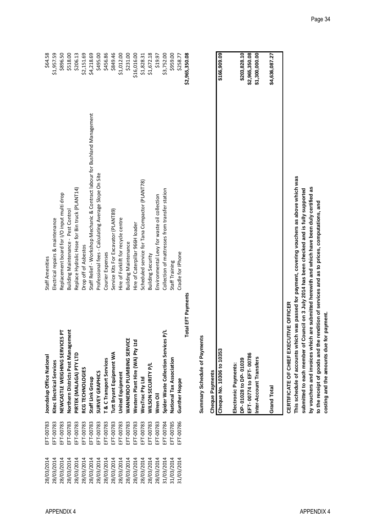| \$2,965,350.08 |                                                                            | otal EFT Payments                    |           |            |
|----------------|----------------------------------------------------------------------------|--------------------------------------|-----------|------------|
| \$258.77       | Cradle for IPhone                                                          | Gunther Hoppe                        | EFT-00786 | 31/03/2014 |
| \$959.00       | Staff Training                                                             | National Tax Association             | EFT-00785 | 31/03/2014 |
| \$3,752.00     | Collection of mattresses from transfer station                             | Spider Waste Collection Services P/L | EFT-00784 | 31/03/2014 |
| \$19.97        | Environmental Levy for waste oil collection                                | Wren Oil                             | EFT-00783 | 28/03/2014 |
| \$1,672.18     | <b>Building Security</b>                                                   | WILSON SECURITY P/L                  | EFT-00783 | 28/03/2014 |
| \$1,828.31     | Scheduled service for Tana Compactor (PLANT78)                             | WesTrac Pty Ltd                      | EFT-00783 | 28/03/2014 |
| \$16,016.00    | Hire of Caterpillar 966H loader                                            | Western Plant Hire (WA) Pty Ltd      | EFT-00783 | 28/03/2014 |
| \$231.00       | <b>Building Maintenance</b>                                                | WANNEROO PLUMBING SERVICE            | EFT-00783 | 28/03/2014 |
| \$1,012.00     | Hire of Forklift for recycle centre                                        | <b>United Equipment</b>              | EFT-00783 | 28/03/2014 |
| \$849.46       | Service Kits For Excavator (PLANT89)                                       | Tutt Bryant Equipment WA             | EFT-00783 | 28/03/2014 |
| \$456.86       | Courier Expenses                                                           | T & C Transport Services             | EFT-00783 | 28/03/2014 |
| \$495.00       | Professional fees - Calculating Average Slope On Site                      | SURVEY GRAPHICS                      | EFT-00783 | 28/03/2014 |
| \$4,218.69     | Staff Relief - Workshop Mechanic & Contract labour for Bushland Management | Staff Link Group                     | EFT-00783 | 28/03/2014 |
| \$2,151.69     | Drop off of Asbestos                                                       | RCG TECHNOLOGIES                     | EFT-00783 | 28/03/2014 |
| \$206.13       | Replace Hydralic Hose for Bin truck (PLANT14)                              | PIRTEK (MALAGA) PTY LTD              | EFT-00783 | 28/03/2014 |
| \$518.00       | Building Maintenance - Pest Control                                        | Northern Districts Pest Management   | EFT-00783 | 28/03/2014 |
| \$896.50       | Replacement board for I/O input multi drop                                 | 눈<br>NEWCASTLE WEIGHING SERVICES     | EFT-00783 | 28/03/2014 |
| \$1,957.59     | Electrical repairs & maintenance                                           | Kitec Electrical Services            | EFT-00783 | 28/03/2014 |
| \$64.58        | Staff Amenities                                                            | Joondalup Office National            | EFT-00783 | 28/03/2014 |

Summary Schedule of Payments **Summary Schedule of Payments**

| EFT-00774 to EFT-00786<br>Inter-Account Transfers<br>DP-01028 to DP-01039<br>Electronic Payments:<br>Grand Total | <b>DFFICER</b><br><b>CERTIFICATE OF CHIEF EXECUTIVE</b><br>Cheque No. 10306 to 10353 | <b>Cheque Payments</b> |              |
|------------------------------------------------------------------------------------------------------------------|--------------------------------------------------------------------------------------|------------------------|--------------|
| \$203,828.10<br>\$1,300,000.00                                                                                   | \$2,965,350.08<br>\$4,636,087.27                                                     |                        | \$166,909.09 |
|                                                                                                                  |                                                                                      |                        |              |
|                                                                                                                  |                                                                                      |                        |              |
|                                                                                                                  |                                                                                      |                        |              |
|                                                                                                                  |                                                                                      |                        |              |
|                                                                                                                  |                                                                                      |                        |              |

This schedule of accounts which was passed for payment, covering vouchers as above which was<br>submitted to each member of Council on 3 July 2014 has been checked and is fully supported **This schedule of accounts which was passed for payment, covering vouchers as above which was** by vouchers and invoices which are submitted herewith and which have been duly certified as **by vouchers and invoices which are submitted herewith and which have been duly certified as submitted to each member of Council on 3 July 2014 has been checked and is fully supported** to the receipt of goods and the rendition of services and as to prices, computations, and **to the receipt of goods and the rendition of services and as to prices, computations, and**  costing and the amounts due for payment. **costing and the amounts due for payment.**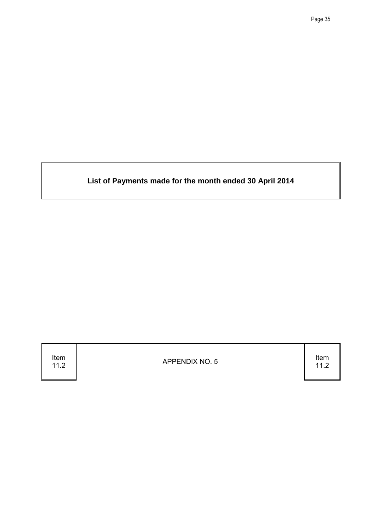**List of Payments made for the month ended 30 April 2014**

Item<br> $11.2$ 

11.2 APPENDIX NO. 5

11.2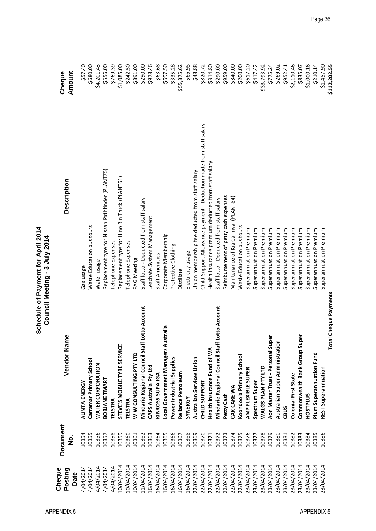| Cheque<br>Posting<br>Date | Document<br>ف<br>N | ıme<br>Vendor Na                                         | <b>Description</b>                                                 | Cheque<br>Amount |
|---------------------------|--------------------|----------------------------------------------------------|--------------------------------------------------------------------|------------------|
| 4/04/2014                 | 10354              | ALINTA ENERGY                                            | Gas usage                                                          | \$57.40          |
| 4/04/2014                 | 10355              | Carramar Primary School                                  | Waste Education bus tours                                          | \$680.00         |
| 4/04/2014                 | 10356              | WATER CORPORATION                                        | Water usage                                                        | \$4,201.43       |
| 4/04/2014                 | 10357              | BOBJANE TMART                                            | Replacement tyre for Nissan Pathfinder (PLANT75)                   | \$556.00         |
| 4/04/2014                 | 10358              | TELSTRA                                                  | Telephone Expenses                                                 | \$769.39         |
| 10/04/2014                | 10359              | STEVE'S MOBILE TYRE SERVICE                              | Replacement tyre for Hino Bin Truck (PLANT61)                      | \$1,085.00       |
| 10/04/2014                | 10360              | TELSTRA                                                  | Telephone Expenses                                                 | \$242.50         |
| 10/04/2014                | 10361              | W W CONSULTING PTY LTD                                   | PAG Meeting                                                        | \$891.00         |
| 11/04/2014                | 10362              | Mindarie Regional Council Staff Lotto Account            | Staff lotto - Deducted from staff salary                           | \$290.00         |
| 16/04/2014                | 10363              | CAPS Australia Pty Ltd                                   | Leachate System Management                                         | \$978.46         |
| 16/04/2014                | 10364              | KINROSS SUPA IGA                                         | Staff Amenities                                                    | \$63.68          |
| 16/04/2014                | 10365              | Local Government Managers Australia                      | Corporate Membership                                               | \$697.50         |
| 16/04/2014                | 10366              | Power Industrial Supplies                                | Protective Clothing                                                | \$335.28         |
| 16/04/2014                | 10367              | Reliance Petroleum                                       | Distillate                                                         | \$55,875.62      |
| 16/04/2014                | 10368              | SYNERGY                                                  | Electricity usage                                                  | \$66.95          |
| 22/04/2014                | 10369              | Australian Services Union                                | Union membership fee deducted from staff salary                    | \$48.88          |
| 22/04/2014                | 10370              | CHILD SUPPORT                                            | Child Support Allowance payment - Deduction made from staff salary | \$820.72         |
| 22/04/2014                | 10371              | Health Insurance Fund of WA                              | Health Insurance premium deducted from staff salary                | \$314.80         |
| 22/04/2014                | 10372              | <b>H</b> Lotto Account<br>Mindarie Regional Council Stat | Staff lotto - Deducted from staff salary                           | \$290.00         |
| 22/04/2014                | 10373              | Petty Cash                                               | Reimbursement of petty cash expenses                               | \$959.00         |
| 22/04/2014                | 10374              | CAR CARE WA                                              | Maintenance of Kia Carnival (PLANT84)                              | \$340.00         |
| 22/04/2014                | 10375              | Koondoola Primary School                                 | Waste Education bus tours                                          | \$200.00         |
| 23/04/2014                | 10376              | AMP FLEXIBLE SUPER                                       | Superannuation Premium                                             | \$617.20         |
| 23/04/2014                | 10377              | Spectrum Super                                           | Superannuation Premium                                             | \$417.42         |
| 23/04/2014                | 10378              | WALGS PLAN PTY LTD                                       | Superannuation Premium                                             | \$33,793.92      |
| 23/04/2014                | 10379              | Aon Master Trust - Personal Super                        | Superannuation Premium                                             | \$775.24         |
| 23/04/2014                | 10380              | Australian Super Administration                          | Superannuation Premium                                             | \$269.02         |
| 23/04/2014                | 10381              | CBUS                                                     | Superannuation Premium                                             | \$952.41         |
| 23/04/2014                | 10382              | <b>Colonial First State</b>                              | Superannuation Premium                                             | \$2,110.46       |
| 23/04/2014                | 10383              | uper<br>Commonwealth Bank Group S                        | Superannuation Premium                                             | \$835.07         |
| 23/04/2014                | 10384              | <b>HOSTPLUS</b>                                          | Superannuation Premium                                             | \$1,000.16       |
| 23/04/2014                | 10385              | Plum Superannuation Fund                                 | Superannuation Premium                                             | \$210.14         |
| 23/04/2014                | 10386              | REST Superannuation                                      | Superannuation Premium                                             | \$1,457.90       |
|                           |                    | <b>Total Cheque Payments</b>                             |                                                                    | \$112,202.55     |

## Schedule of Payment for April 2014<br>Council Meeting - 3 July 2014 **Schedule of Payment for April 2014 Council Meeting - 3 July 2014**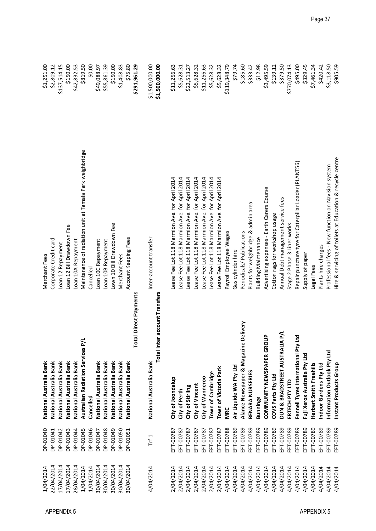| 1/04/2014  | DP-01040  | National Australia Bank                  | Merchant Fees                                             | \$1,251.00     |
|------------|-----------|------------------------------------------|-----------------------------------------------------------|----------------|
| 22/04/2014 | DP-01041  | National Australia Bank                  | Corporate Credit card                                     | \$2,809.12     |
| 17/04/2014 | DP-01042  | National Australia Bank                  | Loan 12 Repayment                                         | \$137,514.15   |
| 17/04/2014 | DP-01043  | National Australia Bank                  | Loan 12 Bill Drawdown Fee                                 | \$150.00       |
| 28/04/2014 | DP-01044  | National Australia Bank                  | Loan 10A Repayment                                        | \$42,832.53    |
| 1/04/2014  | DP-01045  | Australian Radiation Services P/L        | Maintenance of radiation unit at Tamala Park weighbridge  | \$819.50       |
| 1/04/2014  | DP-01046  | Cancelled                                | Cancelled                                                 | \$0.00         |
| 30/04/2014 | DP-01047  | National Australia Bank                  | Loan 10C Repayment                                        | \$49,088.97    |
| 30/04/2014 | DP-01048  | National Australia Bank                  | Loan 10B Repayment                                        | \$55,861.39    |
| 30/04/2014 | DP-01049  | National Australia Bank                  | Lown 10 Bill Drawdown Fee                                 | \$150.00       |
| 30/04/2014 | DP-01050  | National Australia Bank                  | Merchant Fees                                             | \$1,408.83     |
| 30/04/2014 | DP-01051  | National Australia Bank                  | Account Keeping Fees                                      | \$75.80        |
|            |           | otal Direct Payments<br>۳                |                                                           | \$291,961.29   |
| 4/04/2014  | Trf $1$   | National Australia Bank                  | Inter-account transfer                                    | \$1,500,000.00 |
|            |           | Total Inter account Transfers            |                                                           | \$1,500,000.00 |
| 2/04/2014  | EFT-00787 | City of Joondalup                        | Lease Fee Lot 118 Marmion Ave. for April 2014             | \$11,256.63    |
| 2/04/2014  | EFT-00787 | City of Perth                            | Lease Fee Lot 118 Marmion Ave. for April 2014             | \$5,628.31     |
| 2/04/2014  | EFT-00787 | City of Stirling                         | Lease Fee Lot 118 Marmion Ave. for April 2014             | \$22,513.27    |
| 2/04/2014  | EFT-00787 | City of Vincent                          | Lease Fee Lot 118 Marmion Ave. for April 2014             | \$5,628.32     |
| 2/04/2014  | EFT-00787 | City of Wanneroo                         | Lease Fee Lot 118 Marmion Ave. for April 2014             | \$11,256.63    |
| 2/04/2014  | EFT-00787 | Town of Cambridge                        | Lease Fee Lot 118 Marmion Ave. for April 2014             | \$5,628.32     |
| 2/04/2014  | EFT-00787 | Town of Victoria Park                    | Lease Fee Lot 118 Marmion Ave. for April 2014             | \$5,628.32     |
| 4/04/2014  | EFT-00788 | <b>MRC</b>                               | Payroll Employee Wages                                    | \$119,348.79   |
| 4/04/2014  | EFT-00789 | Air Liquide WA Pty Ltd                   | Gas cylinder hire                                         | \$79.74        |
| 4/04/2014  | EFT-00789 | Delivery<br>Alance Newspaper & Magazine  | Periodicals/Publications                                  | \$185.60       |
| 4/04/2014  | EFT-00789 | BENARA NURSERIES                         | Plants for weighbridge & admin area                       | \$333.42       |
| 4/04/2014  | EFT-00789 | Bunnings                                 | <b>Building Maintenance</b>                               | \$12.98        |
| 4/04/2014  | EFT-00789 | $\frac{a}{b}$<br>COMMUNITY NEWSPAPER GRO | Advertising expenses - Earth Carers Course                | \$3,495.59     |
| 4/04/2014  | EFT-00789 | COVS Parts Pty Ltd                       | Cotton rags for workshop usage                            | \$139.12       |
| 4/04/2014  | EFT-00789 | <b>AP/L</b><br>DUN & BRADSTREET AUSTRAL  | Annual Debt management service fees                       | \$379.50       |
| 4/04/2014  | EFT-00789 | ERTECH PTY LTD                           | Stage 2 Phase 3 Liner works                               | \$770,074.13   |
| 4/04/2014  | EFT-00789 | Ξ<br>Fennell Tyres International Pty     | Repair puncture tyre for Caterpillar Loader (PLANT56)     | \$495.00       |
| 4/04/2014  | EFT-00789 | Fuji Xerox Australia Pty Ltd             | Supply of paper                                           | \$329.45       |
| 4/04/2014  | EFT-00789 | Herbert Smith Freehills                  | Legal Fees                                                | \$7,461.34     |
| 4/04/2014  | EFT-00789 | Indoor Gardens Pty Ltd                   | Plants hire charges                                       | \$420.42       |
| 4/04/2014  | EFT-00789 | Information Outlook Pty Ltd              | Professional fees - New function on Navision system       | \$3,118.50     |
| 4/04/2014  | EFT-00789 | Instant Products Group                   | Hire & servicing of toilets at Education & recycle centre | \$905.59       |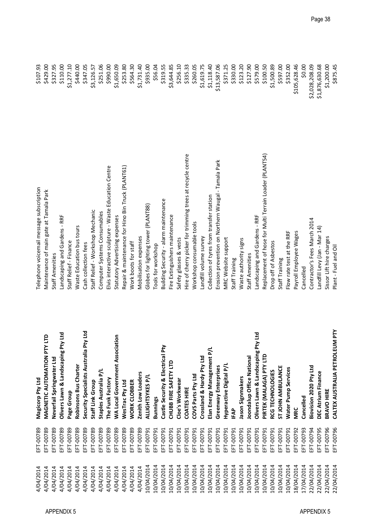|                                                                                                                 | <b>MAGNETIC AUTOMATION PT</b><br>Olivers Lawn & Landscaping<br>Neverfail Springwater Ltd<br>Magicorp Pty Ltd<br>Page Group |
|-----------------------------------------------------------------------------------------------------------------|----------------------------------------------------------------------------------------------------------------------------|
| Pty Ltd<br>Security Specialists Australia<br>Robinsons Bus Charter<br>Staples Australia P/L<br>Staff Link Group |                                                                                                                            |
| <b>WA Local Government Association</b><br>The Funk Factory                                                      |                                                                                                                            |
| WesTrac Pty Ltd                                                                                                 |                                                                                                                            |
| <b>WORK CLOBBER</b>                                                                                             |                                                                                                                            |
| Zenith Low Loaders                                                                                              |                                                                                                                            |
| ALLIGHTSYKES P/L<br>Bunnings                                                                                    |                                                                                                                            |
| Castle Security & Electrical Pty                                                                                |                                                                                                                            |
| CHUBB FIRE SAFETY LTD                                                                                           |                                                                                                                            |
| Cloe's Workwear                                                                                                 |                                                                                                                            |
| <b>COATES HIRE</b>                                                                                              |                                                                                                                            |
| COVS Parts Pty Ltd                                                                                              |                                                                                                                            |
| Elan Energy Management P/I<br>Crossland & Hardy Pty Ltd                                                         |                                                                                                                            |
| Greenway Enterprises                                                                                            |                                                                                                                            |
| Hyperactive Digital P/L                                                                                         |                                                                                                                            |
| IFAP                                                                                                            |                                                                                                                            |
| Jason Signmakers                                                                                                |                                                                                                                            |
| Joondalup Office National                                                                                       |                                                                                                                            |
| pil Aic<br>Olivers Lawn & Landscaping                                                                           |                                                                                                                            |
| PIRTEK (MALAGA) PTY LTD                                                                                         |                                                                                                                            |
| RCG TECHNOLOGIES                                                                                                |                                                                                                                            |
| <b>STJOHN AMBULANCE</b>                                                                                         |                                                                                                                            |
| <b>Water Pump Services</b>                                                                                      |                                                                                                                            |
| <b>MRC</b>                                                                                                      |                                                                                                                            |
| Cancelled                                                                                                       |                                                                                                                            |
| Biovision 2020 Pty Ltd                                                                                          |                                                                                                                            |
| DEC Atrium Finance                                                                                              |                                                                                                                            |
| BRAVO HIRE                                                                                                      |                                                                                                                            |
| CALTEX AUSTRALIA PETROLEUM PTY                                                                                  |                                                                                                                            |

 $(30, 30, 0)$  and the subset of the subset of the subset of the subset of the subset of the subset of the subset of the subset of the subset of the subset of the subset of the subset of the subset of the subset of the sub

 $\begin{array}{l} $2,028,208.09\\ $1,876,630.68\\ $1,200.00\\ $1,200.00\\ $875.45 \end{array}$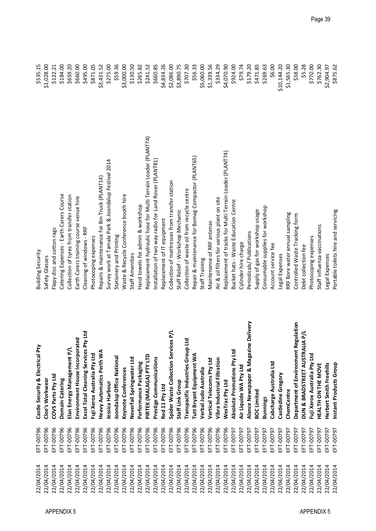|                   | 22/04/2014 | EFT-00796 | Castle Security & Electrical Pty          | Building Security                                             | \$535.15    |
|-------------------|------------|-----------|-------------------------------------------|---------------------------------------------------------------|-------------|
|                   | 22/04/2014 | EFT-00796 | Cloe's Workwear                           | Safety Glasses                                                | \$1,028.00  |
|                   | 22/04/2014 | EFT-00796 | COVS Parts Pty Ltd                        | Flapy disc and cotton rags                                    | \$122.21    |
|                   | 22/04/2014 | EFT-00796 | Domain Catering                           | Catering Expenses - Earth Carers Course                       | \$184.00    |
| <b>APPENDIX 5</b> | 22/04/2014 | EFT-00796 | Elan Energy Management P/I                | Collection of tyres from transfer station                     | \$659.20    |
|                   | 22/04/2014 | EFT-00796 | Environment House Incorporated            | Earth Carers training course venue hire                       | \$660.00    |
|                   | 22/04/2014 | EFT-00796 | Pty Ltd<br>Excel Total Cleaning Services  | Cleaning of windows - RRF                                     | \$495.00    |
|                   | 22/04/2014 | EFT-00796 | Fuji Xerox Australia Pty Ltd              | Photocoping expenses                                          | \$871.05    |
|                   | 22/04/2014 | EFT-00796 | <b>Heavy Automatics Perth WA</b>          | Repairs & maintenance for Bin Truck (PLANT14)                 | \$3,431.52  |
|                   | 22/04/2014 | EFT-00796 | lessica Harbour                           | Survey work at Tamala Park & Joondalup Festival 2014          | \$275.00    |
|                   | 22/04/2014 | EFT-00796 | Joondalup Office National                 | Stationery and Printing                                       | \$59.36     |
|                   | 22/04/2014 | EFT-00796 | Keynote Conferences                       | Waste & Recycle Conference booth hire                         | \$3,000.00  |
|                   | 22/04/2014 | EFT-00796 | Neverfail Springwater Ltd                 | Staff Amenities                                               | \$130.50    |
|                   | 22/04/2014 | EFT-00796 | Performance Packaging                     | Hand towels for admin & workshop                              | \$265.82    |
|                   | 22/04/2014 | EFT-00796 | PIRTEK (MALAGA) PTY LTD                   | Replacement hydraulic hose for Multi Terrain Loader (PLANT74) | \$241.52    |
|                   | 22/04/2014 | EFT-00796 | Prestige Communications                   | Installation of two way radio for Land Rover (PLANT81)        | \$660.85    |
|                   | 22/04/2014 | EFT-00796 | Red 11 Pty Ltd                            | Replacement of IT equipment                                   | \$4,834.26  |
|                   | 22/04/2014 | EFT-00796 | Spider Waste Collection Services P/L      | Collection of mattresses from transfer station                | \$2,086.00  |
|                   | 22/04/2014 | EFT-00796 | Staff Link Group                          | Staff Relief - Workshop Mechanic                              | \$3,890.75  |
|                   | 22/04/2014 | EFT-00796 | Ľd<br>Transpacific Industries Group       | Collection of waste oil from recycle centre                   | \$707.30    |
|                   | 22/04/2014 | EFT-00796 | Tutt Bryant Equipment WA                  | Repair & maintenance for Bomag Compactor (PLANT65)            | \$56.33     |
|                   | 22/04/2014 | EFT-00796 | Verbal Judo Australia                     | Staff Training                                                | \$5,060.00  |
|                   | 22/04/2014 | EFT-00796 | Vertical Telecoms Pty Ltd                 | Maintenance of RRF antenas                                    | \$1,339.56  |
|                   | 22/04/2014 | EFT-00796 | Vibra Industrial Filtration               | Air & oil filters for various plant on site                   | \$334.29    |
|                   | 22/04/2014 | EFT-00796 | WesTrac Pty Ltd                           | Replacement of tracks for Multi Terrain Loader (PLANT74)      | \$4,070.90  |
|                   | 22/04/2014 | EFT-00797 | Absolute Promotions Pty Ltd               | Bucket hats - Waste Education Centre                          | \$924.00    |
|                   | 22/04/2014 | EFT-00797 | Air Liquide WA Pty Ltd                    | Cylinder hire charge                                          | \$79.74     |
|                   | 22/04/2014 | EFT-00797 | ne Delivery<br>Alance Newspaper & Magazi  | Periodicals/Publications                                      | \$179.20    |
|                   | 22/04/2014 | EFT-00797 | <b>BOC Limited</b>                        | Supply of gas for workshop usage                              | \$471.85    |
|                   | 22/04/2014 | EFT-00797 | <b>Bunnings</b>                           | Consumable supplies for workshop                              | \$269.63    |
|                   | 22/04/2014 | EFT-00797 | Cabcharge Australia Ltd                   | Account service fee                                           | \$6.00      |
|                   | 22/04/2014 | EFT-00797 | Castledine Gregory                        | Legal Expenses                                                | \$10,144.20 |
|                   | 22/04/2014 | EFT-00797 | ChemCentre                                | RRF Bore water annual sampling                                | \$1,565.30  |
|                   | 22/04/2014 | EFT-00797 | Department of Environment Regulation      | Controlled Waste Tracking form                                | \$38.00     |
| <b>APPENDIX 5</b> | 22/04/2014 | EFT-00797 | <b>I/d VIT</b><br>DUN & BRADSTREET AUSTRA | Debt collection fee                                           | \$5.28      |
|                   | 22/04/2014 | EFT-00797 | Fuji Xerox Australia Pty Ltd              | Photocoping expenses                                          | \$770.00    |
|                   | 22/04/2014 | EFT-00797 | HEALTH ON THE MOVE                        | Staff influenza vaccinations                                  | \$762.30    |
|                   | 22/04/2014 | EFT-00797 | Herbert Smith Freehills                   | Legal Expenses                                                | \$2,904.97  |
|                   | 22/04/2014 | EFT-00797 | Instant Products Group                    | Portable toilets hire and servicing                           | \$875.62    |